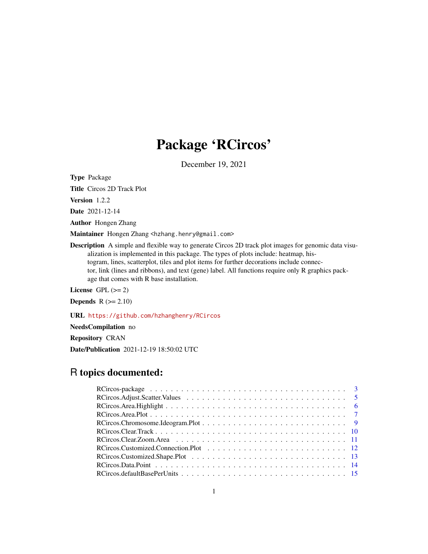# Package 'RCircos'

December 19, 2021

Type Package

Title Circos 2D Track Plot

Version 1.2.2

Date 2021-12-14

Author Hongen Zhang

Maintainer Hongen Zhang <hzhang.henry@gmail.com>

Description A simple and flexible way to generate Circos 2D track plot images for genomic data visualization is implemented in this package. The types of plots include: heatmap, histogram, lines, scatterplot, tiles and plot items for further decorations include connector, link (lines and ribbons), and text (gene) label. All functions require only R graphics package that comes with R base installation.

License GPL  $(>= 2)$ 

**Depends**  $R$  ( $>= 2.10$ )

URL <https://github.com/hzhanghenry/RCircos>

NeedsCompilation no

Repository CRAN

Date/Publication 2021-12-19 18:50:02 UTC

# R topics documented:

| RCircos. Area. Plot $\ldots \ldots \ldots \ldots \ldots \ldots \ldots \ldots \ldots \ldots \ldots \ldots \ldots$ |
|------------------------------------------------------------------------------------------------------------------|
|                                                                                                                  |
|                                                                                                                  |
|                                                                                                                  |
|                                                                                                                  |
|                                                                                                                  |
|                                                                                                                  |
|                                                                                                                  |
|                                                                                                                  |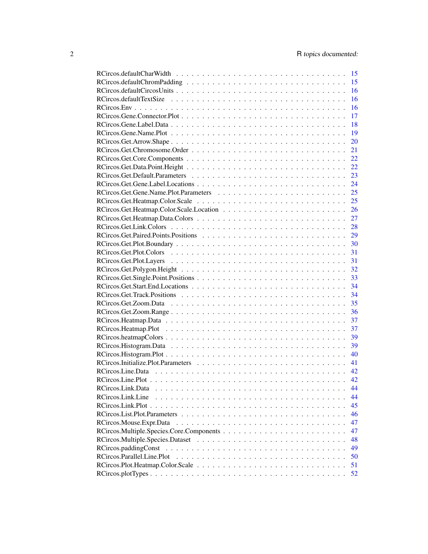|                         | 15 |
|-------------------------|----|
|                         | 15 |
|                         | 16 |
|                         | 16 |
|                         | 16 |
|                         | 17 |
|                         | 18 |
|                         | 19 |
|                         | 20 |
|                         | 21 |
|                         | 22 |
|                         | 22 |
|                         | 23 |
|                         | 24 |
|                         | 25 |
|                         | 25 |
|                         | 26 |
|                         | 27 |
|                         | 28 |
|                         | 29 |
|                         |    |
|                         | 30 |
|                         | 31 |
|                         | 31 |
|                         | 32 |
|                         | 33 |
|                         | 34 |
|                         | 34 |
|                         | 35 |
|                         | 36 |
|                         | 37 |
|                         | 37 |
|                         | 39 |
|                         | 39 |
|                         | 40 |
|                         | 41 |
|                         | 42 |
|                         | 42 |
| RCircos.Link.Data       | 44 |
| RCircos.Link.Line       | 44 |
|                         | 45 |
|                         | 46 |
| RCircos.Mouse.Expr.Data | 47 |
|                         | 47 |
|                         | 48 |
|                         | 49 |
|                         | 50 |
|                         |    |
|                         | 51 |
|                         | 52 |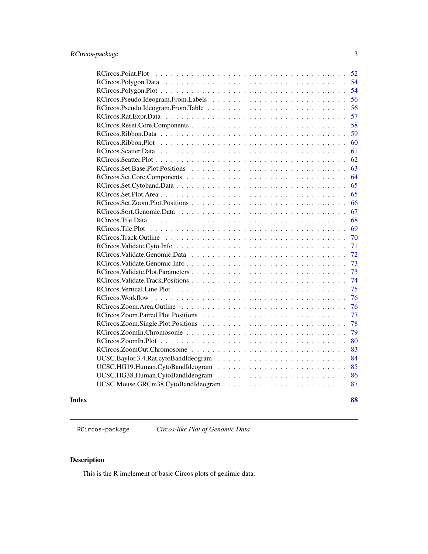<span id="page-2-0"></span>

| 52                      |
|-------------------------|
| 54                      |
| 54                      |
| 56                      |
| 56                      |
| 57                      |
| 58                      |
| 59                      |
| 60                      |
| 61                      |
| 62                      |
| 63                      |
| 64                      |
| 65                      |
| 65                      |
| 66                      |
| 67                      |
| 68                      |
| 69                      |
| 70                      |
| 71                      |
| 72                      |
| 73                      |
| 73                      |
| 74                      |
| 75                      |
| RCircos. Workflow<br>76 |
| 76                      |
| 77                      |
| 78                      |
| 79                      |
| 80                      |
| 83                      |
| 84                      |
| 85                      |
| 86                      |
| 87                      |
|                         |

## **Index [88](#page-87-0) Second Line Control Control Control Control Control Control Control Control Control Control Control Co**

RCircos-package *Circos-like Plot of Genomic Data*

# Description

This is the R implement of basic Circos plots of genimic data.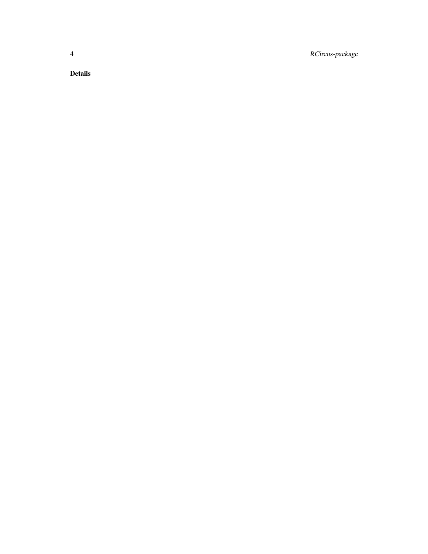4 RCircos-package

Details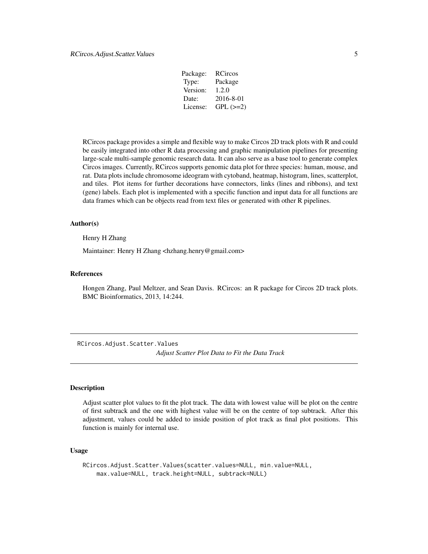| Package: | RCircos       |
|----------|---------------|
| Type:    | Package       |
| Version: | 1.2.0         |
| Date:    | 2016-8-01     |
| License: | $GPL$ $(>=2)$ |
|          |               |

<span id="page-4-0"></span>RCircos package provides a simple and flexible way to make Circos 2D track plots with R and could be easily integrated into other R data processing and graphic manipulation pipelines for presenting large-scale multi-sample genomic research data. It can also serve as a base tool to generate complex Circos images. Currently, RCircos supports genomic data plot for three species: human, mouse, and rat. Data plots include chromosome ideogram with cytoband, heatmap, histogram, lines, scatterplot, and tiles. Plot items for further decorations have connectors, links (lines and ribbons), and text (gene) labels. Each plot is implemented with a specific function and input data for all functions are data frames which can be objects read from text files or generated with other R pipelines.

#### Author(s)

Henry H Zhang

Maintainer: Henry H Zhang <hzhang.henry@gmail.com>

## References

Hongen Zhang, Paul Meltzer, and Sean Davis. RCircos: an R package for Circos 2D track plots. BMC Bioinformatics, 2013, 14:244.

RCircos.Adjust.Scatter.Values

*Adjust Scatter Plot Data to Fit the Data Track*

# **Description**

Adjust scatter plot values to fit the plot track. The data with lowest value will be plot on the centre of first subtrack and the one with highest value will be on the centre of top subtrack. After this adjustment, values could be added to inside position of plot track as final plot positions. This function is mainly for internal use.

## Usage

```
RCircos.Adjust.Scatter.Values(scatter.values=NULL, min.value=NULL,
   max.value=NULL, track.height=NULL, subtrack=NULL)
```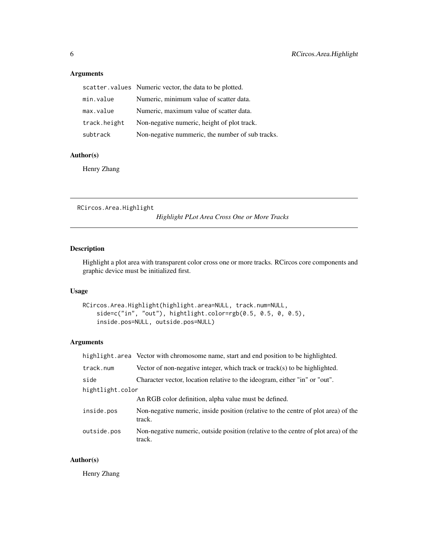# <span id="page-5-0"></span>Arguments

|              | scatter. values Numeric vector, the data to be plotted. |
|--------------|---------------------------------------------------------|
| min.value    | Numeric, minimum value of scatter data.                 |
| max.value    | Numeric, maximum value of scatter data.                 |
| track.height | Non-negative numeric, height of plot track.             |
| subtrack     | Non-negative nummeric, the number of sub tracks.        |

# Author(s)

Henry Zhang

RCircos.Area.Highlight

*Highlight PLot Area Cross One or More Tracks*

# Description

Highlight a plot area with transparent color cross one or more tracks. RCircos core components and graphic device must be initialized first.

#### Usage

```
RCircos.Area.Highlight(highlight.area=NULL, track.num=NULL,
    side=c("in", "out"), hightlight.color=rgb(0.5, 0.5, 0, 0.5),
    inside.pos=NULL, outside.pos=NULL)
```
# Arguments

|                  | highlight.area Vector with chromosome name, start and end position to be highlighted.         |
|------------------|-----------------------------------------------------------------------------------------------|
| track.num        | Vector of non-negative integer, which track or track(s) to be highlighted.                    |
| side             | Character vector, location relative to the ideogram, either "in" or "out".                    |
| hightlight.color |                                                                                               |
|                  | An RGB color definition, alpha value must be defined.                                         |
| inside.pos       | Non-negative numeric, inside position (relative to the centre of plot area) of the<br>track.  |
| outside.pos      | Non-negative numeric, outside position (relative to the centre of plot area) of the<br>track. |

# Author(s)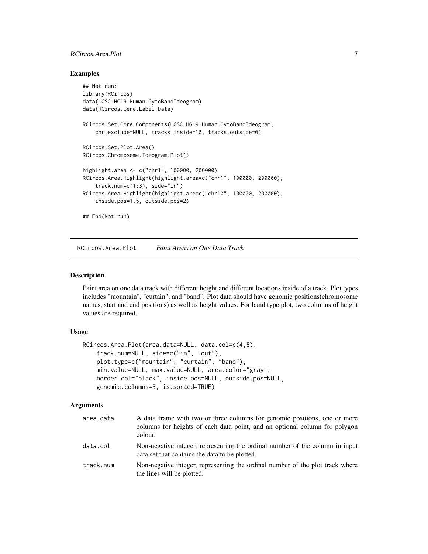# <span id="page-6-0"></span>RCircos.Area.Plot 7

#### Examples

```
## Not run:
library(RCircos)
data(UCSC.HG19.Human.CytoBandIdeogram)
data(RCircos.Gene.Label.Data)
RCircos.Set.Core.Components(UCSC.HG19.Human.CytoBandIdeogram,
    chr.exclude=NULL, tracks.inside=10, tracks.outside=0)
RCircos.Set.Plot.Area()
RCircos.Chromosome.Ideogram.Plot()
highlight.area <- c("chr1", 100000, 200000)
RCircos.Area.Highlight(highlight.area=c("chr1", 100000, 200000),
    track.num=c(1:3), side="in")
RCircos.Area.Highlight(highlight.areac("chr10", 100000, 200000),
    inside.pos=1.5, outside.pos=2)
## End(Not run)
```
RCircos.Area.Plot *Paint Areas on One Data Track*

#### Description

Paint area on one data track with different height and different locations inside of a track. Plot types includes "mountain", "curtain", and "band". Plot data should have genomic positions(chromosome names, start and end positions) as well as height values. For band type plot, two columns of height values are required.

#### Usage

```
RCircos.Area.Plot(area.data=NULL, data.col=c(4,5),
    track.num=NULL, side=c("in", "out"),
    plot.type=c("mountain", "curtain", "band"),
   min.value=NULL, max.value=NULL, area.color="gray",
   border.col="black", inside.pos=NULL, outside.pos=NULL,
   genomic.columns=3, is.sorted=TRUE)
```
## Arguments

| area.data | A data frame with two or three columns for genomic positions, one or more<br>columns for heights of each data point, and an optional column for polygon<br>colour. |
|-----------|--------------------------------------------------------------------------------------------------------------------------------------------------------------------|
| data.col  | Non-negative integer, representing the ordinal number of the column in input<br>data set that contains the data to be plotted.                                     |
| track.num | Non-negative integer, representing the ordinal number of the plot track where<br>the lines will be plotted.                                                        |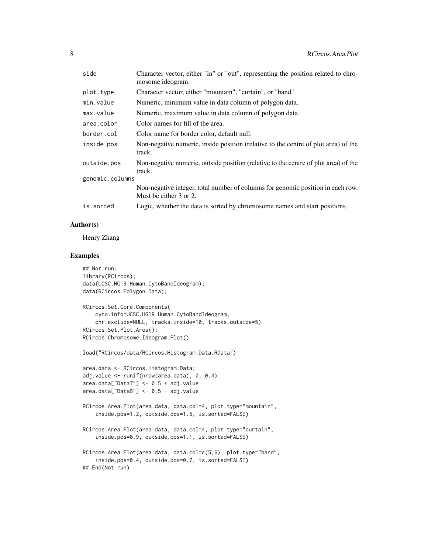| side            | Character vector, either "in" or "out", representing the position related to chro-<br>mosome ideogram.    |
|-----------------|-----------------------------------------------------------------------------------------------------------|
| plot.type       | Character vector, either "mountain", "curtain", or "band"                                                 |
| min.value       | Numeric, minimum value in data column of polygon data.                                                    |
| max.value       | Numeric, maximum value in data column of polygon data.                                                    |
| area.color      | Color names for fill of the area.                                                                         |
| border.col      | Color name for border color, default null.                                                                |
| inside.pos      | Non-negative numeric, inside position (relative to the centre of plot area) of the<br>track.              |
| outside.pos     | Non-negative numeric, outside position (relative to the centre of plot area) of the<br>track.             |
| genomic.columns |                                                                                                           |
|                 | Non-negative integer, total number of columns for genomic position in each row.<br>Must be either 3 or 2. |
| is.sorted       | Logic, whether the data is sorted by chromosome names and start positions.                                |

# Author(s)

Henry Zhang

# Examples

```
## Not run:
library(RCircos);
data(UCSC.HG19.Human.CytoBandIdeogram);
data(RCircos.Polygon.Data);
RCircos.Set.Core.Components(
    cyto.info=UCSC.HG19.Human.CytoBandIdeogram,
    chr.exclude=NULL, tracks.inside=10, tracks.outside=5)
RCircos.Set.Plot.Area();
RCircos.Chromosome.Ideogram.Plot()
load("RCircos/data/RCircos.Histogram.Data.RData")
area.data <- RCircos.Histogram.Data;
adj.value <- runif(nrow(area.data), 0, 0.4)
area.data["DataT"] <- 0.5 + adj.value
area.data["DataB"] <- 0.5 - adj.value
RCircos.Area.Plot(area.data, data.col=4, plot.type="mountain",
    inside.pos=1.2, outside.pos=1.5, is.sorted=FALSE)
RCircos.Area.Plot(area.data, data.col=4, plot.type="curtain",
    inside.pos=0.9, outside.pos=1.1, is.sorted=FALSE)
RCircos.Area.Plot(area.data, data.col=c(5,6), plot.type="band",
    inside.pos=0.4, outside.pos=0.7, is.sorted=FALSE)
## End(Not run)
```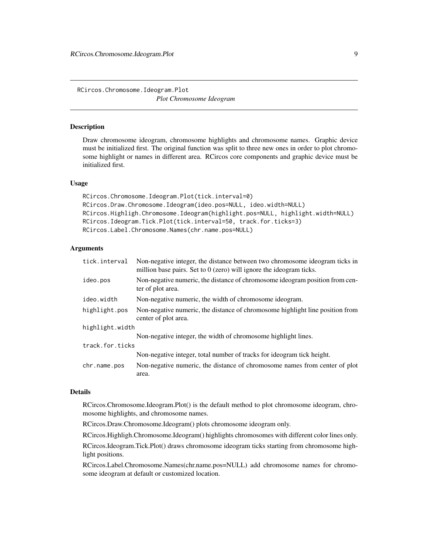<span id="page-8-0"></span>RCircos.Chromosome.Ideogram.Plot *Plot Chromosome Ideogram*

# **Description**

Draw chromosome ideogram, chromosome highlights and chromosome names. Graphic device must be initialized first. The original function was split to three new ones in order to plot chromosome highlight or names in different area. RCircos core components and graphic device must be initialized first.

#### Usage

```
RCircos.Chromosome.Ideogram.Plot(tick.interval=0)
RCircos.Draw.Chromosome.Ideogram(ideo.pos=NULL, ideo.width=NULL)
RCircos.Highligh.Chromosome.Ideogram(highlight.pos=NULL, highlight.width=NULL)
RCircos.Ideogram.Tick.Plot(tick.interval=50, track.for.ticks=3)
RCircos.Label.Chromosome.Names(chr.name.pos=NULL)
```
## **Arguments**

| tick.interval   | Non-negative integer, the distance between two chromosome ideogram ticks in<br>million base pairs. Set to $0$ (zero) will ignore the ideogram ticks. |
|-----------------|------------------------------------------------------------------------------------------------------------------------------------------------------|
| ideo.pos        | Non-negative numeric, the distance of chromosome ideogram position from cen-<br>ter of plot area.                                                    |
| ideo.width      | Non-negative numeric, the width of chromosome ideogram.                                                                                              |
| highlight.pos   | Non-negative numeric, the distance of chromosome highlight line position from<br>center of plot area.                                                |
| highlight.width |                                                                                                                                                      |
|                 | Non-negative integer, the width of chromosome highlight lines.                                                                                       |
| track.for.ticks |                                                                                                                                                      |
|                 | Non-negative integer, total number of tracks for ideogram tick height.                                                                               |
| chr.name.pos    | Non-negative numeric, the distance of chromosome names from center of plot<br>area.                                                                  |

## Details

RCircos.Chromosome.Ideogram.Plot() is the default method to plot chromosome ideogram, chromosome highlights, and chromosome names.

RCircos.Draw.Chromosome.Ideogram() plots chromosome ideogram only.

RCircos.Highligh.Chromosome.Ideogram() highlights chromosomes with different color lines only.

RCircos.Ideogram.Tick.Plot() draws chromosome ideogram ticks starting from chromosome highlight positions.

RCircos.Label.Chromosome.Names(chr.name.pos=NULL) add chromosome names for chromosome ideogram at default or customized location.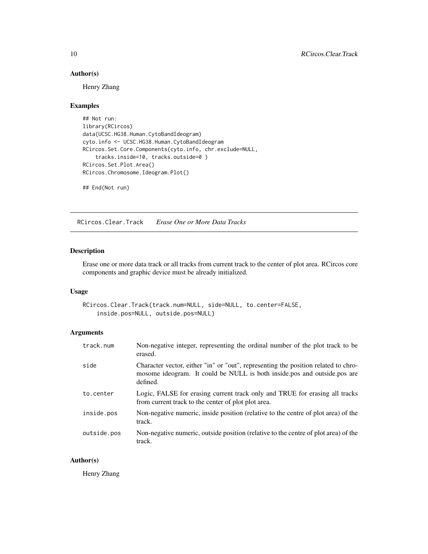# Author(s)

Henry Zhang

# Examples

## Not run: library(RCircos) data(UCSC.HG38.Human.CytoBandIdeogram) cyto.info <- UCSC.HG38.Human.CytoBandIdeogram RCircos.Set.Core.Components(cyto.info, chr.exclude=NULL, tracks.inside=10, tracks.outside=0 ) RCircos.Set.Plot.Area() RCircos.Chromosome.Ideogram.Plot()

## End(Not run)

RCircos.Clear.Track *Erase One or More Data Tracks*

## Description

Erase one or more data track or all tracks from current track to the center of plot area. RCircos core components and graphic device must be already initialized.

#### Usage

```
RCircos.Clear.Track(track.num=NULL, side=NULL, to.center=FALSE,
    inside.pos=NULL, outside.pos=NULL)
```
# Arguments

| track.num   | Non-negative integer, representing the ordinal number of the plot track to be<br>erased.                                                                                   |
|-------------|----------------------------------------------------------------------------------------------------------------------------------------------------------------------------|
| side        | Character vector, either "in" or "out", representing the position related to chro-<br>mosome ideogram. It could be NULL is both inside.pos and outside.pos are<br>defined. |
| to.center   | Logic, FALSE for erasing current track only and TRUE for erasing all tracks<br>from current track to the center of plot plot area.                                         |
| inside.pos  | Non-negative numeric, inside position (relative to the centre of plot area) of the<br>track.                                                                               |
| outside.pos | Non-negative numeric, outside position (relative to the centre of plot area) of the<br>track.                                                                              |

# Author(s)

<span id="page-9-0"></span>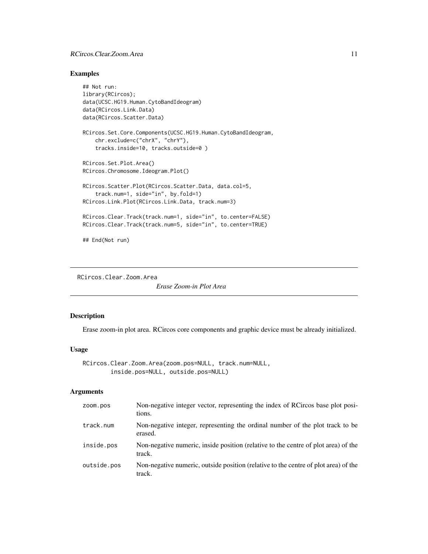# <span id="page-10-0"></span>RCircos.Clear.Zoom.Area 11

## Examples

```
## Not run:
library(RCircos);
data(UCSC.HG19.Human.CytoBandIdeogram)
data(RCircos.Link.Data)
data(RCircos.Scatter.Data)
RCircos.Set.Core.Components(UCSC.HG19.Human.CytoBandIdeogram,
    chr.exclude=c("chrX", "chrY"),
    tracks.inside=10, tracks.outside=0 )
RCircos.Set.Plot.Area()
RCircos.Chromosome.Ideogram.Plot()
RCircos.Scatter.Plot(RCircos.Scatter.Data, data.col=5,
    track.num=1, side="in", by.fold=1)
RCircos.Link.Plot(RCircos.Link.Data, track.num=3)
RCircos.Clear.Track(track.num=1, side="in", to.center=FALSE)
RCircos.Clear.Track(track.num=5, side="in", to.center=TRUE)
## End(Not run)
```
RCircos.Clear.Zoom.Area

*Erase Zoom-in Plot Area*

## Description

Erase zoom-in plot area. RCircos core components and graphic device must be already initialized.

## Usage

```
RCircos.Clear.Zoom.Area(zoom.pos=NULL, track.num=NULL,
        inside.pos=NULL, outside.pos=NULL)
```
# Arguments

| ZOOM. DOS   | Non-negative integer vector, representing the index of RCircos base plot posi-<br>tions.      |
|-------------|-----------------------------------------------------------------------------------------------|
| track.num   | Non-negative integer, representing the ordinal number of the plot track to be<br>erased.      |
| inside.pos  | Non-negative numeric, inside position (relative to the centre of plot area) of the<br>track.  |
| outside.pos | Non-negative numeric, outside position (relative to the centre of plot area) of the<br>track. |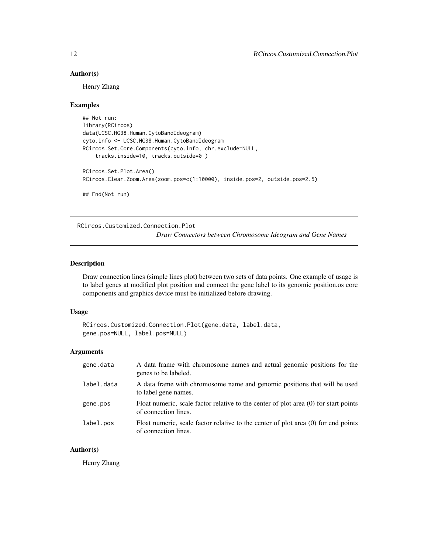#### <span id="page-11-0"></span>Author(s)

Henry Zhang

#### Examples

```
## Not run:
library(RCircos)
data(UCSC.HG38.Human.CytoBandIdeogram)
cyto.info <- UCSC.HG38.Human.CytoBandIdeogram
RCircos.Set.Core.Components(cyto.info, chr.exclude=NULL,
    tracks.inside=10, tracks.outside=0 )
RCircos.Set.Plot.Area()
RCircos.Clear.Zoom.Area(zoom.pos=c(1:10000), inside.pos=2, outside.pos=2.5)
## End(Not run)
```
RCircos.Customized.Connection.Plot

*Draw Connectors between Chromosome Ideogram and Gene Names*

#### Description

Draw connection lines (simple lines plot) between two sets of data points. One example of usage is to label genes at modified plot position and connect the gene label to its genomic position.os core components and graphics device must be initialized before drawing.

#### Usage

```
RCircos.Customized.Connection.Plot(gene.data, label.data,
gene.pos=NULL, label.pos=NULL)
```
#### Arguments

| gene.data  | A data frame with chromosome names and actual genomic positions for the<br>genes to be labeled.              |
|------------|--------------------------------------------------------------------------------------------------------------|
| label.data | A data frame with chromosome name and genomic positions that will be used<br>to label gene names.            |
| gene.pos   | Float numeric, scale factor relative to the center of plot area (0) for start points<br>of connection lines. |
| label.pos  | Float numeric, scale factor relative to the center of plot area (0) for end points<br>of connection lines.   |

## Author(s)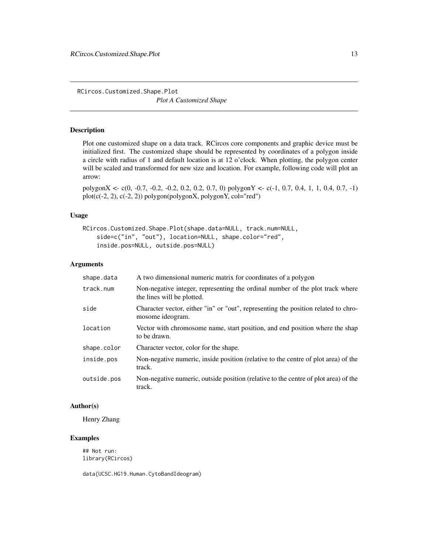<span id="page-12-0"></span>RCircos.Customized.Shape.Plot *Plot A Customized Shape*

#### Description

Plot one customized shape on a data track. RCircos core components and graphic device must be initialized first. The customized shape should be represented by coordinates of a polygon inside a circle with radius of 1 and default location is at 12 o'clock. When plotting, the polygon center will be scaled and transformed for new size and location. For example, following code will plot an arrow:

polygonX <- c(0, -0.7, -0.2, -0.2, 0.2, 0.2, 0.7, 0) polygonY <- c(-1, 0.7, 0.4, 1, 1, 0.4, 0.7, -1) plot(c(-2, 2), c(-2, 2)) polygon(polygonX, polygonY, col="red")

#### Usage

```
RCircos.Customized.Shape.Plot(shape.data=NULL, track.num=NULL,
   side=c("in", "out"), location=NULL, shape.color="red",
   inside.pos=NULL, outside.pos=NULL)
```
#### Arguments

| shape.data  | A two dimensional numeric matrix for coordinates of a polygon                                               |
|-------------|-------------------------------------------------------------------------------------------------------------|
| track.num   | Non-negative integer, representing the ordinal number of the plot track where<br>the lines will be plotted. |
| side        | Character vector, either "in" or "out", representing the position related to chro-<br>mosome ideogram.      |
| location    | Vector with chromosome name, start position, and end position where the shap<br>to be drawn.                |
| shape.color | Character vector, color for the shape.                                                                      |
| inside.pos  | Non-negative numeric, inside position (relative to the centre of plot area) of the<br>track.                |
| outside.pos | Non-negative numeric, outside position (relative to the centre of plot area) of the<br>track.               |

#### Author(s)

Henry Zhang

# Examples

## Not run: library(RCircos)

data(UCSC.HG19.Human.CytoBandIdeogram)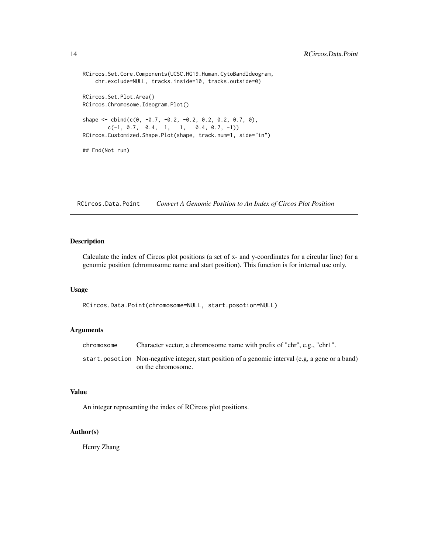```
RCircos.Set.Core.Components(UCSC.HG19.Human.CytoBandIdeogram,
    chr.exclude=NULL, tracks.inside=10, tracks.outside=0)
RCircos.Set.Plot.Area()
RCircos.Chromosome.Ideogram.Plot()
shape \le cbind(c(0, -0.7, -0.2, -0.2, 0.2, 0.2, 0.7, 0),
        c(-1, 0.7, 0.4, 1, 1, 0.4, 0.7, -1))RCircos.Customized.Shape.Plot(shape, track.num=1, side="in")
## End(Not run)
```
RCircos.Data.Point *Convert A Genomic Position to An Index of Circos Plot Position*

## Description

Calculate the index of Circos plot positions (a set of x- and y-coordinates for a circular line) for a genomic position (chromosome name and start position). This function is for internal use only.

#### Usage

```
RCircos.Data.Point(chromosome=NULL, start.posotion=NULL)
```
#### Arguments

| chromosome | Character vector, a chromosome name with prefix of "chr", e.g., "chr1".                           |
|------------|---------------------------------------------------------------------------------------------------|
|            | start posotion Non-negative integer, start position of a genomic interval (e.g. a gene or a band) |
|            | on the chromosome.                                                                                |

## Value

An integer representing the index of RCircos plot positions.

#### Author(s)

<span id="page-13-0"></span>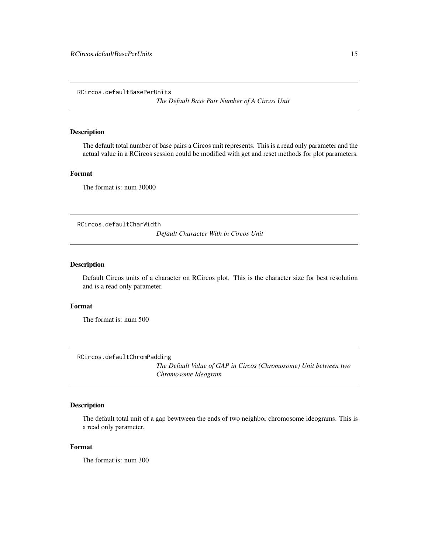<span id="page-14-0"></span>RCircos.defaultBasePerUnits

*The Default Base Pair Number of A Circos Unit*

#### Description

The default total number of base pairs a Circos unit represents. This is a read only parameter and the actual value in a RCircos session could be modified with get and reset methods for plot parameters.

## Format

The format is: num 30000

RCircos.defaultCharWidth

*Default Character With in Circos Unit*

## Description

Default Circos units of a character on RCircos plot. This is the character size for best resolution and is a read only parameter.

#### Format

The format is: num 500

RCircos.defaultChromPadding

*The Default Value of GAP in Circos (Chromosome) Unit between two Chromosome Ideogram*

## Description

The default total unit of a gap bewtween the ends of two neighbor chromosome ideograms. This is a read only parameter.

# Format

The format is: num 300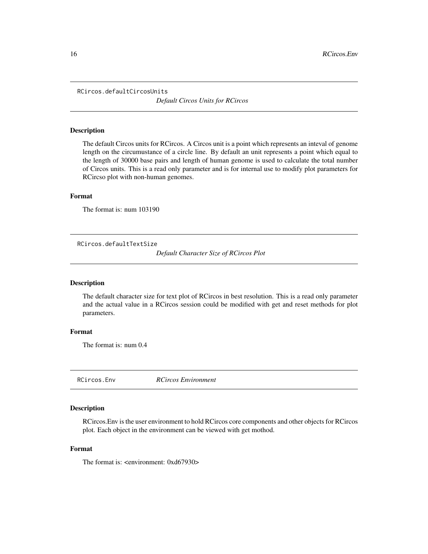<span id="page-15-0"></span>RCircos.defaultCircosUnits

*Default Circos Units for RCircos*

#### Description

The default Circos units for RCircos. A Circos unit is a point which represents an inteval of genome length on the circumustance of a circle line. By default an unit represents a point which equal to the length of 30000 base pairs and length of human genome is used to calculate the total number of Circos units. This is a read only parameter and is for internal use to modify plot parameters for RCircso plot with non-human genomes.

## Format

The format is: num 103190

RCircos.defaultTextSize

*Default Character Size of RCircos Plot*

#### Description

The default character size for text plot of RCircos in best resolution. This is a read only parameter and the actual value in a RCircos session could be modified with get and reset methods for plot parameters.

## Format

The format is: num 0.4

RCircos.Env *RCircos Environment*

# Description

RCircos.Env is the user environment to hold RCircos core components and other objects for RCircos plot. Each object in the environment can be viewed with get mothod.

#### Format

The format is: <environment: 0xd67930>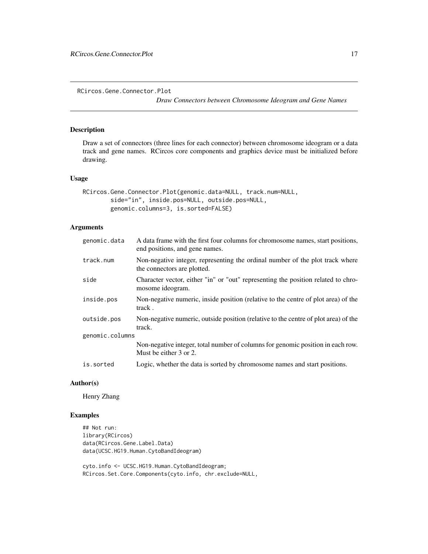<span id="page-16-0"></span>RCircos.Gene.Connector.Plot

*Draw Connectors between Chromosome Ideogram and Gene Names*

## Description

Draw a set of connectors (three lines for each connector) between chromosome ideogram or a data track and gene names. RCircos core components and graphics device must be initialized before drawing.

#### Usage

```
RCircos.Gene.Connector.Plot(genomic.data=NULL, track.num=NULL,
       side="in", inside.pos=NULL, outside.pos=NULL,
       genomic.columns=3, is.sorted=FALSE)
```
# Arguments

| genomic.data    | A data frame with the first four columns for chromosome names, start positions,<br>end positions, and gene names. |
|-----------------|-------------------------------------------------------------------------------------------------------------------|
| track.num       | Non-negative integer, representing the ordinal number of the plot track where<br>the connectors are plotted.      |
| side            | Character vector, either "in" or "out" representing the position related to chro-<br>mosome ideogram.             |
| inside.pos      | Non-negative numeric, inside position (relative to the centre of plot area) of the<br>track.                      |
| outside.pos     | Non-negative numeric, outside position (relative to the centre of plot area) of the<br>track.                     |
| genomic.columns |                                                                                                                   |
|                 | Non-negative integer, total number of columns for genomic position in each row.<br>Must be either 3 or 2.         |
| is.sorted       | Logic, whether the data is sorted by chromosome names and start positions.                                        |

#### Author(s)

Henry Zhang

# Examples

## Not run: library(RCircos) data(RCircos.Gene.Label.Data) data(UCSC.HG19.Human.CytoBandIdeogram)

cyto.info <- UCSC.HG19.Human.CytoBandIdeogram; RCircos.Set.Core.Components(cyto.info, chr.exclude=NULL,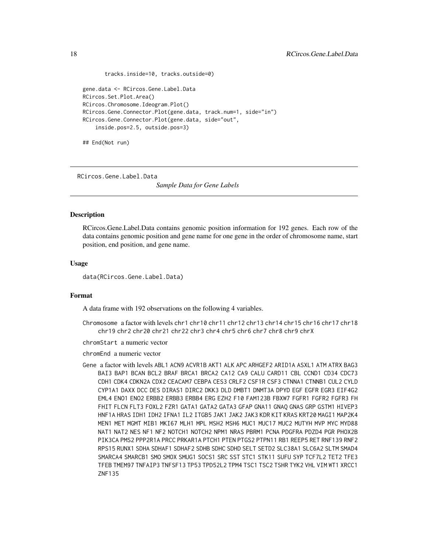```
tracks.inside=10, tracks.outside=0)
gene.data <- RCircos.Gene.Label.Data
RCircos.Set.Plot.Area()
RCircos.Chromosome.Ideogram.Plot()
RCircos.Gene.Connector.Plot(gene.data, track.num=1, side="in")
RCircos.Gene.Connector.Plot(gene.data, side="out",
    inside.pos=2.5, outside.pos=3)
```
## End(Not run)

RCircos.Gene.Label.Data

*Sample Data for Gene Labels*

## **Description**

RCircos.Gene.Label.Data contains genomic position information for 192 genes. Each row of the data contains genomic position and gene name for one gene in the order of chromosome name, start position, end position, and gene name.

#### Usage

data(RCircos.Gene.Label.Data)

## Format

A data frame with 192 observations on the following 4 variables.

Chromosome a factor with levels chr1 chr10 chr11 chr12 chr13 chr14 chr15 chr16 chr17 chr18 chr19 chr2 chr20 chr21 chr22 chr3 chr4 chr5 chr6 chr7 chr8 chr9 chrX

chromStart a numeric vector

chromEnd a numeric vector

Gene a factor with levels ABL1 ACN9 ACVR1B AKT1 ALK APC ARHGEF2 ARID1A ASXL1 ATM ATRX BAG3 BAI3 BAP1 BCAN BCL2 BRAF BRCA1 BRCA2 CA12 CA9 CALU CARD11 CBL CCND1 CD34 CDC73 CDH1 CDK4 CDKN2A CDX2 CEACAM7 CEBPA CES3 CRLF2 CSF1R CSF3 CTNNA1 CTNNB1 CUL2 CYLD CYP1A1 DAXX DCC DES DIRAS1 DIRC2 DKK3 DLD DMBT1 DNMT3A DPYD EGF EGFR EGR3 EIF4G2 EML4 ENO1 ENO2 ERBB2 ERBB3 ERBB4 ERG EZH2 F10 FAM123B FBXW7 FGFR1 FGFR2 FGFR3 FH FHIT FLCN FLT3 FOXL2 FZR1 GATA1 GATA2 GATA3 GFAP GNA11 GNAQ GNAS GRP GSTM1 HIVEP3 HNF1A HRAS IDH1 IDH2 IFNA1 IL2 ITGB5 JAK1 JAK2 JAK3 KDR KIT KRAS KRT20 MAGI1 MAP2K4 MEN1 MET MGMT MIB1 MKI67 MLH1 MPL MSH2 MSH6 MUC1 MUC17 MUC2 MUTYH MVP MYC MYD88 NAT1 NAT2 NES NF1 NF2 NOTCH1 NOTCH2 NPM1 NRAS PBRM1 PCNA PDGFRA PDZD4 PGR PHOX2B PIK3CA PMS2 PPP2R1A PRCC PRKAR1A PTCH1 PTEN PTGS2 PTPN11 RB1 REEP5 RET RNF139 RNF2 RPS15 RUNX1 SDHA SDHAF1 SDHAF2 SDHB SDHC SDHD SELT SETD2 SLC38A1 SLC6A2 SLTM SMAD4 SMARCA4 SMARCB1 SMO SMOX SMUG1 SOCS1 SRC SST STC1 STK11 SUFU SYP TCF7L2 TET2 TFE3 TFEB TMEM97 TNFAIP3 TNFSF13 TP53 TPD52L2 TPM4 TSC1 TSC2 TSHR TYK2 VHL VIM WT1 XRCC1 ZNF135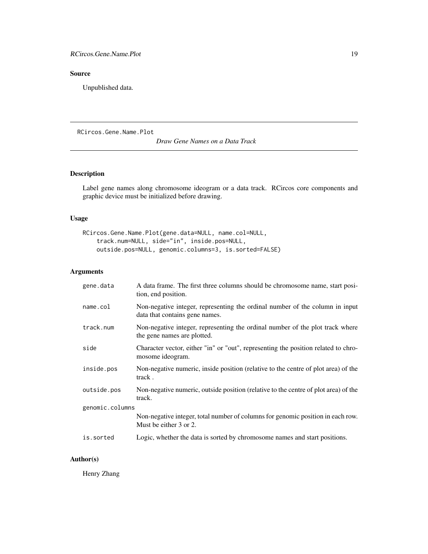# <span id="page-18-0"></span>Source

Unpublished data.

RCircos.Gene.Name.Plot

*Draw Gene Names on a Data Track*

# Description

Label gene names along chromosome ideogram or a data track. RCircos core components and graphic device must be initialized before drawing.

# Usage

```
RCircos.Gene.Name.Plot(gene.data=NULL, name.col=NULL,
    track.num=NULL, side="in", inside.pos=NULL,
   outside.pos=NULL, genomic.columns=3, is.sorted=FALSE)
```
# Arguments

| gene.data       | A data frame. The first three columns should be chromosome name, start posi-<br>tion, end position.            |  |
|-----------------|----------------------------------------------------------------------------------------------------------------|--|
| name.col        | Non-negative integer, representing the ordinal number of the column in input<br>data that contains gene names. |  |
| track.num       | Non-negative integer, representing the ordinal number of the plot track where<br>the gene names are plotted.   |  |
| side            | Character vector, either "in" or "out", representing the position related to chro-<br>mosome ideogram.         |  |
| inside.pos      | Non-negative numeric, inside position (relative to the centre of plot area) of the<br>track.                   |  |
| outside.pos     | Non-negative numeric, outside position (relative to the centre of plot area) of the<br>track.                  |  |
| genomic.columns |                                                                                                                |  |
|                 | Non-negative integer, total number of columns for genomic position in each row.<br>Must be either 3 or 2.      |  |
| is.sorted       | Logic, whether the data is sorted by chromosome names and start positions.                                     |  |
|                 |                                                                                                                |  |

# Author(s)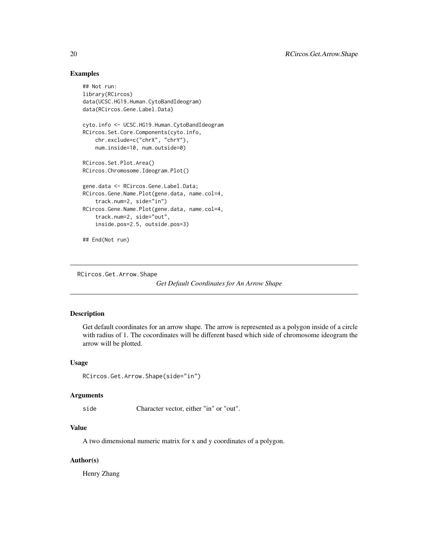## Examples

```
## Not run:
library(RCircos)
data(UCSC.HG19.Human.CytoBandIdeogram)
data(RCircos.Gene.Label.Data)
cyto.info <- UCSC.HG19.Human.CytoBandIdeogram
RCircos.Set.Core.Components(cyto.info,
    chr.exclude=c("chrX", "chrY"),
    num.inside=10, num.outside=0)
RCircos.Set.Plot.Area()
RCircos.Chromosome.Ideogram.Plot()
gene.data <- RCircos.Gene.Label.Data;
RCircos.Gene.Name.Plot(gene.data, name.col=4,
    track.num=2, side="in")
RCircos.Gene.Name.Plot(gene.data, name.col=4,
    track.num=2, side="out",
    inside.pos=2.5, outside.pos=3)
## End(Not run)
```
RCircos.Get.Arrow.Shape

*Get Default Coordinates for An Arrow Shape*

#### Description

Get default coordinates for an arrow shape. The arrow is represented as a polygon inside of a circle with radius of 1. The cocordinates will be different based which side of chromosome ideogram the arrow will be plotted.

## Usage

```
RCircos.Get.Arrow.Shape(side="in")
```
#### Arguments

side Character vector, either "in" or "out".

# Value

A two dimensional numeric matrix for x and y coordinates of a polygon.

# Author(s)

<span id="page-19-0"></span>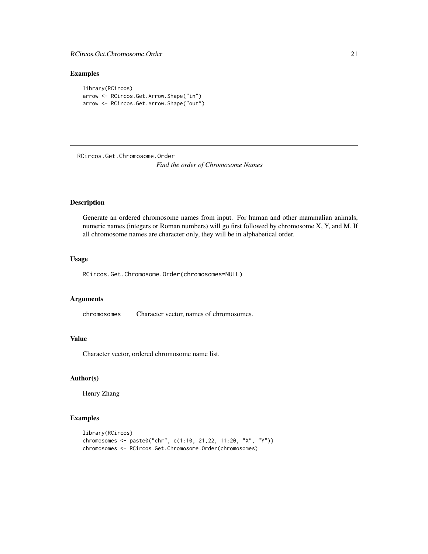# <span id="page-20-0"></span>Examples

```
library(RCircos)
arrow <- RCircos.Get.Arrow.Shape("in")
arrow <- RCircos.Get.Arrow.Shape("out")
```
RCircos.Get.Chromosome.Order

*Find the order of Chromosome Names*

# Description

Generate an ordered chromosome names from input. For human and other mammalian animals, numeric names (integers or Roman numbers) will go first followed by chromosome X, Y, and M. If all chromosome names are character only, they will be in alphabetical order.

# Usage

RCircos.Get.Chromosome.Order(chromosomes=NULL)

#### Arguments

chromosomes Character vector, names of chromosomes.

# Value

Character vector, ordered chromosome name list.

#### Author(s)

Henry Zhang

# Examples

```
library(RCircos)
chromosomes <- paste0("chr", c(1:10, 21,22, 11:20, "X", "Y"))
chromosomes <- RCircos.Get.Chromosome.Order(chromosomes)
```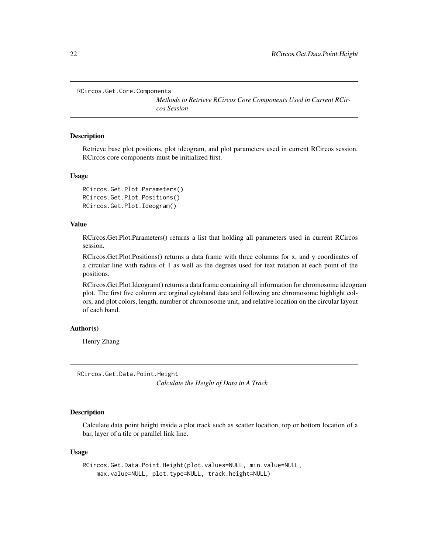<span id="page-21-0"></span>RCircos.Get.Core.Components

*Methods to Retrieve RCircos Core Components Used in Current RCircos Session*

#### Description

Retrieve base plot positions, plot ideogram, and plot parameters used in current RCircos session. RCircos core components must be initialized first.

#### Usage

```
RCircos.Get.Plot.Parameters()
RCircos.Get.Plot.Positions()
RCircos.Get.Plot.Ideogram()
```
## Value

RCircos.Get.Plot.Parameters() returns a list that holding all parameters used in current RCircos session.

RCircos.Get.Plot.Positions() returns a data frame with three columns for x, and y coordinates of a circular line with radius of 1 as well as the degrees used for text rotation at each point of the positions.

RCircos.Get.Plot.Ideogram() returns a data frame containing all information for chromosome ideogram plot. The first five column are orginal cytoband data and following are chromosome highlight colors, and plot colors, length, number of chromosome unit, and relative location on the circular layout of each band.

#### Author(s)

Henry Zhang

RCircos.Get.Data.Point.Height *Calculate the Height of Data in A Track*

#### Description

Calculate data point height inside a plot track such as scatter location, top or bottom location of a bar, layer of a tile or parallel link line.

#### Usage

```
RCircos.Get.Data.Point.Height(plot.values=NULL, min.value=NULL,
   max.value=NULL, plot.type=NULL, track.height=NULL)
```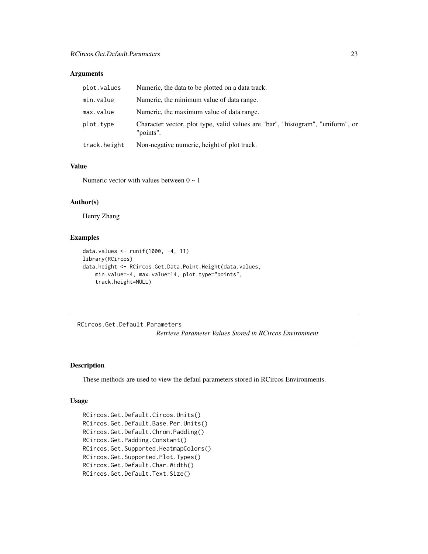# <span id="page-22-0"></span>Arguments

| plot.values  | Numeric, the data to be plotted on a data track.                                             |
|--------------|----------------------------------------------------------------------------------------------|
| min.value    | Numeric, the minimum value of data range.                                                    |
| max.value    | Numeric, the maximum value of data range.                                                    |
| plot.type    | Character vector, plot type, valid values are "bar", "histogram", "uniform", or<br>"points". |
| track.height | Non-negative numeric, height of plot track.                                                  |

#### Value

Numeric vector with values between  $0 \sim 1$ 

# Author(s)

Henry Zhang

## Examples

```
data.values <- runif(1000, -4, 11)
library(RCircos)
data.height <- RCircos.Get.Data.Point.Height(data.values,
   min.value=-4, max.value=14, plot.type="points",
   track.height=NULL)
```
RCircos.Get.Default.Parameters *Retrieve Parameter Values Stored in RCircos Environment*

# Description

These methods are used to view the defaul parameters stored in RCircos Environments.

## Usage

```
RCircos.Get.Default.Circos.Units()
RCircos.Get.Default.Base.Per.Units()
RCircos.Get.Default.Chrom.Padding()
RCircos.Get.Padding.Constant()
RCircos.Get.Supported.HeatmapColors()
RCircos.Get.Supported.Plot.Types()
RCircos.Get.Default.Char.Width()
RCircos.Get.Default.Text.Size()
```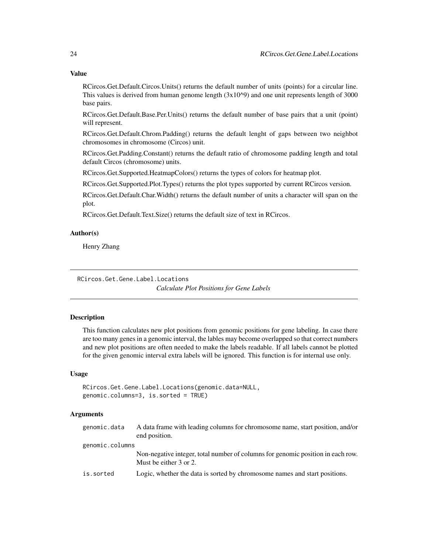RCircos.Get.Default.Circos.Units() returns the default number of units (points) for a circular line. This values is derived from human genome length  $(3x10^{\text{o}})$  and one unit represents length of 3000 base pairs.

RCircos.Get.Default.Base.Per.Units() returns the default number of base pairs that a unit (point) will represent.

RCircos.Get.Default.Chrom.Padding() returns the default lenght of gaps between two neighbot chromosomes in chromosome (Circos) unit.

RCircos.Get.Padding.Constant() returns the default ratio of chromosome padding length and total default Circos (chromosome) units.

RCircos.Get.Supported.HeatmapColors() returns the types of colors for heatmap plot.

RCircos.Get.Supported.Plot.Types() returns the plot types supported by current RCircos version.

RCircos.Get.Default.Char.Width() returns the default number of units a character will span on the plot.

RCircos.Get.Default.Text.Size() returns the default size of text in RCircos.

## Author(s)

Henry Zhang

RCircos.Get.Gene.Label.Locations

*Calculate Plot Positions for Gene Labels*

#### **Description**

This function calculates new plot positions from genomic positions for gene labeling. In case there are too many genes in a genomic interval, the lables may become overlapped so that correct numbers and new plot positions are often needed to make the labels readable. If all labels cannot be plotted for the given genomic interval extra labels will be ignored. This function is for internal use only.

## Usage

```
RCircos.Get.Gene.Label.Locations(genomic.data=NULL,
genomic.columns=3, is.sorted = TRUE)
```
## Arguments

| genomic.data    | A data frame with leading columns for chromosome name, start position, and/or<br>end position.            |
|-----------------|-----------------------------------------------------------------------------------------------------------|
| genomic.columns |                                                                                                           |
|                 | Non-negative integer, total number of columns for genomic position in each row.<br>Must be either 3 or 2. |
| is.sorted       | Logic, whether the data is sorted by chromosome names and start positions.                                |

<span id="page-23-0"></span>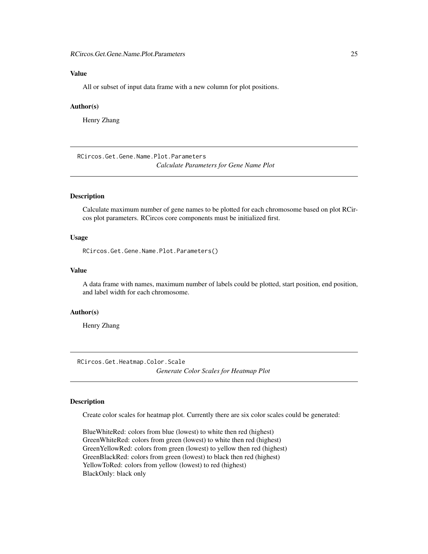# <span id="page-24-0"></span>Value

All or subset of input data frame with a new column for plot positions.

## Author(s)

Henry Zhang

RCircos.Get.Gene.Name.Plot.Parameters *Calculate Parameters for Gene Name Plot*

# Description

Calculate maximum number of gene names to be plotted for each chromosome based on plot RCircos plot parameters. RCircos core components must be initialized first.

## Usage

RCircos.Get.Gene.Name.Plot.Parameters()

## Value

A data frame with names, maximum number of labels could be plotted, start position, end position, and label width for each chromosome.

#### Author(s)

Henry Zhang

RCircos.Get.Heatmap.Color.Scale *Generate Color Scales for Heatmap Plot*

## **Description**

Create color scales for heatmap plot. Currently there are six color scales could be generated:

BlueWhiteRed: colors from blue (lowest) to white then red (highest) GreenWhiteRed: colors from green (lowest) to white then red (highest) GreenYellowRed: colors from green (lowest) to yellow then red (highest) GreenBlackRed: colors from green (lowest) to black then red (highest) YellowToRed: colors from yellow (lowest) to red (highest) BlackOnly: black only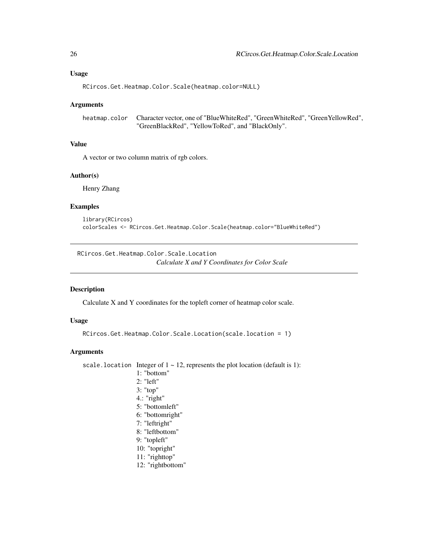<span id="page-25-0"></span>RCircos.Get.Heatmap.Color.Scale(heatmap.color=NULL)

#### Arguments

heatmap.color Character vector, one of "BlueWhiteRed", "GreenWhiteRed", "GreenYellowRed", "GreenBlackRed", "YellowToRed", and "BlackOnly".

#### Value

A vector or two column matrix of rgb colors.

### Author(s)

Henry Zhang

#### Examples

```
library(RCircos)
colorScales <- RCircos.Get.Heatmap.Color.Scale(heatmap.color="BlueWhiteRed")
```
RCircos.Get.Heatmap.Color.Scale.Location *Calculate X and Y Coordinates for Color Scale*

#### Description

Calculate X and Y coordinates for the topleft corner of heatmap color scale.

#### Usage

```
RCircos.Get.Heatmap.Color.Scale.Location(scale.location = 1)
```
#### Arguments

```
scale.location Integer of 1 \sim 12, represents the plot location (default is 1):
                    1: "bottom"
                   2: "left"
                   3: "top"
                   4.: "right"
                   5: "bottomleft"
                   6: "bottomright"
                   7: "leftright"
                   8: "leftbottom"
                   9: "topleft"
                    10: "topright"
                    11: "righttop"
                    12: "rightbottom"
```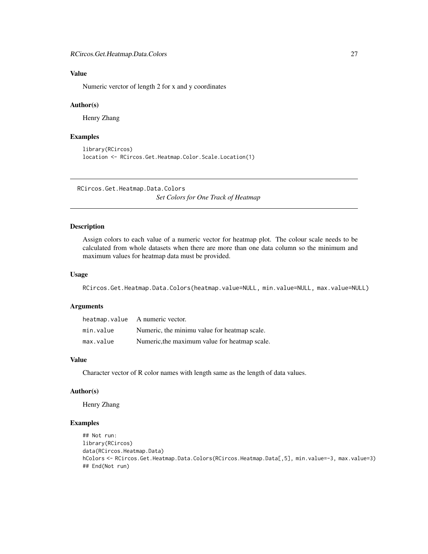# <span id="page-26-0"></span>Value

Numeric verctor of length 2 for x and y coordinates

#### Author(s)

Henry Zhang

## Examples

```
library(RCircos)
location <- RCircos.Get.Heatmap.Color.Scale.Location(1)
```
RCircos.Get.Heatmap.Data.Colors *Set Colors for One Track of Heatmap*

# Description

Assign colors to each value of a numeric vector for heatmap plot. The colour scale needs to be calculated from whole datasets when there are more than one data column so the minimum and maximum values for heatmap data must be provided.

#### Usage

RCircos.Get.Heatmap.Data.Colors(heatmap.value=NULL, min.value=NULL, max.value=NULL)

## Arguments

|           | heatmap.value A numeric vector.               |
|-----------|-----------------------------------------------|
| min.value | Numeric, the minimu value for heatmap scale.  |
| max.value | Numeric, the maximum value for heatmap scale. |

# Value

Character vector of R color names with length same as the length of data values.

#### Author(s)

Henry Zhang

## Examples

```
## Not run:
library(RCircos)
data(RCircos.Heatmap.Data)
hColors <- RCircos.Get.Heatmap.Data.Colors(RCircos.Heatmap.Data[,5], min.value=-3, max.value=3)
## End(Not run)
```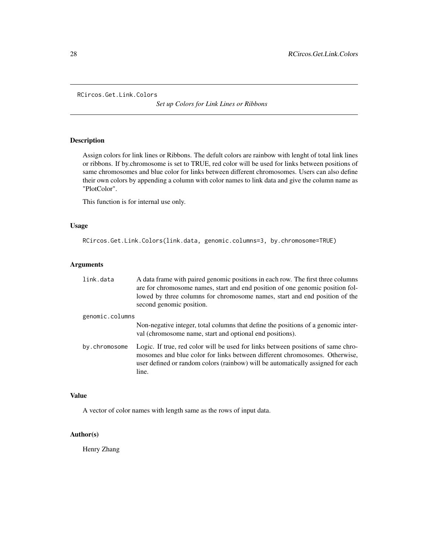```
RCircos.Get.Link.Colors
```
*Set up Colors for Link Lines or Ribbons*

# Description

Assign colors for link lines or Ribbons. The defult colors are rainbow with lenght of total link lines or ribbons. If by.chromosome is set to TRUE, red color will be used for links between positions of same chromosomes and blue color for links between different chromosomes. Users can also define their own colors by appending a column with color names to link data and give the column name as "PlotColor".

This function is for internal use only.

# Usage

```
RCircos.Get.Link.Colors(link.data, genomic.columns=3, by.chromosome=TRUE)
```
# Arguments

| link.data       | A data frame with paired genomic positions in each row. The first three columns<br>are for chromosome names, start and end position of one genomic position fol-<br>lowed by three columns for chromosome names, start and end position of the<br>second genomic position. |
|-----------------|----------------------------------------------------------------------------------------------------------------------------------------------------------------------------------------------------------------------------------------------------------------------------|
| genomic.columns |                                                                                                                                                                                                                                                                            |
|                 | Non-negative integer, total columns that define the positions of a genomic inter-<br>val (chromosome name, start and optional end positions).                                                                                                                              |
| by.chromosome   | Logic. If true, red color will be used for links between positions of same chro-<br>mosomes and blue color for links between different chromosomes. Otherwise,<br>user defined or random colors (rainbow) will be automatically assigned for each<br>line.                 |

## Value

A vector of color names with length same as the rows of input data.

# Author(s)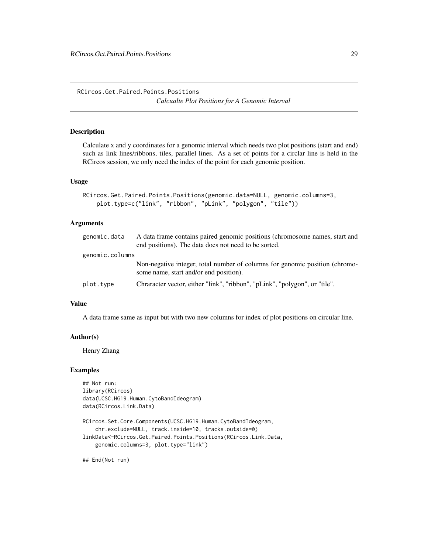<span id="page-28-0"></span>RCircos.Get.Paired.Points.Positions *Calcualte Plot Positions for A Genomic Interval*

# Description

Calculate x and y coordinates for a genomic interval which needs two plot positions (start and end) such as link lines/ribbons, tiles, parallel lines. As a set of points for a circlar line is held in the RCircos session, we only need the index of the point for each genomic position.

#### Usage

```
RCircos.Get.Paired.Points.Positions(genomic.data=NULL, genomic.columns=3,
   plot.type=c("link", "ribbon", "pLink", "polygon", "tile"))
```
## Arguments

| genomic.data    | A data frame contains paired genomic positions (chromosome names, start and |
|-----------------|-----------------------------------------------------------------------------|
|                 | end positions). The data does not need to be sorted.                        |
| genomic.columns |                                                                             |
|                 | Non-negative integer, total number of columns for genomic position (chromo- |
|                 | some name, start and/or end position).                                      |
| plot.type       | Chraracter vector, either "link", "ribbon", "pLink", "polygon", or "tile".  |

## Value

A data frame same as input but with two new columns for index of plot positions on circular line.

#### Author(s)

Henry Zhang

#### Examples

```
## Not run:
library(RCircos)
data(UCSC.HG19.Human.CytoBandIdeogram)
data(RCircos.Link.Data)
```

```
RCircos.Set.Core.Components(UCSC.HG19.Human.CytoBandIdeogram,
    chr.exclude=NULL, track.inside=10, tracks.outside=0)
linkData<-RCircos.Get.Paired.Points.Positions(RCircos.Link.Data,
   genomic.columns=3, plot.type="link")
```
## End(Not run)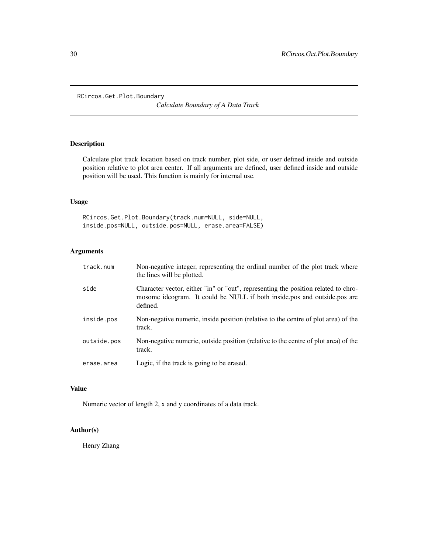<span id="page-29-0"></span>RCircos.Get.Plot.Boundary

*Calculate Boundary of A Data Track*

# Description

Calculate plot track location based on track number, plot side, or user defined inside and outside position relative to plot area center. If all arguments are defined, user defined inside and outside position will be used. This function is mainly for internal use.

## Usage

RCircos.Get.Plot.Boundary(track.num=NULL, side=NULL, inside.pos=NULL, outside.pos=NULL, erase.area=FALSE)

# Arguments

| track.num   | Non-negative integer, representing the ordinal number of the plot track where<br>the lines will be plotted.                                                                |
|-------------|----------------------------------------------------------------------------------------------------------------------------------------------------------------------------|
| side        | Character vector, either "in" or "out", representing the position related to chro-<br>mosome ideogram. It could be NULL if both inside.pos and outside.pos are<br>defined. |
| inside.pos  | Non-negative numeric, inside position (relative to the centre of plot area) of the<br>track.                                                                               |
| outside.pos | Non-negative numeric, outside position (relative to the centre of plot area) of the<br>track.                                                                              |
| erase.area  | Logic, if the track is going to be erased.                                                                                                                                 |

# Value

Numeric vector of length 2, x and y coordinates of a data track.

#### Author(s)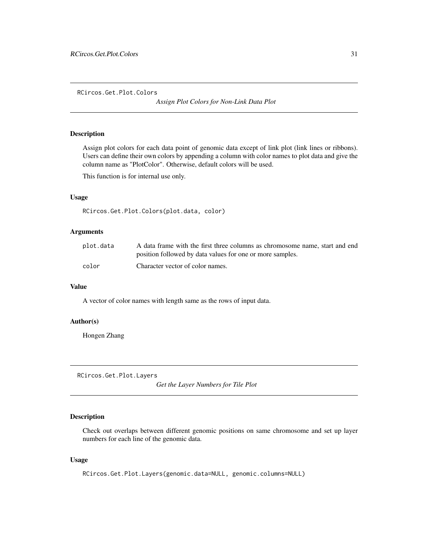<span id="page-30-0"></span>RCircos.Get.Plot.Colors

*Assign Plot Colors for Non-Link Data Plot*

# Description

Assign plot colors for each data point of genomic data except of link plot (link lines or ribbons). Users can define their own colors by appending a column with color names to plot data and give the column name as "PlotColor". Otherwise, default colors will be used.

This function is for internal use only.

#### Usage

RCircos.Get.Plot.Colors(plot.data, color)

## Arguments

| plot.data | A data frame with the first three columns as chromosome name, start and end |
|-----------|-----------------------------------------------------------------------------|
|           | position followed by data values for one or more samples.                   |
| color     | Character vector of color names.                                            |

## Value

A vector of color names with length same as the rows of input data.

## Author(s)

Hongen Zhang

RCircos.Get.Plot.Layers

*Get the Layer Numbers for Tile Plot*

## Description

Check out overlaps between different genomic positions on same chromosome and set up layer numbers for each line of the genomic data.

#### Usage

RCircos.Get.Plot.Layers(genomic.data=NULL, genomic.columns=NULL)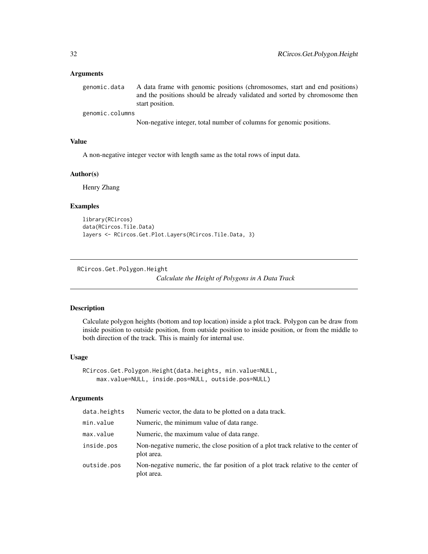#### <span id="page-31-0"></span>Arguments

genomic.data A data frame with genomic positions (chromosomes, start and end positions) and the positions should be already validated and sorted by chromosome then start position.

genomic.columns

Non-negative integer, total number of columns for genomic positions.

# Value

A non-negative integer vector with length same as the total rows of input data.

## Author(s)

Henry Zhang

#### Examples

```
library(RCircos)
data(RCircos.Tile.Data)
layers <- RCircos.Get.Plot.Layers(RCircos.Tile.Data, 3)
```
RCircos.Get.Polygon.Height

*Calculate the Height of Polygons in A Data Track*

#### Description

Calculate polygon heights (bottom and top location) inside a plot track. Polygon can be draw from inside position to outside position, from outside position to inside position, or from the middle to both direction of the track. This is mainly for internal use.

## Usage

```
RCircos.Get.Polygon.Height(data.heights, min.value=NULL,
   max.value=NULL, inside.pos=NULL, outside.pos=NULL)
```
#### Arguments

| Numeric, the minimum value of data range.                                                        |
|--------------------------------------------------------------------------------------------------|
| Numeric, the maximum value of data range.                                                        |
| Non-negative numeric, the close position of a plot track relative to the center of<br>plot area. |
| Non-negative numeric, the far position of a plot track relative to the center of<br>plot area.   |
|                                                                                                  |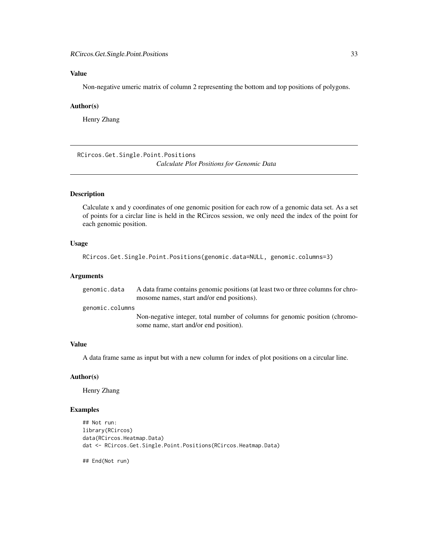# <span id="page-32-0"></span>Value

Non-negative umeric matrix of column 2 representing the bottom and top positions of polygons.

### Author(s)

Henry Zhang

RCircos.Get.Single.Point.Positions *Calculate Plot Positions for Genomic Data*

#### Description

Calculate x and y coordinates of one genomic position for each row of a genomic data set. As a set of points for a circlar line is held in the RCircos session, we only need the index of the point for each genomic position.

#### Usage

```
RCircos.Get.Single.Point.Positions(genomic.data=NULL, genomic.columns=3)
```
## Arguments

| genomic.data    | A data frame contains genomic positions (at least two or three columns for chro-<br>mosome names, start and/or end positions). |
|-----------------|--------------------------------------------------------------------------------------------------------------------------------|
| genomic.columns |                                                                                                                                |
|                 | Non-negative integer, total number of columns for genomic position (chromo-<br>some name, start and/or end position).          |

# Value

A data frame same as input but with a new column for index of plot positions on a circular line.

#### Author(s)

Henry Zhang

#### Examples

```
## Not run:
library(RCircos)
data(RCircos.Heatmap.Data)
dat <- RCircos.Get.Single.Point.Positions(RCircos.Heatmap.Data)
```
## End(Not run)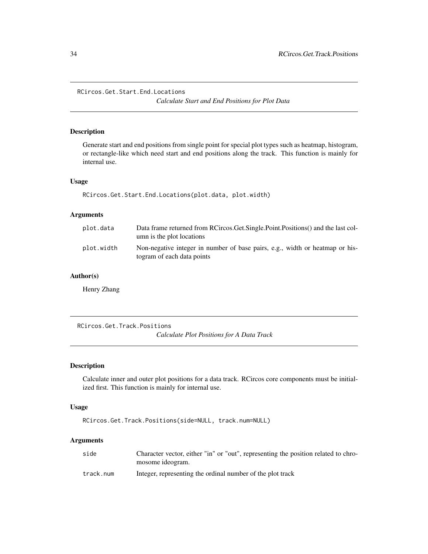<span id="page-33-0"></span>RCircos.Get.Start.End.Locations

*Calculate Start and End Positions for Plot Data*

## Description

Generate start and end positions from single point for special plot types such as heatmap, histogram, or rectangle-like which need start and end positions along the track. This function is mainly for internal use.

# Usage

RCircos.Get.Start.End.Locations(plot.data, plot.width)

#### Arguments

| plot.data  | Data frame returned from RCircos. Get. Single. Point. Positions () and the last col-<br>umn is the plot locations |
|------------|-------------------------------------------------------------------------------------------------------------------|
| plot.width | Non-negative integer in number of base pairs, e.g., width or heatmap or his-<br>togram of each data points        |

## Author(s)

Henry Zhang

RCircos.Get.Track.Positions

*Calculate Plot Positions for A Data Track*

## Description

Calculate inner and outer plot positions for a data track. RCircos core components must be initialized first. This function is mainly for internal use.

#### Usage

```
RCircos.Get.Track.Positions(side=NULL, track.num=NULL)
```
## Arguments

| side      | Character vector, either "in" or "out", representing the position related to chro-<br>mosome ideogram. |
|-----------|--------------------------------------------------------------------------------------------------------|
| track.num | Integer, representing the ordinal number of the plot track                                             |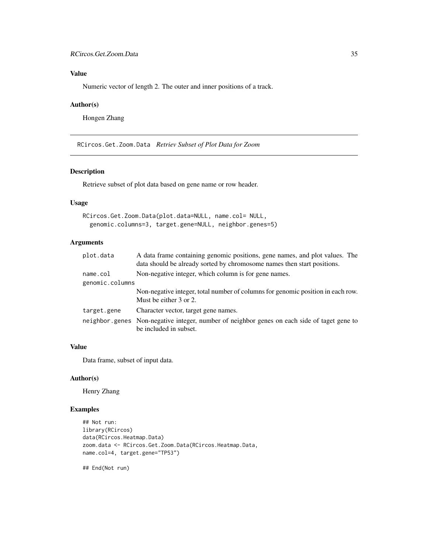# <span id="page-34-0"></span>Value

Numeric vector of length 2. The outer and inner positions of a track.

# Author(s)

Hongen Zhang

RCircos.Get.Zoom.Data *Retriev Subset of Plot Data for Zoom*

#### Description

Retrieve subset of plot data based on gene name or row header.

#### Usage

```
RCircos.Get.Zoom.Data(plot.data=NULL, name.col= NULL,
  genomic.columns=3, target.gene=NULL, neighbor.genes=5)
```
# Arguments

| A data frame containing genomic positions, gene names, and plot values. The<br>data should be already sorted by chromosome names then start positions. |
|--------------------------------------------------------------------------------------------------------------------------------------------------------|
| Non-negative integer, which column is for gene names.                                                                                                  |
| genomic.columns                                                                                                                                        |
| Non-negative integer, total number of columns for genomic position in each row.<br>Must be either 3 or 2.                                              |
| Character vector, target gene names.                                                                                                                   |
| neighbor genes Non-negative integer, number of neighbor genes on each side of taget gene to<br>be included in subset.                                  |
|                                                                                                                                                        |

# Value

Data frame, subset of input data.

## Author(s)

Henry Zhang

# Examples

```
## Not run:
library(RCircos)
data(RCircos.Heatmap.Data)
zoom.data <- RCircos.Get.Zoom.Data(RCircos.Heatmap.Data,
name.col=4, target.gene="TP53")
```
## End(Not run)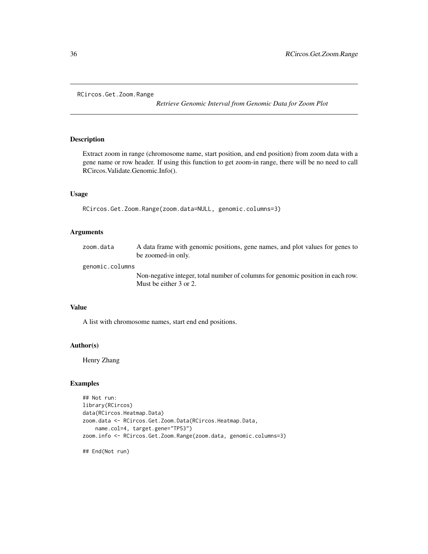<span id="page-35-0"></span>RCircos.Get.Zoom.Range

*Retrieve Genomic Interval from Genomic Data for Zoom Plot*

# Description

Extract zoom in range (chromosome name, start position, and end position) from zoom data with a gene name or row header. If using this function to get zoom-in range, there will be no need to call RCircos.Validate.Genomic.Info().

#### Usage

```
RCircos.Get.Zoom.Range(zoom.data=NULL, genomic.columns=3)
```
#### Arguments

| zoom.data       | A data frame with genomic positions, gene names, and plot values for genes to<br>be zoomed-in only. |
|-----------------|-----------------------------------------------------------------------------------------------------|
| genomic.columns |                                                                                                     |
|                 | Non-negative integer, total number of columns for genomic position in each row.                     |
|                 | Must be either 3 or 2.                                                                              |

## Value

A list with chromosome names, start end end positions.

## Author(s)

Henry Zhang

# Examples

```
## Not run:
library(RCircos)
data(RCircos.Heatmap.Data)
zoom.data <- RCircos.Get.Zoom.Data(RCircos.Heatmap.Data,
   name.col=4, target.gene="TP53")
zoom.info <- RCircos.Get.Zoom.Range(zoom.data, genomic.columns=3)
```
## End(Not run)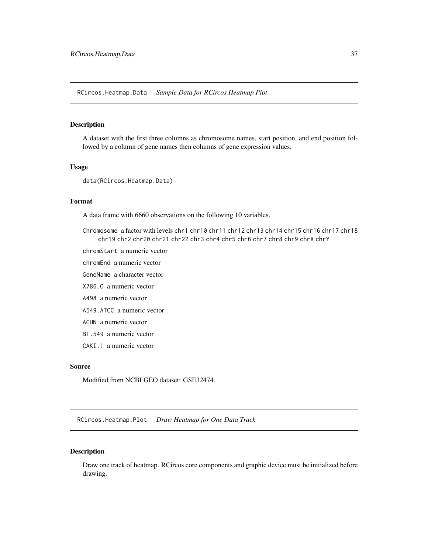RCircos.Heatmap.Data *Sample Data for RCircos Heatmap Plot*

### Description

A dataset with the first three columns as chromosome names, start position, and end position followed by a column of gene names then columns of gene expression values.

#### Usage

data(RCircos.Heatmap.Data)

#### Format

A data frame with 6660 observations on the following 10 variables.

- Chromosome a factor with levels chr1 chr10 chr11 chr12 chr13 chr14 chr15 chr16 chr17 chr18 chr19 chr2 chr20 chr21 chr22 chr3 chr4 chr5 chr6 chr7 chr8 chr9 chrX chrY
- chromStart a numeric vector
- chromEnd a numeric vector
- GeneName a character vector
- X786.O a numeric vector
- A498 a numeric vector
- A549.ATCC a numeric vector
- ACHN a numeric vector
- BT.549 a numeric vector
- CAKI.1 a numeric vector

## Source

Modified from NCBI GEO dataset: GSE32474.

RCircos.Heatmap.Plot *Draw Heatmap for One Data Track*

## Description

Draw one track of heatmap. RCircos core components and graphic device must be initialized before drawing.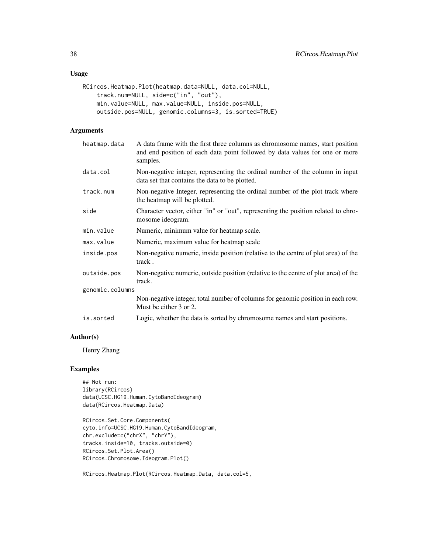# Usage

```
RCircos.Heatmap.Plot(heatmap.data=NULL, data.col=NULL,
    track.num=NULL, side=c("in", "out"),
    min.value=NULL, max.value=NULL, inside.pos=NULL,
    outside.pos=NULL, genomic.columns=3, is.sorted=TRUE)
```
# Arguments

| heatmap.data    | A data frame with the first three columns as chromosome names, start position<br>and end position of each data point followed by data values for one or more<br>samples. |
|-----------------|--------------------------------------------------------------------------------------------------------------------------------------------------------------------------|
| data.col        | Non-negative integer, representing the ordinal number of the column in input<br>data set that contains the data to be plotted.                                           |
| track.num       | Non-negative Integer, representing the ordinal number of the plot track where<br>the heatmap will be plotted.                                                            |
| side            | Character vector, either "in" or "out", representing the position related to chro-<br>mosome ideogram.                                                                   |
| min.value       | Numeric, minimum value for heatmap scale.                                                                                                                                |
| max.value       | Numeric, maximum value for heatmap scale                                                                                                                                 |
| inside.pos      | Non-negative numeric, inside position (relative to the centre of plot area) of the<br>track.                                                                             |
| outside.pos     | Non-negative numeric, outside position (relative to the centre of plot area) of the<br>track.                                                                            |
| genomic.columns |                                                                                                                                                                          |
|                 | Non-negative integer, total number of columns for genomic position in each row.<br>Must be either 3 or 2.                                                                |
| is.sorted       | Logic, whether the data is sorted by chromosome names and start positions.                                                                                               |

# Author(s)

Henry Zhang

## Examples

## Not run: library(RCircos) data(UCSC.HG19.Human.CytoBandIdeogram) data(RCircos.Heatmap.Data)

RCircos.Set.Core.Components( cyto.info=UCSC.HG19.Human.CytoBandIdeogram, chr.exclude=c("chrX", "chrY"), tracks.inside=10, tracks.outside=0) RCircos.Set.Plot.Area() RCircos.Chromosome.Ideogram.Plot()

RCircos.Heatmap.Plot(RCircos.Heatmap.Data, data.col=5,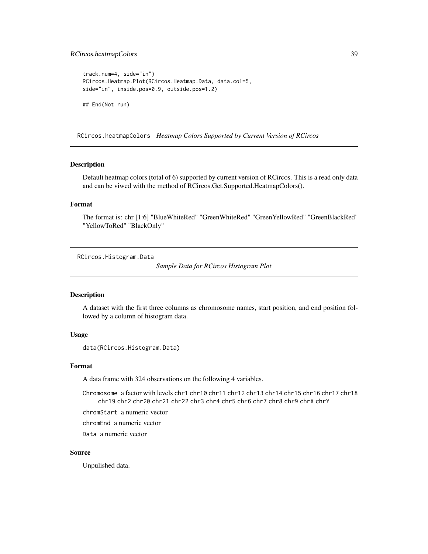## RCircos.heatmapColors 39

```
track.num=4, side="in")
RCircos.Heatmap.Plot(RCircos.Heatmap.Data, data.col=5,
side="in", inside.pos=0.9, outside.pos=1.2)
## End(Not run)
```
RCircos.heatmapColors *Heatmap Colors Supported by Current Version of RCircos*

#### Description

Default heatmap colors (total of 6) supported by current version of RCircos. This is a read only data and can be viwed with the method of RCircos.Get.Supported.HeatmapColors().

### Format

The format is: chr [1:6] "BlueWhiteRed" "GreenWhiteRed" "GreenYellowRed" "GreenBlackRed" "YellowToRed" "BlackOnly"

RCircos.Histogram.Data

*Sample Data for RCircos Histogram Plot*

#### Description

A dataset with the first three columns as chromosome names, start position, and end position followed by a column of histogram data.

#### Usage

```
data(RCircos.Histogram.Data)
```
### Format

A data frame with 324 observations on the following 4 variables.

Chromosome a factor with levels chr1 chr10 chr11 chr12 chr13 chr14 chr15 chr16 chr17 chr18 chr19 chr2 chr20 chr21 chr22 chr3 chr4 chr5 chr6 chr7 chr8 chr9 chrX chrY

chromStart a numeric vector

chromEnd a numeric vector

Data a numeric vector

#### Source

Unpulished data.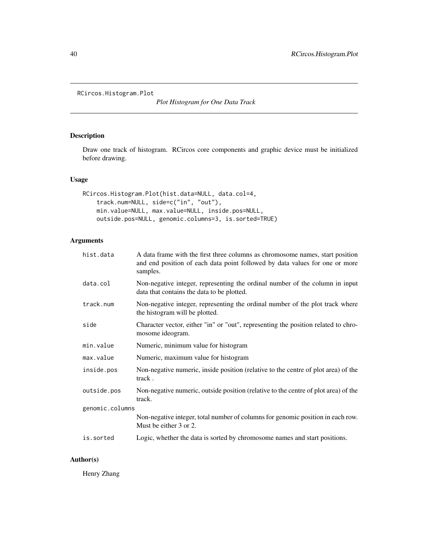```
RCircos.Histogram.Plot
```
*Plot Histogram for One Data Track*

# Description

Draw one track of histogram. RCircos core components and graphic device must be initialized before drawing.

## Usage

```
RCircos.Histogram.Plot(hist.data=NULL, data.col=4,
   track.num=NULL, side=c("in", "out"),
   min.value=NULL, max.value=NULL, inside.pos=NULL,
   outside.pos=NULL, genomic.columns=3, is.sorted=TRUE)
```
# Arguments

| hist.data       | A data frame with the first three columns as chromosome names, start position<br>and end position of each data point followed by data values for one or more<br>samples. |
|-----------------|--------------------------------------------------------------------------------------------------------------------------------------------------------------------------|
| data.col        | Non-negative integer, representing the ordinal number of the column in input<br>data that contains the data to be plotted.                                               |
| track.num       | Non-negative integer, representing the ordinal number of the plot track where<br>the histogram will be plotted.                                                          |
| side            | Character vector, either "in" or "out", representing the position related to chro-<br>mosome ideogram.                                                                   |
| min.value       | Numeric, minimum value for histogram                                                                                                                                     |
| max.value       | Numeric, maximum value for histogram                                                                                                                                     |
| inside.pos      | Non-negative numeric, inside position (relative to the centre of plot area) of the<br>track.                                                                             |
| outside.pos     | Non-negative numeric, outside position (relative to the centre of plot area) of the<br>track.                                                                            |
| genomic.columns |                                                                                                                                                                          |
|                 | Non-negative integer, total number of columns for genomic position in each row.<br>Must be either 3 or 2.                                                                |
| is.sorted       | Logic, whether the data is sorted by chromosome names and start positions.                                                                                               |

## Author(s)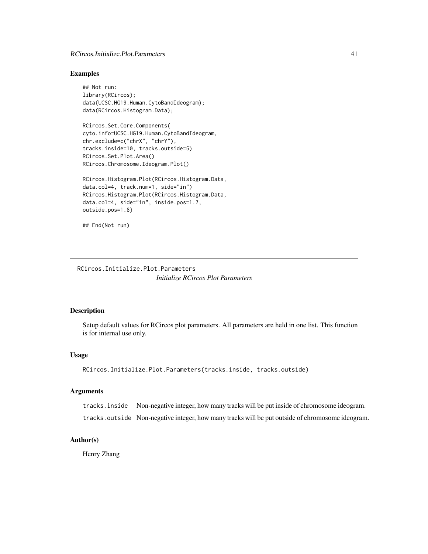### RCircos.Initialize.Plot.Parameters 41

### Examples

```
## Not run:
library(RCircos);
data(UCSC.HG19.Human.CytoBandIdeogram);
data(RCircos.Histogram.Data);
```
RCircos.Set.Core.Components( cyto.info=UCSC.HG19.Human.CytoBandIdeogram, chr.exclude=c("chrX", "chrY"), tracks.inside=10, tracks.outside=5) RCircos.Set.Plot.Area() RCircos.Chromosome.Ideogram.Plot()

```
RCircos.Histogram.Plot(RCircos.Histogram.Data,
data.col=4, track.num=1, side="in")
RCircos.Histogram.Plot(RCircos.Histogram.Data,
data.col=4, side="in", inside.pos=1.7,
outside.pos=1.8)
```

```
## End(Not run)
```
RCircos.Initialize.Plot.Parameters *Initialize RCircos Plot Parameters*

## Description

Setup default values for RCircos plot parameters. All parameters are held in one list. This function is for internal use only.

#### Usage

```
RCircos.Initialize.Plot.Parameters(tracks.inside, tracks.outside)
```
#### Arguments

tracks.inside Non-negative integer, how many tracks will be put inside of chromosome ideogram.

tracks.outside Non-negative integer, how many tracks will be put outside of chromosome ideogram.

## Author(s)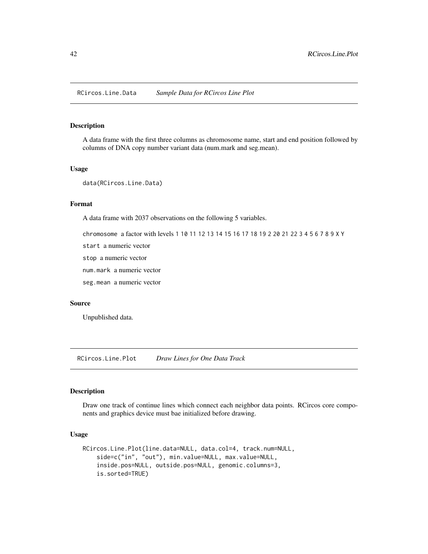RCircos.Line.Data *Sample Data for RCircos Line Plot*

#### Description

A data frame with the first three columns as chromosome name, start and end position followed by columns of DNA copy number variant data (num.mark and seg.mean).

## Usage

data(RCircos.Line.Data)

## Format

A data frame with 2037 observations on the following 5 variables.

chromosome a factor with levels 1 10 11 12 13 14 15 16 17 18 19 2 20 21 22 3 4 5 6 7 8 9 X Y

start a numeric vector

stop a numeric vector

num.mark a numeric vector

seg.mean a numeric vector

## Source

Unpublished data.

RCircos.Line.Plot *Draw Lines for One Data Track*

#### Description

Draw one track of continue lines which connect each neighbor data points. RCircos core components and graphics device must bae initialized before drawing.

### Usage

```
RCircos.Line.Plot(line.data=NULL, data.col=4, track.num=NULL,
    side=c("in", "out"), min.value=NULL, max.value=NULL,
    inside.pos=NULL, outside.pos=NULL, genomic.columns=3,
   is.sorted=TRUE)
```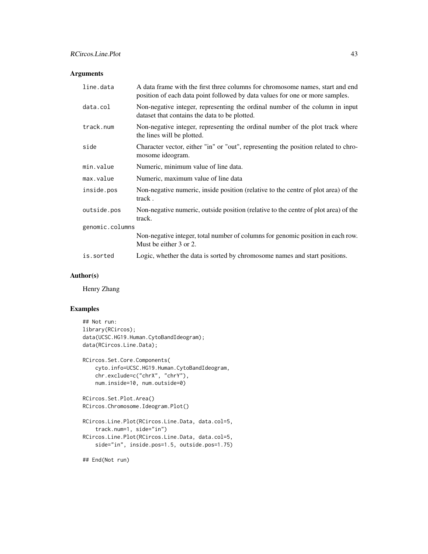# Arguments

| line.data       | A data frame with the first three columns for chromosome names, start and end<br>position of each data point followed by data values for one or more samples. |  |
|-----------------|---------------------------------------------------------------------------------------------------------------------------------------------------------------|--|
| data.col        | Non-negative integer, representing the ordinal number of the column in input<br>dataset that contains the data to be plotted.                                 |  |
| track.num       | Non-negative integer, representing the ordinal number of the plot track where<br>the lines will be plotted.                                                   |  |
| side            | Character vector, either "in" or "out", representing the position related to chro-<br>mosome ideogram.                                                        |  |
| min.value       | Numeric, minimum value of line data.                                                                                                                          |  |
| max.value       | Numeric, maximum value of line data                                                                                                                           |  |
| inside.pos      | Non-negative numeric, inside position (relative to the centre of plot area) of the<br>track.                                                                  |  |
| outside.pos     | Non-negative numeric, outside position (relative to the centre of plot area) of the<br>track.                                                                 |  |
| genomic.columns |                                                                                                                                                               |  |
|                 | Non-negative integer, total number of columns for genomic position in each row.<br>Must be either 3 or 2.                                                     |  |
| is.sorted       | Logic, whether the data is sorted by chromosome names and start positions.                                                                                    |  |

## Author(s)

Henry Zhang

## Examples

```
## Not run:
library(RCircos);
data(UCSC.HG19.Human.CytoBandIdeogram);
data(RCircos.Line.Data);
RCircos.Set.Core.Components(
    cyto.info=UCSC.HG19.Human.CytoBandIdeogram,
    chr.exclude=c("chrX", "chrY"),
   num.inside=10, num.outside=0)
RCircos.Set.Plot.Area()
RCircos.Chromosome.Ideogram.Plot()
RCircos.Line.Plot(RCircos.Line.Data, data.col=5,
   track.num=1, side="in")
RCircos.Line.Plot(RCircos.Line.Data, data.col=5,
   side="in", inside.pos=1.5, outside.pos=1.75)
```
## End(Not run)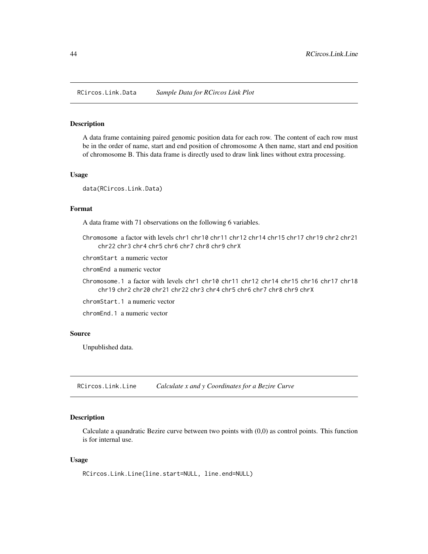RCircos.Link.Data *Sample Data for RCircos Link Plot*

### Description

A data frame containing paired genomic position data for each row. The content of each row must be in the order of name, start and end position of chromosome A then name, start and end position of chromosome B. This data frame is directly used to draw link lines without extra processing.

## Usage

data(RCircos.Link.Data)

#### Format

A data frame with 71 observations on the following 6 variables.

Chromosome a factor with levels chr1 chr10 chr11 chr12 chr14 chr15 chr17 chr19 chr2 chr21 chr22 chr3 chr4 chr5 chr6 chr7 chr8 chr9 chrX

chromStart a numeric vector

chromEnd a numeric vector

Chromosome.1 a factor with levels chr1 chr10 chr11 chr12 chr14 chr15 chr16 chr17 chr18 chr19 chr2 chr20 chr21 chr22 chr3 chr4 chr5 chr6 chr7 chr8 chr9 chrX

chromStart.1 a numeric vector

chromEnd.1 a numeric vector

#### Source

Unpublished data.

RCircos.Link.Line *Calculate x and y Coordinates for a Bezire Curve*

#### Description

Calculate a quandratic Bezire curve between two points with (0,0) as control points. This function is for internal use.

### Usage

RCircos.Link.Line(line.start=NULL, line.end=NULL)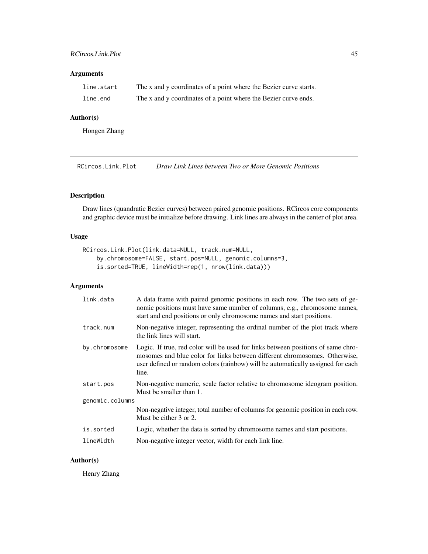## RCircos.Link.Plot 45

# Arguments

| line.start | The x and y coordinates of a point where the Bezier curve starts. |
|------------|-------------------------------------------------------------------|
| line.end   | The x and y coordinates of a point where the Bezier curve ends.   |

## Author(s)

Hongen Zhang

RCircos.Link.Plot *Draw Link Lines between Two or More Genomic Positions*

## Description

Draw lines (quandratic Bezier curves) between paired genomic positions. RCircos core components and graphic device must be initialize before drawing. Link lines are always in the center of plot area.

#### Usage

```
RCircos.Link.Plot(link.data=NULL, track.num=NULL,
   by.chromosome=FALSE, start.pos=NULL, genomic.columns=3,
    is.sorted=TRUE, lineWidth=rep(1, nrow(link.data)))
```
### Arguments

| link.data       | A data frame with paired genomic positions in each row. The two sets of ge-<br>nomic positions must have same number of columns, e.g., chromosome names,<br>start and end positions or only chromosome names and start positions.                          |  |
|-----------------|------------------------------------------------------------------------------------------------------------------------------------------------------------------------------------------------------------------------------------------------------------|--|
| track.num       | Non-negative integer, representing the ordinal number of the plot track where<br>the link lines will start.                                                                                                                                                |  |
| by.chromosome   | Logic. If true, red color will be used for links between positions of same chro-<br>mosomes and blue color for links between different chromosomes. Otherwise,<br>user defined or random colors (rainbow) will be automatically assigned for each<br>line. |  |
| start.pos       | Non-negative numeric, scale factor relative to chromosome ideogram position.<br>Must be smaller than 1.                                                                                                                                                    |  |
| genomic.columns |                                                                                                                                                                                                                                                            |  |
|                 | Non-negative integer, total number of columns for genomic position in each row.<br>Must be either 3 or 2.                                                                                                                                                  |  |
| is.sorted       | Logic, whether the data is sorted by chromosome names and start positions.                                                                                                                                                                                 |  |
| lineWidth       | Non-negative integer vector, width for each link line.                                                                                                                                                                                                     |  |

## Author(s)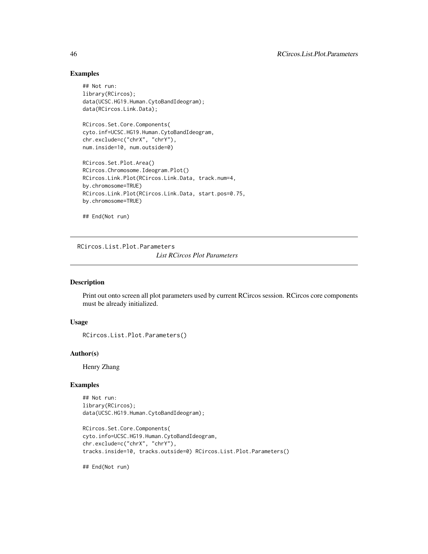### Examples

```
## Not run:
library(RCircos);
data(UCSC.HG19.Human.CytoBandIdeogram);
data(RCircos.Link.Data);
```

```
RCircos.Set.Core.Components(
cyto.inf=UCSC.HG19.Human.CytoBandIdeogram,
chr.exclude=c("chrX", "chrY"),
num.inside=10, num.outside=0)
```

```
RCircos.Set.Plot.Area()
RCircos.Chromosome.Ideogram.Plot()
RCircos.Link.Plot(RCircos.Link.Data, track.num=4,
by.chromosome=TRUE)
RCircos.Link.Plot(RCircos.Link.Data, start.pos=0.75,
by.chromosome=TRUE)
```

```
## End(Not run)
```
RCircos.List.Plot.Parameters *List RCircos Plot Parameters*

#### Description

Print out onto screen all plot parameters used by current RCircos session. RCircos core components must be already initialized.

#### Usage

```
RCircos.List.Plot.Parameters()
```
## Author(s)

Henry Zhang

## Examples

```
## Not run:
library(RCircos);
data(UCSC.HG19.Human.CytoBandIdeogram);
```

```
RCircos.Set.Core.Components(
cyto.info=UCSC.HG19.Human.CytoBandIdeogram,
chr.exclude=c("chrX", "chrY"),
tracks.inside=10, tracks.outside=0) RCircos.List.Plot.Parameters()
```
## End(Not run)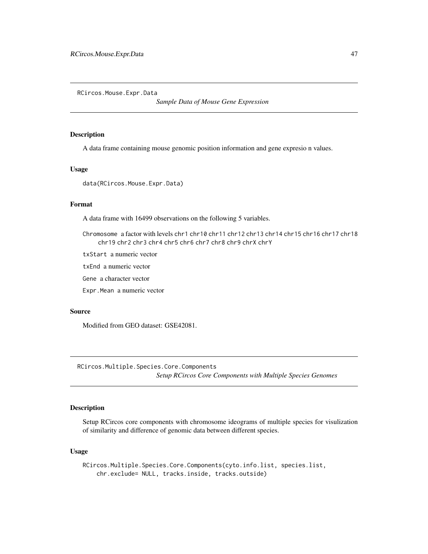RCircos.Mouse.Expr.Data

*Sample Data of Mouse Gene Expression*

## Description

A data frame containing mouse genomic position information and gene expresio n values.

## Usage

data(RCircos.Mouse.Expr.Data)

## Format

A data frame with 16499 observations on the following 5 variables.

Chromosome a factor with levels chr1 chr10 chr11 chr12 chr13 chr14 chr15 chr16 chr17 chr18 chr19 chr2 chr3 chr4 chr5 chr6 chr7 chr8 chr9 chrX chrY

txStart a numeric vector

txEnd a numeric vector

Gene a character vector

Expr.Mean a numeric vector

#### Source

Modified from GEO dataset: GSE42081.

RCircos.Multiple.Species.Core.Components *Setup RCircos Core Components with Multiple Species Genomes*

# Description

Setup RCircos core components with chromosome ideograms of multiple species for visulization of similarity and difference of genomic data between different species.

#### Usage

```
RCircos.Multiple.Species.Core.Components(cyto.info.list, species.list,
   chr.exclude= NULL, tracks.inside, tracks.outside)
```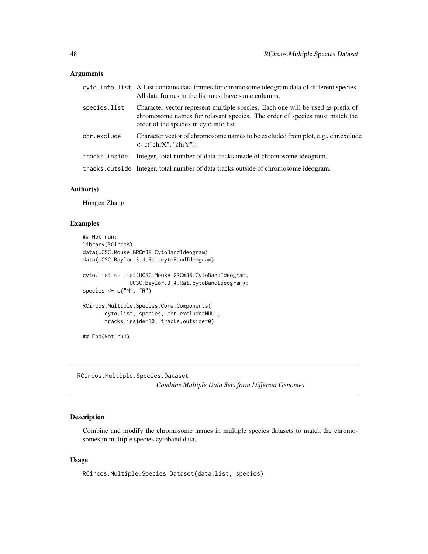#### Arguments

|               | cyto.info.list A List contains data frames for chromosome ideogram data of different species.<br>All data frames in the list must have same columns.                                                     |
|---------------|----------------------------------------------------------------------------------------------------------------------------------------------------------------------------------------------------------|
| species.list  | Character vector represent multiple species. Each one will be used as prefix of<br>chromosome names for relavant species. The order of species must match the<br>order of the species in cyto.info.list. |
| chr.exclude   | Character vector of chromosome names to be excluded from plot, e.g., chr. exclude<br>$\langle$ - c("chrX", "chrY");                                                                                      |
| tracks.inside | Integer, total number of data tracks inside of chromosome ideogram.                                                                                                                                      |
|               | tracks.outside Integer, total number of data tracks outside of chromosome ideogram.                                                                                                                      |

## Author(s)

Hongen Zhang

## Examples

```
## Not run:
library(RCircos)
data(UCSC.Mouse.GRCm38.CytoBandIdeogram)
data(UCSC.Baylor.3.4.Rat.cytoBandIdeogram)
cyto.list <- list(UCSC.Mouse.GRCm38.CytoBandIdeogram,
               UCSC.Baylor.3.4.Rat.cytoBandIdeogram);
species <- c("M", "R")
RCircos.Multiple.Species.Core.Components(
       cyto.list, species, chr.exclude=NULL,
       tracks.inside=10, tracks.outside=0)
## End(Not run)
```
RCircos.Multiple.Species.Dataset *Combine Multiple Data Sets form Different Genomes*

### Description

Combine and modify the chromosome names in multiple species datasets to match the chromosomes in multiple species cytoband data.

### Usage

```
RCircos.Multiple.Species.Dataset(data.list, species)
```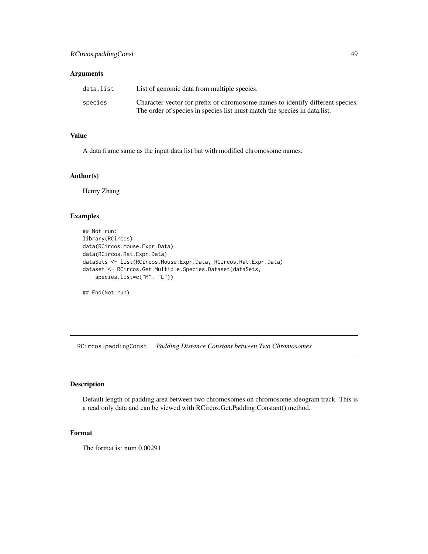### Arguments

| data.list | List of genomic data from multiple species.                                                                                                                  |
|-----------|--------------------------------------------------------------------------------------------------------------------------------------------------------------|
| species   | Character vector for prefix of chromosome names to identify different species.<br>The order of species in species list must match the species in data. list. |

# Value

A data frame same as the input data list but with modified chromosome names.

### Author(s)

Henry Zhang

### Examples

```
## Not run:
library(RCircos)
data(RCircos.Mouse.Expr.Data)
data(RCircos.Rat.Expr.Data)
dataSets <- list(RCircos.Mouse.Expr.Data, RCircos.Rat.Expr.Data)
dataset <- RCircos.Get.Multiple.Species.Dataset(dataSets,
    species.list=c("M", "L"))
## End(Not run)
```
RCircos.paddingConst *Padding Distance Constant between Two Chromosomes*

## Description

Default length of padding area between two chromosomes on chromosome ideogram track. This is a read only data and can be viewed with RCircos.Get.Padding.Constant() method.

### Format

The format is: num 0.00291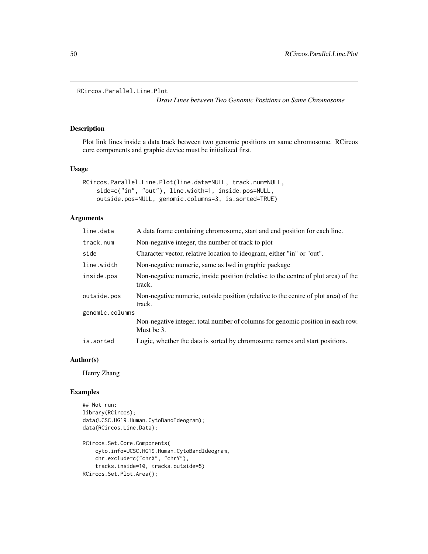```
RCircos.Parallel.Line.Plot
```
*Draw Lines between Two Genomic Positions on Same Chromosome*

## Description

Plot link lines inside a data track between two genomic positions on same chromosome. RCircos core components and graphic device must be initialized first.

#### Usage

```
RCircos.Parallel.Line.Plot(line.data=NULL, track.num=NULL,
    side=c("in", "out"), line.width=1, inside.pos=NULL,
    outside.pos=NULL, genomic.columns=3, is.sorted=TRUE)
```
#### Arguments

| line.data       | A data frame containing chromosome, start and end position for each line.                     |
|-----------------|-----------------------------------------------------------------------------------------------|
| track.num       | Non-negative integer, the number of track to plot                                             |
| side            | Character vector, relative location to ideogram, either "in" or "out".                        |
| line.width      | Non-negative numeric, same as lwd in graphic package                                          |
| inside.pos      | Non-negative numeric, inside position (relative to the centre of plot area) of the<br>track.  |
| outside.pos     | Non-negative numeric, outside position (relative to the centre of plot area) of the<br>track. |
| genomic.columns |                                                                                               |
|                 | Non-negative integer, total number of columns for genomic position in each row.<br>Must be 3. |
| is.sorted       | Logic, whether the data is sorted by chromosome names and start positions.                    |

#### Author(s)

Henry Zhang

### Examples

```
## Not run:
library(RCircos);
data(UCSC.HG19.Human.CytoBandIdeogram);
data(RCircos.Line.Data);
RCircos.Set.Core.Components(
    cyto.info=UCSC.HG19.Human.CytoBandIdeogram,
    chr.exclude=c("chrX", "chrY"),
```
tracks.inside=10, tracks.outside=5) RCircos.Set.Plot.Area();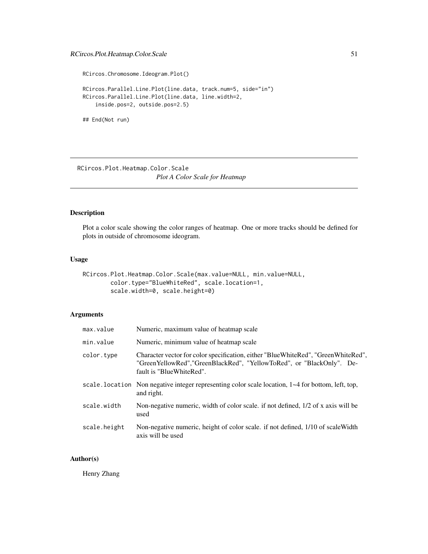```
RCircos.Chromosome.Ideogram.Plot()
RCircos.Parallel.Line.Plot(line.data, track.num=5, side="in")
RCircos.Parallel.Line.Plot(line.data, line.width=2,
    inside.pos=2, outside.pos=2.5)
```
## End(Not run)

RCircos.Plot.Heatmap.Color.Scale *Plot A Color Scale for Heatmap*

### Description

Plot a color scale showing the color ranges of heatmap. One or more tracks should be defined for plots in outside of chromosome ideogram.

### Usage

```
RCircos.Plot.Heatmap.Color.Scale(max.value=NULL, min.value=NULL,
        color.type="BlueWhiteRed", scale.location=1,
        scale.width=0, scale.height=0)
```
## Arguments

| max.value    | Numeric, maximum value of heatmap scale                                                                                                                                                |
|--------------|----------------------------------------------------------------------------------------------------------------------------------------------------------------------------------------|
| min.value    | Numeric, minimum value of heatmap scale                                                                                                                                                |
| color.type   | Character vector for color specification, either "BlueWhiteRed", "GreenWhiteRed",<br>"GreenYellowRed", "GreenBlackRed", "YellowToRed", or "BlackOnly". De-<br>fault is "BlueWhiteRed". |
|              | scale. location Non negative integer representing color scale location, $1-4$ for bottom, left, top,<br>and right.                                                                     |
| scale.width  | Non-negative numeric, width of color scale. if not defined, 1/2 of x axis will be<br>used                                                                                              |
| scale.height | Non-negative numeric, height of color scale. if not defined, 1/10 of scale Width<br>axis will be used                                                                                  |

## Author(s)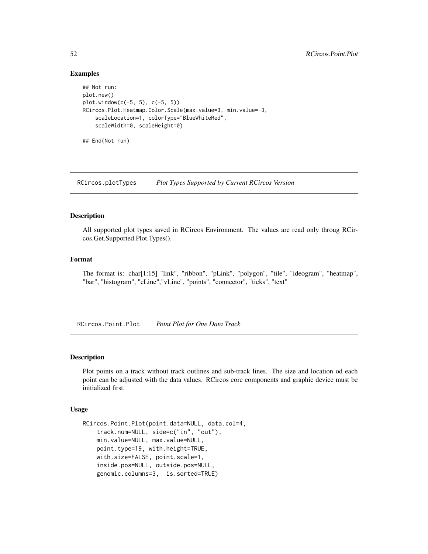### Examples

```
## Not run:
plot.new()
plot.window(c(-5, 5), c(-5, 5))
RCircos.Plot.Heatmap.Color.Scale(max.value=3, min.value=-3,
    scaleLocation=1, colorType="BlueWhiteRed",
    scaleWidth=0, scaleHeight=0)
## End(Not run)
```
RCircos.plotTypes *Plot Types Supported by Current RCircos Version*

#### Description

All supported plot types saved in RCircos Environment. The values are read only throug RCircos.Get.Supported.Plot.Types().

#### Format

The format is: char[1:15] "link", "ribbon", "pLink", "polygon", "tile", "ideogram", "heatmap", "bar", "histogram", "cLine","vLine", "points", "connector", "ticks", "text"

RCircos.Point.Plot *Point Plot for One Data Track*

# Description

Plot points on a track without track outlines and sub-track lines. The size and location od each point can be adjusted with the data values. RCircos core components and graphic device must be initialized first.

#### Usage

```
RCircos.Point.Plot(point.data=NULL, data.col=4,
    track.num=NULL, side=c("in", "out"),
   min.value=NULL, max.value=NULL,
   point.type=19, with.height=TRUE,
   with.size=FALSE, point.scale=1,
    inside.pos=NULL, outside.pos=NULL,
   genomic.columns=3, is.sorted=TRUE)
```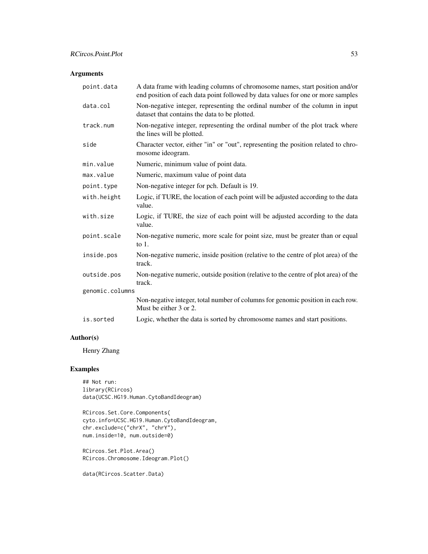# Arguments

| point.data      | A data frame with leading columns of chromosome names, start position and/or<br>end position of each data point followed by data values for one or more samples |
|-----------------|-----------------------------------------------------------------------------------------------------------------------------------------------------------------|
| data.col        | Non-negative integer, representing the ordinal number of the column in input<br>dataset that contains the data to be plotted.                                   |
| track.num       | Non-negative integer, representing the ordinal number of the plot track where<br>the lines will be plotted.                                                     |
| side            | Character vector, either "in" or "out", representing the position related to chro-<br>mosome ideogram.                                                          |
| min.value       | Numeric, minimum value of point data.                                                                                                                           |
| max.value       | Numeric, maximum value of point data                                                                                                                            |
| point.type      | Non-negative integer for pch. Default is 19.                                                                                                                    |
| with.height     | Logic, if TURE, the location of each point will be adjusted according to the data<br>value.                                                                     |
| with.size       | Logic, if TURE, the size of each point will be adjusted according to the data<br>value.                                                                         |
| point.scale     | Non-negative numeric, more scale for point size, must be greater than or equal<br>to $1$ .                                                                      |
| inside.pos      | Non-negative numeric, inside position (relative to the centre of plot area) of the<br>track.                                                                    |
| outside.pos     | Non-negative numeric, outside position (relative to the centre of plot area) of the<br>track.                                                                   |
| genomic.columns |                                                                                                                                                                 |
|                 | Non-negative integer, total number of columns for genomic position in each row.<br>Must be either 3 or 2.                                                       |
| is.sorted       | Logic, whether the data is sorted by chromosome names and start positions.                                                                                      |

## Author(s)

Henry Zhang

# Examples

```
## Not run:
library(RCircos)
data(UCSC.HG19.Human.CytoBandIdeogram)
```

```
RCircos.Set.Core.Components(
cyto.info=UCSC.HG19.Human.CytoBandIdeogram,
chr.exclude=c("chrX", "chrY"),
num.inside=10, num.outside=0)
```
RCircos.Set.Plot.Area() RCircos.Chromosome.Ideogram.Plot()

data(RCircos.Scatter.Data)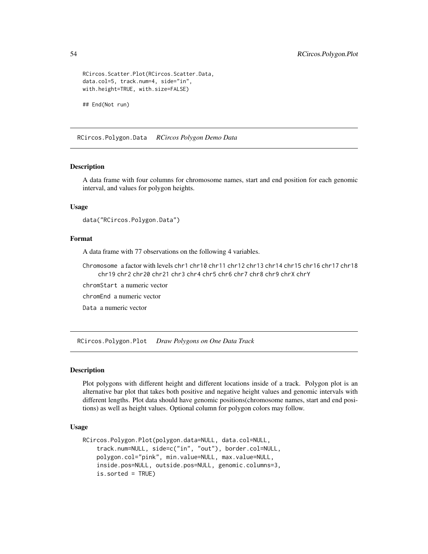```
RCircos.Scatter.Plot(RCircos.Scatter.Data,
data.col=5, track.num=4, side="in",
with.height=TRUE, with.size=FALSE)
```
## End(Not run)

RCircos.Polygon.Data *RCircos Polygon Demo Data*

#### Description

A data frame with four columns for chromosome names, start and end position for each genomic interval, and values for polygon heights.

#### Usage

```
data("RCircos.Polygon.Data")
```
## Format

A data frame with 77 observations on the following 4 variables.

Chromosome a factor with levels chr1 chr10 chr11 chr12 chr13 chr14 chr15 chr16 chr17 chr18 chr19 chr2 chr20 chr21 chr3 chr4 chr5 chr6 chr7 chr8 chr9 chrX chrY

chromStart a numeric vector

chromEnd a numeric vector

Data a numeric vector

RCircos.Polygon.Plot *Draw Polygons on One Data Track*

### Description

Plot polygons with different height and different locations inside of a track. Polygon plot is an alternative bar plot that takes both positive and negative height values and genomic intervals with different lengths. Plot data should have genomic positions(chromosome names, start and end positions) as well as height values. Optional column for polygon colors may follow.

#### Usage

```
RCircos.Polygon.Plot(polygon.data=NULL, data.col=NULL,
    track.num=NULL, side=c("in", "out"), border.col=NULL,
   polygon.col="pink", min.value=NULL, max.value=NULL,
    inside.pos=NULL, outside.pos=NULL, genomic.columns=3,
    is.sorted = TRUE)
```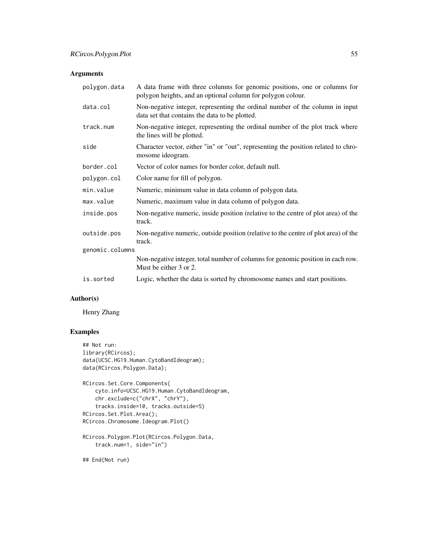# Arguments

| polygon.data    | A data frame with three columns for genomic positions, one or columns for<br>polygon heights, and an optional column for polygon colour. |
|-----------------|------------------------------------------------------------------------------------------------------------------------------------------|
| data.col        | Non-negative integer, representing the ordinal number of the column in input<br>data set that contains the data to be plotted.           |
| track.num       | Non-negative integer, representing the ordinal number of the plot track where<br>the lines will be plotted.                              |
| side            | Character vector, either "in" or "out", representing the position related to chro-<br>mosome ideogram.                                   |
| border.col      | Vector of color names for border color, default null.                                                                                    |
| polygon.col     | Color name for fill of polygon.                                                                                                          |
| min.value       | Numeric, minimum value in data column of polygon data.                                                                                   |
| max.value       | Numeric, maximum value in data column of polygon data.                                                                                   |
| inside.pos      | Non-negative numeric, inside position (relative to the centre of plot area) of the<br>track.                                             |
| outside.pos     | Non-negative numeric, outside position (relative to the centre of plot area) of the<br>track.                                            |
| genomic.columns |                                                                                                                                          |
|                 | Non-negative integer, total number of columns for genomic position in each row.<br>Must be either 3 or 2.                                |
| is.sorted       | Logic, whether the data is sorted by chromosome names and start positions.                                                               |

## Author(s)

Henry Zhang

# Examples

```
## Not run:
library(RCircos);
data(UCSC.HG19.Human.CytoBandIdeogram);
data(RCircos.Polygon.Data);
RCircos.Set.Core.Components(
   cyto.info=UCSC.HG19.Human.CytoBandIdeogram,
   chr.exclude=c("chrX", "chrY"),
    tracks.inside=10, tracks.outside=5)
RCircos.Set.Plot.Area();
RCircos.Chromosome.Ideogram.Plot()
RCircos.Polygon.Plot(RCircos.Polygon.Data,
   track.num=1, side="in")
## End(Not run)
```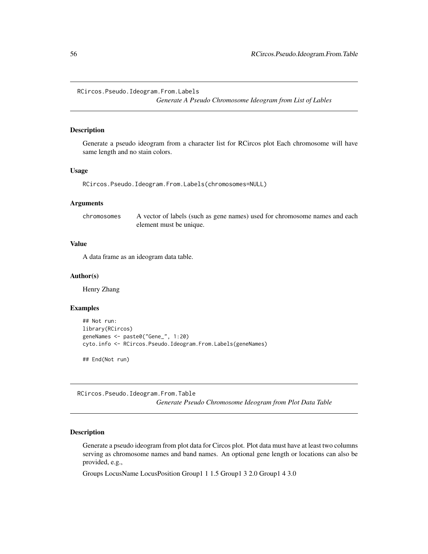RCircos.Pseudo.Ideogram.From.Labels

*Generate A Pseudo Chromosome Ideogram from List of Lables*

### Description

Generate a pseudo ideogram from a character list for RCircos plot Each chromosome will have same length and no stain colors.

#### Usage

RCircos.Pseudo.Ideogram.From.Labels(chromosomes=NULL)

### Arguments

| chromosomes | A vector of labels (such as gene names) used for chromosome names and each |
|-------------|----------------------------------------------------------------------------|
|             | element must be unique.                                                    |

## Value

A data frame as an ideogram data table.

#### Author(s)

Henry Zhang

### Examples

```
## Not run:
library(RCircos)
geneNames <- paste0("Gene_", 1:20)
cyto.info <- RCircos.Pseudo.Ideogram.From.Labels(geneNames)
```
## End(Not run)

RCircos.Pseudo.Ideogram.From.Table *Generate Pseudo Chromosome Ideogram from Plot Data Table*

## Description

Generate a pseudo ideogram from plot data for Circos plot. Plot data must have at least two columns serving as chromosome names and band names. An optional gene length or locations can also be provided, e.g.,

Groups LocusName LocusPosition Group1 1 1.5 Group1 3 2.0 Group1 4 3.0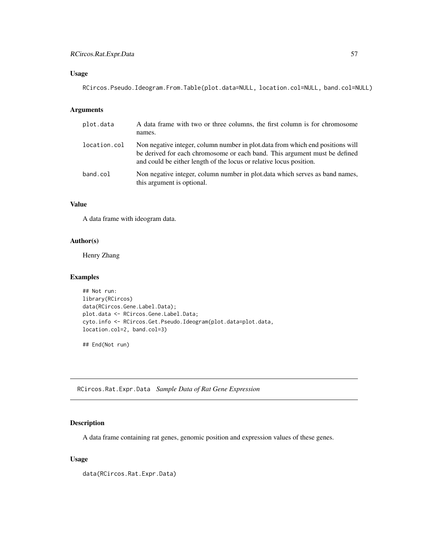## Usage

RCircos.Pseudo.Ideogram.From.Table(plot.data=NULL, location.col=NULL, band.col=NULL)

## Arguments

| plot.data    | A data frame with two or three columns, the first column is for chromosome<br>names.                                                                                                                                                |
|--------------|-------------------------------------------------------------------------------------------------------------------------------------------------------------------------------------------------------------------------------------|
| location.col | Non negative integer, column number in plot data from which end positions will<br>be derived for each chromosome or each band. This argument must be defined<br>and could be either length of the locus or relative locus position. |
| band.col     | Non negative integer, column number in plot data which serves as band names,<br>this argument is optional.                                                                                                                          |

# Value

A data frame with ideogram data.

## Author(s)

Henry Zhang

### Examples

```
## Not run:
library(RCircos)
data(RCircos.Gene.Label.Data);
plot.data <- RCircos.Gene.Label.Data;
cyto.info <- RCircos.Get.Pseudo.Ideogram(plot.data=plot.data,
location.col=2, band.col=3)
```
## End(Not run)

RCircos.Rat.Expr.Data *Sample Data of Rat Gene Expression*

## Description

A data frame containing rat genes, genomic position and expression values of these genes.

## Usage

data(RCircos.Rat.Expr.Data)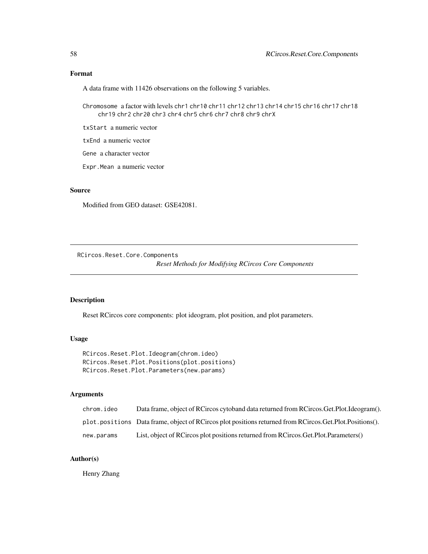## Format

A data frame with 11426 observations on the following 5 variables.

Chromosome a factor with levels chr1 chr10 chr11 chr12 chr13 chr14 chr15 chr16 chr17 chr18 chr19 chr2 chr20 chr3 chr4 chr5 chr6 chr7 chr8 chr9 chrX

txStart a numeric vector

txEnd a numeric vector

Gene a character vector

Expr.Mean a numeric vector

#### Source

Modified from GEO dataset: GSE42081.

RCircos.Reset.Core.Components

*Reset Methods for Modifying RCircos Core Components*

# Description

Reset RCircos core components: plot ideogram, plot position, and plot parameters.

# Usage

RCircos.Reset.Plot.Ideogram(chrom.ideo) RCircos.Reset.Plot.Positions(plot.positions) RCircos.Reset.Plot.Parameters(new.params)

## Arguments

| chrom.ideo | Data frame, object of RCircos cytoband data returned from RCircos. Get. Plot. Ideogram().                  |
|------------|------------------------------------------------------------------------------------------------------------|
|            | plot.positions Data frame, object of RCircos plot positions returned from RCircos. Get. Plot. Positions(). |
| new.params | List, object of RCircos plot positions returned from RCircos. Get. Plot. Parameters ()                     |

# Author(s)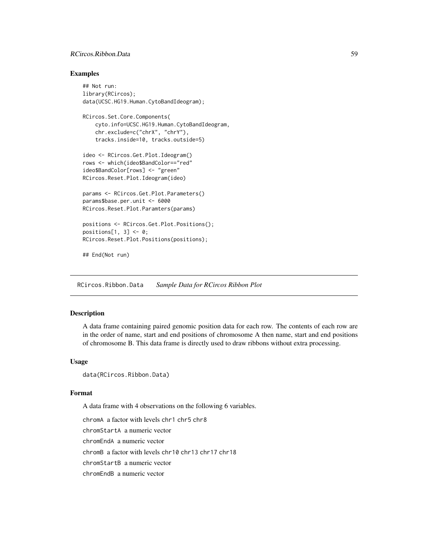## RCircos.Ribbon.Data 59

#### Examples

```
## Not run:
library(RCircos);
data(UCSC.HG19.Human.CytoBandIdeogram);
RCircos.Set.Core.Components(
    cyto.info=UCSC.HG19.Human.CytoBandIdeogram,
    chr.exclude=c("chrX", "chrY"),
    tracks.inside=10, tracks.outside=5)
ideo <- RCircos.Get.Plot.Ideogram()
rows <- which(ideo$BandColor=="red"
ideo$BandColor[rows] <- "green"
RCircos.Reset.Plot.Ideogram(ideo)
params <- RCircos.Get.Plot.Parameters()
params$base.per.unit <- 6000
RCircos.Reset.Plot.Paramters(params)
positions <- RCircos.Get.Plot.Positions();
positions[1, 3] <- 0;
RCircos.Reset.Plot.Positions(positions);
```
## End(Not run)

RCircos.Ribbon.Data *Sample Data for RCircos Ribbon Plot*

#### Description

A data frame containing paired genomic position data for each row. The contents of each row are in the order of name, start and end positions of chromosome A then name, start and end positions of chromosome B. This data frame is directly used to draw ribbons without extra processing.

## Usage

```
data(RCircos.Ribbon.Data)
```
#### Format

A data frame with 4 observations on the following 6 variables.

chromA a factor with levels chr1 chr5 chr8

chromStartA a numeric vector

chromEndA a numeric vector

chromB a factor with levels chr10 chr13 chr17 chr18

chromStartB a numeric vector

chromEndB a numeric vector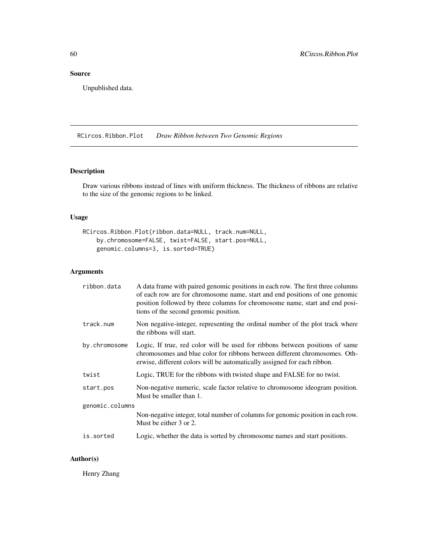# Source

Unpublished data.

RCircos.Ribbon.Plot *Draw Ribbon between Two Genomic Regions*

## Description

Draw various ribbons instead of lines with uniform thickness. The thickness of ribbons are relative to the size of the genomic regions to be linked.

## Usage

```
RCircos.Ribbon.Plot(ribbon.data=NULL, track.num=NULL,
    by.chromosome=FALSE, twist=FALSE, start.pos=NULL,
    genomic.columns=3, is.sorted=TRUE)
```
# Arguments

| ribbon.data     | A data frame with paired genomic positions in each row. The first three columns<br>of each row are for chromosome name, start and end positions of one genomic<br>position followed by three columns for chromosome name, start and end posi-<br>tions of the second genomic position. |  |
|-----------------|----------------------------------------------------------------------------------------------------------------------------------------------------------------------------------------------------------------------------------------------------------------------------------------|--|
| track.num       | Non negative-integer, representing the ordinal number of the plot track where<br>the ribbons will start.                                                                                                                                                                               |  |
| by.chromosome   | Logic, If true, red color will be used for ribbons between positions of same<br>chromosomes and blue color for ribbons between different chromosomes. Oth-<br>erwise, different colors will be automatically assigned for each ribbon.                                                 |  |
| twist           | Logic, TRUE for the ribbons with twisted shape and FALSE for no twist.                                                                                                                                                                                                                 |  |
| start.pos       | Non-negative numeric, scale factor relative to chromosome ideogram position.<br>Must be smaller than 1.                                                                                                                                                                                |  |
| genomic.columns |                                                                                                                                                                                                                                                                                        |  |
|                 | Non-negative integer, total number of columns for genomic position in each row.<br>Must be either 3 or 2.                                                                                                                                                                              |  |
| is.sorted       | Logic, whether the data is sorted by chromosome names and start positions.                                                                                                                                                                                                             |  |

# Author(s)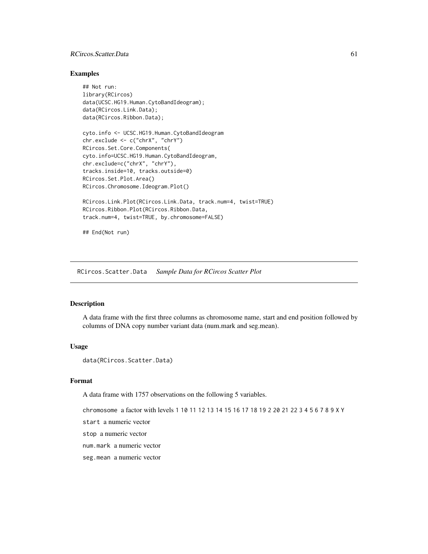## RCircos. Scatter. Data 61

## Examples

```
## Not run:
library(RCircos)
data(UCSC.HG19.Human.CytoBandIdeogram);
data(RCircos.Link.Data);
data(RCircos.Ribbon.Data);
cyto.info <- UCSC.HG19.Human.CytoBandIdeogram
chr.exclude <- c("chrX", "chrY")
RCircos.Set.Core.Components(
cyto.info=UCSC.HG19.Human.CytoBandIdeogram,
chr.exclude=c("chrX", "chrY"),
tracks.inside=10, tracks.outside=0)
RCircos.Set.Plot.Area()
RCircos.Chromosome.Ideogram.Plot()
RCircos.Link.Plot(RCircos.Link.Data, track.num=4, twist=TRUE)
RCircos.Ribbon.Plot(RCircos.Ribbon.Data,
track.num=4, twist=TRUE, by.chromosome=FALSE)
```
## End(Not run)

RCircos.Scatter.Data *Sample Data for RCircos Scatter Plot*

### Description

A data frame with the first three columns as chromosome name, start and end position followed by columns of DNA copy number variant data (num.mark and seg.mean).

### Usage

data(RCircos.Scatter.Data)

# Format

A data frame with 1757 observations on the following 5 variables.

chromosome a factor with levels 1 10 11 12 13 14 15 16 17 18 19 2 20 21 22 3 4 5 6 7 8 9 X Y

start a numeric vector

stop a numeric vector

num.mark a numeric vector

seg.mean a numeric vector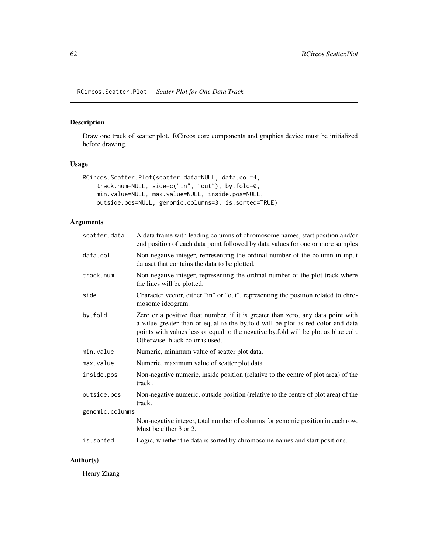RCircos.Scatter.Plot *Scater Plot for One Data Track*

## Description

Draw one track of scatter plot. RCircos core components and graphics device must be initialized before drawing.

#### Usage

```
RCircos.Scatter.Plot(scatter.data=NULL, data.col=4,
   track.num=NULL, side=c("in", "out"), by.fold=0,
   min.value=NULL, max.value=NULL, inside.pos=NULL,
   outside.pos=NULL, genomic.columns=3, is.sorted=TRUE)
```
## Arguments

| scatter.data    | A data frame with leading columns of chromosome names, start position and/or<br>end position of each data point followed by data values for one or more samples                                                                                                                               |
|-----------------|-----------------------------------------------------------------------------------------------------------------------------------------------------------------------------------------------------------------------------------------------------------------------------------------------|
| data.col        | Non-negative integer, representing the ordinal number of the column in input<br>dataset that contains the data to be plotted.                                                                                                                                                                 |
| track.num       | Non-negative integer, representing the ordinal number of the plot track where<br>the lines will be plotted.                                                                                                                                                                                   |
| side            | Character vector, either "in" or "out", representing the position related to chro-<br>mosome ideogram.                                                                                                                                                                                        |
| by.fold         | Zero or a positive float number, if it is greater than zero, any data point with<br>a value greater than or equal to the by fold will be plot as red color and data<br>points with values less or equal to the negative by fold will be plot as blue colr.<br>Otherwise, black color is used. |
| min.value       | Numeric, minimum value of scatter plot data.                                                                                                                                                                                                                                                  |
| max.value       | Numeric, maximum value of scatter plot data                                                                                                                                                                                                                                                   |
| inside.pos      | Non-negative numeric, inside position (relative to the centre of plot area) of the<br>track.                                                                                                                                                                                                  |
| outside.pos     | Non-negative numeric, outside position (relative to the centre of plot area) of the<br>track.                                                                                                                                                                                                 |
| genomic.columns |                                                                                                                                                                                                                                                                                               |
|                 | Non-negative integer, total number of columns for genomic position in each row.<br>Must be either 3 or 2.                                                                                                                                                                                     |
| is.sorted       | Logic, whether the data is sorted by chromosome names and start positions.                                                                                                                                                                                                                    |

### Author(s)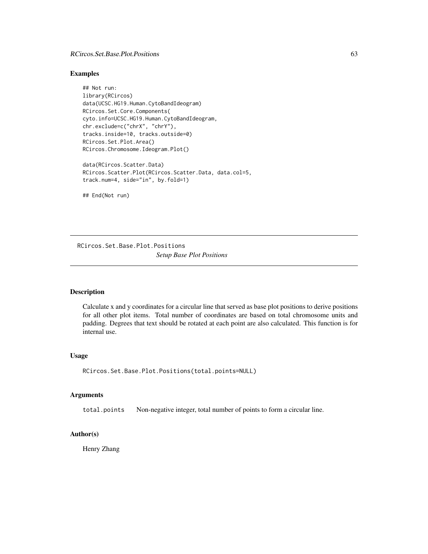## RCircos.Set.Base.Plot.Positions 63

#### Examples

```
## Not run:
library(RCircos)
data(UCSC.HG19.Human.CytoBandIdeogram)
RCircos.Set.Core.Components(
cyto.info=UCSC.HG19.Human.CytoBandIdeogram,
chr.exclude=c("chrX", "chrY"),
tracks.inside=10, tracks.outside=0)
RCircos.Set.Plot.Area()
RCircos.Chromosome.Ideogram.Plot()
data(RCircos.Scatter.Data)
RCircos.Scatter.Plot(RCircos.Scatter.Data, data.col=5,
track.num=4, side="in", by.fold=1)
```
## End(Not run)

RCircos.Set.Base.Plot.Positions *Setup Base Plot Positions*

#### Description

Calculate x and y coordinates for a circular line that served as base plot positions to derive positions for all other plot items. Total number of coordinates are based on total chromosome units and padding. Degrees that text should be rotated at each point are also calculated. This function is for internal use.

### Usage

```
RCircos.Set.Base.Plot.Positions(total.points=NULL)
```
### Arguments

total.points Non-negative integer, total number of points to form a circular line.

# Author(s)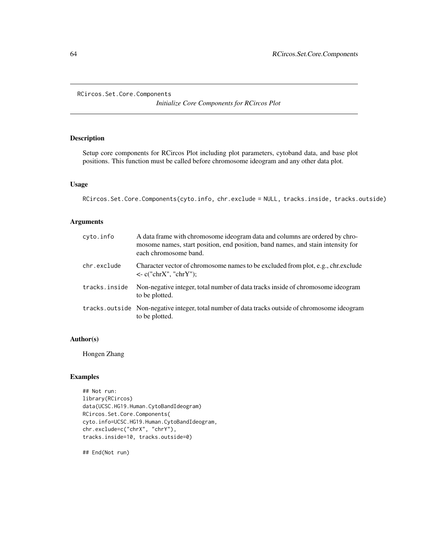```
RCircos.Set.Core.Components
```
*Initialize Core Components for RCircos Plot*

## Description

Setup core components for RCircos Plot including plot parameters, cytoband data, and base plot positions. This function must be called before chromosome ideogram and any other data plot.

## Usage

```
RCircos.Set.Core.Components(cyto.info, chr.exclude = NULL, tracks.inside, tracks.outside)
```
# Arguments

| cyto.info     | A data frame with chromosome ideogram data and columns are ordered by chro-<br>mosome names, start position, end position, band names, and stain intensity for<br>each chromosome band. |
|---------------|-----------------------------------------------------------------------------------------------------------------------------------------------------------------------------------------|
| chr.exclude   | Character vector of chromosome names to be excluded from plot, e.g., chr. exclude<br>$\langle$ - c("chrX", "chrY");                                                                     |
| tracks.inside | Non-negative integer, total number of data tracks inside of chromosome ideogram<br>to be plotted.                                                                                       |
|               | tracks.outside Non-negative integer, total number of data tracks outside of chromosome ideogram<br>to be plotted.                                                                       |

### Author(s)

Hongen Zhang

## Examples

```
## Not run:
library(RCircos)
data(UCSC.HG19.Human.CytoBandIdeogram)
RCircos.Set.Core.Components(
cyto.info=UCSC.HG19.Human.CytoBandIdeogram,
chr.exclude=c("chrX", "chrY"),
tracks.inside=10, tracks.outside=0)
```
## End(Not run)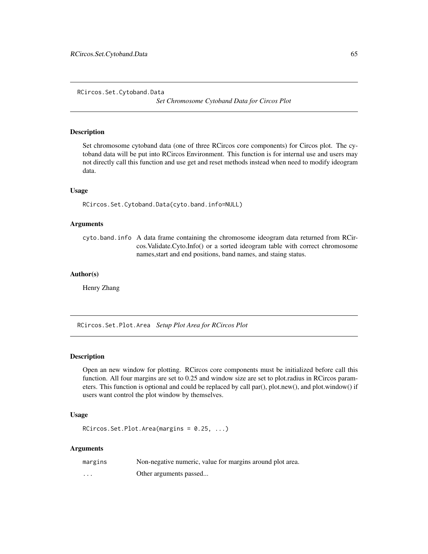RCircos.Set.Cytoband.Data

*Set Chromosome Cytoband Data for Circos Plot*

#### Description

Set chromosome cytoband data (one of three RCircos core components) for Circos plot. The cytoband data will be put into RCircos Environment. This function is for internal use and users may not directly call this function and use get and reset methods instead when need to modify ideogram data.

#### Usage

RCircos.Set.Cytoband.Data(cyto.band.info=NULL)

#### Arguments

cyto.band.info A data frame containing the chromosome ideogram data returned from RCircos.Validate.Cyto.Info() or a sorted ideogram table with correct chromosome names,start and end positions, band names, and staing status.

### Author(s)

Henry Zhang

RCircos.Set.Plot.Area *Setup Plot Area for RCircos Plot*

### Description

Open an new window for plotting. RCircos core components must be initialized before call this function. All four margins are set to 0.25 and window size are set to plot.radius in RCircos parameters. This function is optional and could be replaced by call par(), plot.new(), and plot.window() if users want control the plot window by themselves.

### Usage

RCircos.Set.Plot.Area(margins = 0.25, ...)

### Arguments

| margins | Non-negative numeric, value for margins around plot area. |
|---------|-----------------------------------------------------------|
| .       | Other arguments passed                                    |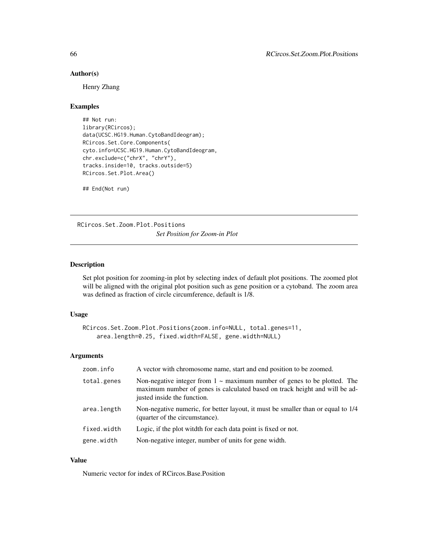## Author(s)

Henry Zhang

### Examples

```
## Not run:
library(RCircos);
data(UCSC.HG19.Human.CytoBandIdeogram);
RCircos.Set.Core.Components(
cyto.info=UCSC.HG19.Human.CytoBandIdeogram,
chr.exclude=c("chrX", "chrY"),
tracks.inside=10, tracks.outside=5)
RCircos.Set.Plot.Area()
```
## End(Not run)

RCircos.Set.Zoom.Plot.Positions *Set Position for Zoom-in Plot*

### Description

Set plot position for zooming-in plot by selecting index of default plot positions. The zoomed plot will be aligned with the original plot position such as gene position or a cytoband. The zoom area was defined as fraction of circle circumference, default is 1/8.

#### Usage

```
RCircos.Set.Zoom.Plot.Positions(zoom.info=NULL, total.genes=11,
   area.length=0.25, fixed.width=FALSE, gene.width=NULL)
```
### Arguments

| zoom.info   | A vector with chromosome name, start and end position to be zoomed.                                                                                                                         |
|-------------|---------------------------------------------------------------------------------------------------------------------------------------------------------------------------------------------|
| total.genes | Non-negative integer from $1 \sim$ maximum number of genes to be plotted. The<br>maximum number of genes is calculated based on track height and will be ad-<br>justed inside the function. |
| area.length | Non-negative numeric, for better layout, it must be smaller than or equal to 1/4<br>(quarter of the circumstance).                                                                          |
| fixed.width | Logic, if the plot with for each data point is fixed or not.                                                                                                                                |
| gene.width  | Non-negative integer, number of units for gene width.                                                                                                                                       |

#### Value

Numeric vector for index of RCircos.Base.Position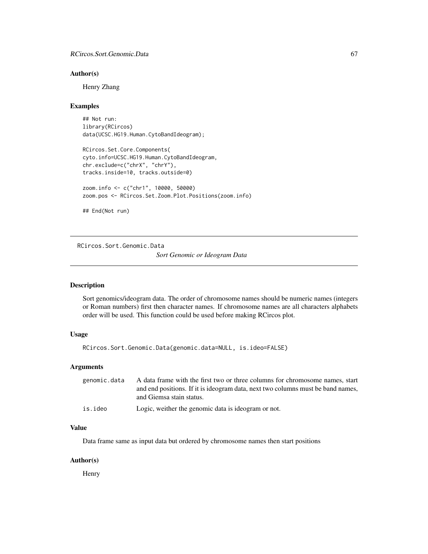#### Author(s)

Henry Zhang

#### Examples

## Not run: library(RCircos) data(UCSC.HG19.Human.CytoBandIdeogram);

```
RCircos.Set.Core.Components(
cyto.info=UCSC.HG19.Human.CytoBandIdeogram,
chr.exclude=c("chrX", "chrY"),
tracks.inside=10, tracks.outside=0)
```

```
zoom.info <- c("chr1", 10000, 50000)
zoom.pos <- RCircos.Set.Zoom.Plot.Positions(zoom.info)
```

```
## End(Not run)
```
RCircos.Sort.Genomic.Data

*Sort Genomic or Ideogram Data*

### Description

Sort genomics/ideogram data. The order of chromosome names should be numeric names (integers or Roman numbers) first then character names. If chromosome names are all characters alphabets order will be used. This function could be used before making RCircos plot.

## Usage

RCircos.Sort.Genomic.Data(genomic.data=NULL, is.ideo=FALSE)

#### Arguments

| genomic.data | A data frame with the first two or three columns for chromosome names, start    |
|--------------|---------------------------------------------------------------------------------|
|              | and end positions. If it is ideogram data, next two columns must be band names, |
|              | and Giemsa stain status.                                                        |
| is.ideo      | Logic, weither the genomic data is ideogram or not.                             |

#### Value

Data frame same as input data but ordered by chromosome names then start positions

#### Author(s)

Henry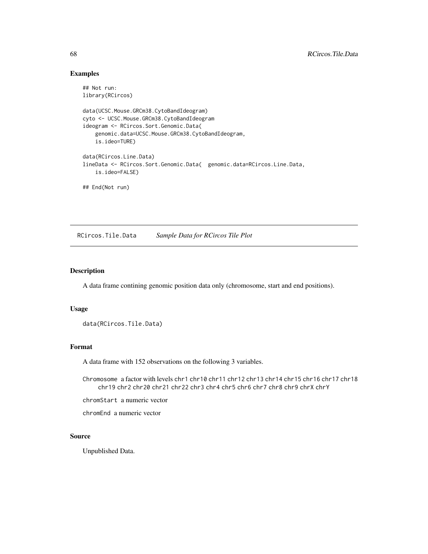# Examples

```
## Not run:
library(RCircos)
```

```
data(UCSC.Mouse.GRCm38.CytoBandIdeogram)
cyto <- UCSC.Mouse.GRCm38.CytoBandIdeogram
ideogram <- RCircos.Sort.Genomic.Data(
   genomic.data=UCSC.Mouse.GRCm38.CytoBandIdeogram,
   is.ideo=TURE)
data(RCircos.Line.Data)
lineData <- RCircos.Sort.Genomic.Data( genomic.data=RCircos.Line.Data,
    is.ideo=FALSE)
## End(Not run)
```
RCircos.Tile.Data *Sample Data for RCircos Tile Plot*

## Description

A data frame contining genomic position data only (chromosome, start and end positions).

### Usage

```
data(RCircos.Tile.Data)
```
#### Format

A data frame with 152 observations on the following 3 variables.

Chromosome a factor with levels chr1 chr10 chr11 chr12 chr13 chr14 chr15 chr16 chr17 chr18 chr19 chr2 chr20 chr21 chr22 chr3 chr4 chr5 chr6 chr7 chr8 chr9 chrX chrY

chromStart a numeric vector

chromEnd a numeric vector

### Source

Unpublished Data.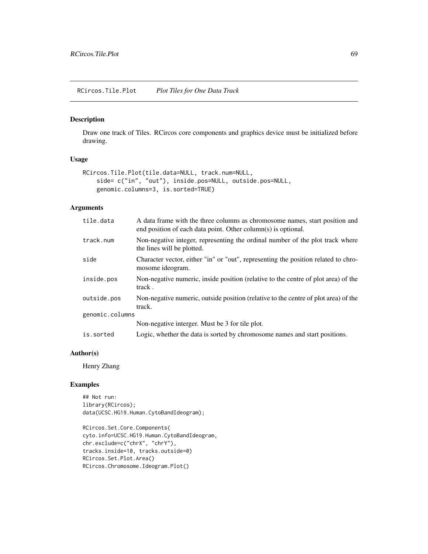## Description

Draw one track of Tiles. RCircos core components and graphics device must be initialized before drawing.

## Usage

```
RCircos.Tile.Plot(tile.data=NULL, track.num=NULL,
    side= c("in", "out"), inside.pos=NULL, outside.pos=NULL,
    genomic.columns=3, is.sorted=TRUE)
```
## Arguments

| tile.data       | A data frame with the three columns as chromosome names, start position and<br>end position of each data point. Other column(s) is optional. |
|-----------------|----------------------------------------------------------------------------------------------------------------------------------------------|
| track.num       | Non-negative integer, representing the ordinal number of the plot track where<br>the lines will be plotted.                                  |
| side            | Character vector, either "in" or "out", representing the position related to chro-<br>mosome ideogram.                                       |
| inside.pos      | Non-negative numeric, inside position (relative to the centre of plot area) of the<br>track.                                                 |
| outside.pos     | Non-negative numeric, outside position (relative to the centre of plot area) of the<br>track.                                                |
| genomic.columns |                                                                                                                                              |
|                 | Non-negative interger. Must be 3 for tile plot.                                                                                              |
| is.sorted       | Logic, whether the data is sorted by chromosome names and start positions.                                                                   |

### Author(s)

Henry Zhang

## Examples

```
## Not run:
library(RCircos);
data(UCSC.HG19.Human.CytoBandIdeogram);
```

```
RCircos.Set.Core.Components(
cyto.info=UCSC.HG19.Human.CytoBandIdeogram,
chr.exclude=c("chrX", "chrY"),
tracks.inside=10, tracks.outside=0)
RCircos.Set.Plot.Area()
RCircos.Chromosome.Ideogram.Plot()
```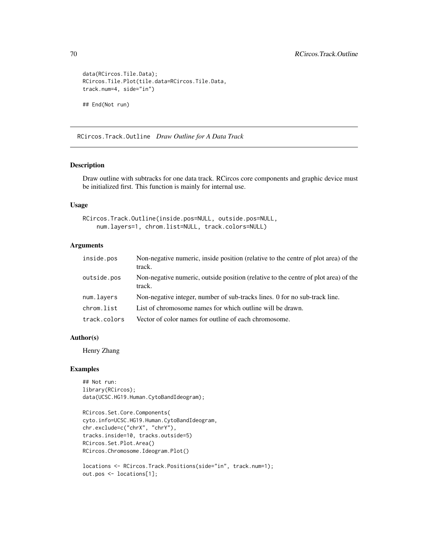```
data(RCircos.Tile.Data);
RCircos.Tile.Plot(tile.data=RCircos.Tile.Data,
track.num=4, side="in")
## End(Not run)
```
RCircos.Track.Outline *Draw Outline for A Data Track*

## Description

Draw outline with subtracks for one data track. RCircos core components and graphic device must be initialized first. This function is mainly for internal use.

#### Usage

```
RCircos.Track.Outline(inside.pos=NULL, outside.pos=NULL,
   num.layers=1, chrom.list=NULL, track.colors=NULL)
```
### Arguments

| inside.pos   | Non-negative numeric, inside position (relative to the centre of plot area) of the<br>track.  |
|--------------|-----------------------------------------------------------------------------------------------|
| outside.pos  | Non-negative numeric, outside position (relative to the centre of plot area) of the<br>track. |
| num.layers   | Non-negative integer, number of sub-tracks lines. 0 for no sub-track line.                    |
| chrom.list   | List of chromosome names for which outline will be drawn.                                     |
| track.colors | Vector of color names for outline of each chromosome.                                         |

## Author(s)

Henry Zhang

### Examples

```
## Not run:
library(RCircos);
data(UCSC.HG19.Human.CytoBandIdeogram);
```

```
RCircos.Set.Core.Components(
cyto.info=UCSC.HG19.Human.CytoBandIdeogram,
chr.exclude=c("chrX", "chrY"),
tracks.inside=10, tracks.outside=5)
RCircos.Set.Plot.Area()
RCircos.Chromosome.Ideogram.Plot()
```

```
locations <- RCircos.Track.Positions(side="in", track.num=1);
out.pos <- locations[1];
```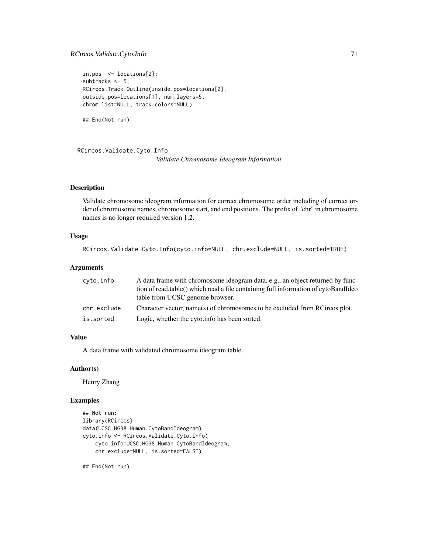## RCircos.Validate.Cyto.Info 71

```
in.pos <- locations[2];
subtracks \leq 5;
RCircos.Track.Outline(inside.pos=locations[2],
outside.pos=locations[1], num.layers=5,
chrom.list=NULL, track.colors=NULL)
```
## End(Not run)

RCircos.Validate.Cyto.Info *Validate Chromosome Ideogram Information*

### Description

Validate chromosome ideogram information for correct chromosome order including of correct order of chromosome names, chromosome start, and end positions. The prefix of "chr" in chromosome names is no longer required version 1.2.

#### Usage

```
RCircos.Validate.Cyto.Info(cyto.info=NULL, chr.exclude=NULL, is.sorted=TRUE)
```
#### Arguments

| cyto.info   | A data frame with chromosome ideogram data, e.g., an object returned by func-      |
|-------------|------------------------------------------------------------------------------------|
|             | tion of read.table() which read a file containing full information of cytoBandIdeo |
|             | table from UCSC genome browser.                                                    |
| chr.exclude | Character vector, name(s) of chromosomes to be excluded from RCircos plot.         |
| is.sorted   | Logic, whether the cyto info has been sorted.                                      |

### Value

A data frame with validated chromosome ideogram table.

#### Author(s)

Henry Zhang

### Examples

```
## Not run:
library(RCircos)
data(UCSC.HG38.Human.CytoBandIdeogram)
cyto.info <- RCircos.Validate.Cyto.Info(
    cyto.info=UCSC.HG38.Human.CytoBandIdeogram,
    chr.exclude=NULL, is.sorted=FALSE)
```
## End(Not run)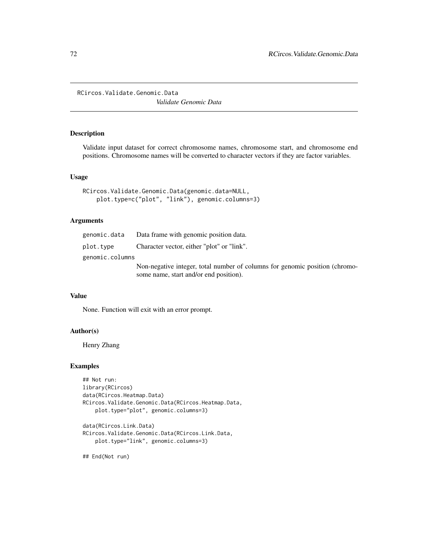RCircos.Validate.Genomic.Data

*Validate Genomic Data*

## Description

Validate input dataset for correct chromosome names, chromosome start, and chromosome end positions. Chromosome names will be converted to character vectors if they are factor variables.

### Usage

```
RCircos.Validate.Genomic.Data(genomic.data=NULL,
    plot.type=c("plot", "link"), genomic.columns=3)
```
## Arguments

|                 | genomic.data Data frame with genomic position data.                         |
|-----------------|-----------------------------------------------------------------------------|
| plot.tvpe       | Character vector, either "plot" or "link".                                  |
| genomic.columns |                                                                             |
|                 | Non-negative integer, total number of columns for genomic position (chromo- |
|                 | some name, start and/or end position).                                      |

### Value

None. Function will exit with an error prompt.

# Author(s)

Henry Zhang

#### Examples

```
## Not run:
library(RCircos)
data(RCircos.Heatmap.Data)
RCircos.Validate.Genomic.Data(RCircos.Heatmap.Data,
    plot.type="plot", genomic.columns=3)
data(RCircos.Link.Data)
RCircos.Validate.Genomic.Data(RCircos.Link.Data,
```
plot.type="link", genomic.columns=3)

## End(Not run)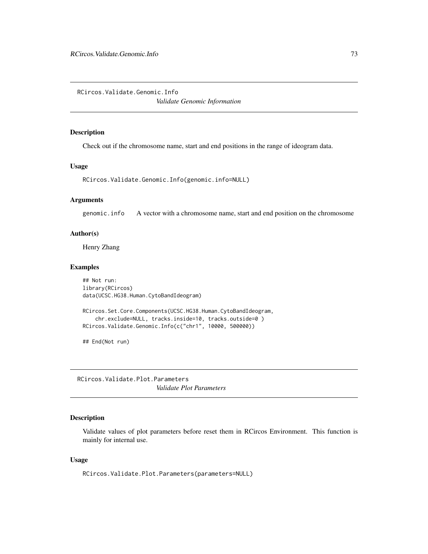<span id="page-72-0"></span>RCircos.Validate.Genomic.Info

*Validate Genomic Information*

#### Description

Check out if the chromosome name, start and end positions in the range of ideogram data.

#### Usage

```
RCircos.Validate.Genomic.Info(genomic.info=NULL)
```
# Arguments

genomic.info A vector with a chromosome name, start and end position on the chromosome

## Author(s)

Henry Zhang

### Examples

```
## Not run:
library(RCircos)
data(UCSC.HG38.Human.CytoBandIdeogram)
RCircos.Set.Core.Components(UCSC.HG38.Human.CytoBandIdeogram,
    chr.exclude=NULL, tracks.inside=10, tracks.outside=0 )
RCircos.Validate.Genomic.Info(c("chr1", 10000, 500000))
```
## End(Not run)

RCircos.Validate.Plot.Parameters *Validate Plot Parameters*

# Description

Validate values of plot parameters before reset them in RCircos Environment. This function is mainly for internal use.

## Usage

RCircos.Validate.Plot.Parameters(parameters=NULL)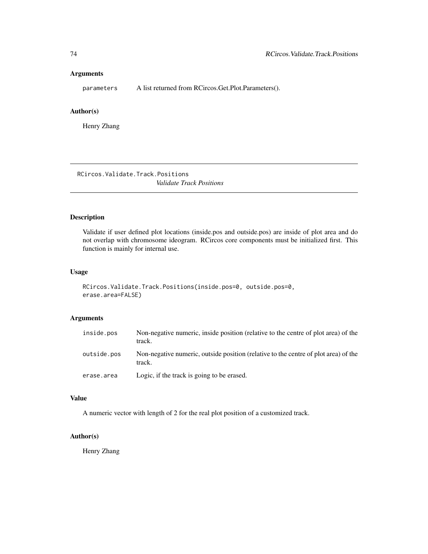<span id="page-73-0"></span>parameters A list returned from RCircos.Get.Plot.Parameters().

# Author(s)

Henry Zhang

RCircos.Validate.Track.Positions *Validate Track Positions*

## Description

Validate if user defined plot locations (inside.pos and outside.pos) are inside of plot area and do not overlap with chromosome ideogram. RCircos core components must be initialized first. This function is mainly for internal use.

## Usage

```
RCircos.Validate.Track.Positions(inside.pos=0, outside.pos=0,
erase.area=FALSE)
```
# Arguments

| inside.pos  | Non-negative numeric, inside position (relative to the centre of plot area) of the<br>track.  |
|-------------|-----------------------------------------------------------------------------------------------|
| outside.pos | Non-negative numeric, outside position (relative to the centre of plot area) of the<br>track. |
| erase.area  | Logic, if the track is going to be erased.                                                    |

## Value

A numeric vector with length of 2 for the real plot position of a customized track.

## Author(s)

Henry Zhang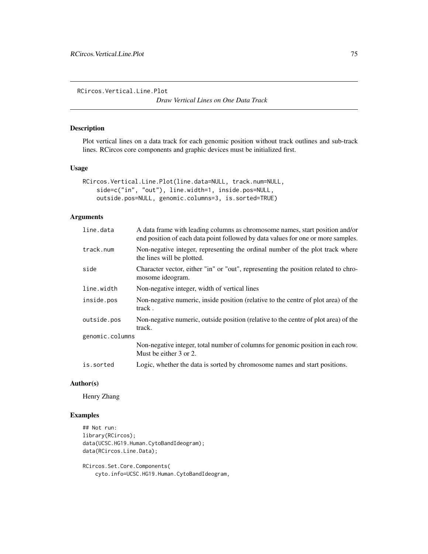<span id="page-74-0"></span>RCircos.Vertical.Line.Plot

*Draw Vertical Lines on One Data Track*

## Description

Plot vertical lines on a data track for each genomic position without track outlines and sub-track lines. RCircos core components and graphic devices must be initialized first.

#### Usage

```
RCircos.Vertical.Line.Plot(line.data=NULL, track.num=NULL,
    side=c("in", "out"), line.width=1, inside.pos=NULL,
    outside.pos=NULL, genomic.columns=3, is.sorted=TRUE)
```
## Arguments

| line.data       | A data frame with leading columns as chromosome names, start position and/or<br>end position of each data point followed by data values for one or more samples. |
|-----------------|------------------------------------------------------------------------------------------------------------------------------------------------------------------|
| track.num       | Non-negative integer, representing the ordinal number of the plot track where<br>the lines will be plotted.                                                      |
| side            | Character vector, either "in" or "out", representing the position related to chro-<br>mosome ideogram.                                                           |
| line.width      | Non-negative integer, width of vertical lines                                                                                                                    |
| inside.pos      | Non-negative numeric, inside position (relative to the centre of plot area) of the<br>track.                                                                     |
| outside.pos     | Non-negative numeric, outside position (relative to the centre of plot area) of the<br>track.                                                                    |
| genomic.columns |                                                                                                                                                                  |
|                 | Non-negative integer, total number of columns for genomic position in each row.<br>Must be either 3 or 2.                                                        |
| is.sorted       | Logic, whether the data is sorted by chromosome names and start positions.                                                                                       |

# Author(s)

Henry Zhang

# Examples

```
## Not run:
library(RCircos);
data(UCSC.HG19.Human.CytoBandIdeogram);
data(RCircos.Line.Data);
```
RCircos.Set.Core.Components( cyto.info=UCSC.HG19.Human.CytoBandIdeogram,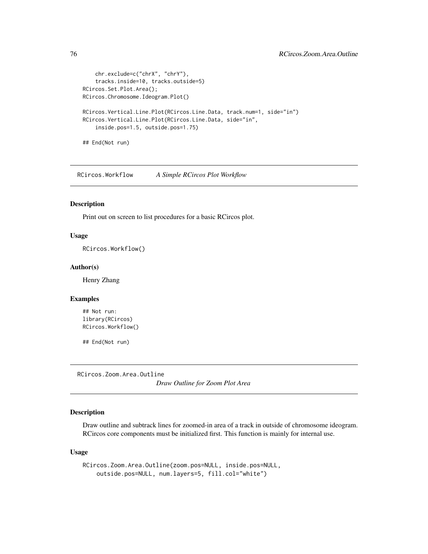```
chr.exclude=c("chrX", "chrY"),
    tracks.inside=10, tracks.outside=5)
RCircos.Set.Plot.Area();
RCircos.Chromosome.Ideogram.Plot()
RCircos.Vertical.Line.Plot(RCircos.Line.Data, track.num=1, side="in")
RCircos.Vertical.Line.Plot(RCircos.Line.Data, side="in",
    inside.pos=1.5, outside.pos=1.75)
## End(Not run)
```
RCircos.Workflow *A Simple RCircos Plot Workflow*

## Description

Print out on screen to list procedures for a basic RCircos plot.

# Usage

RCircos.Workflow()

#### Author(s)

Henry Zhang

#### Examples

```
## Not run:
library(RCircos)
RCircos.Workflow()
```
## End(Not run)

RCircos.Zoom.Area.Outline

*Draw Outline for Zoom Plot Area*

# Description

Draw outline and subtrack lines for zoomed-in area of a track in outside of chromosome ideogram. RCircos core components must be initialized first. This function is mainly for internal use.

#### Usage

```
RCircos.Zoom.Area.Outline(zoom.pos=NULL, inside.pos=NULL,
   outside.pos=NULL, num.layers=5, fill.col="white")
```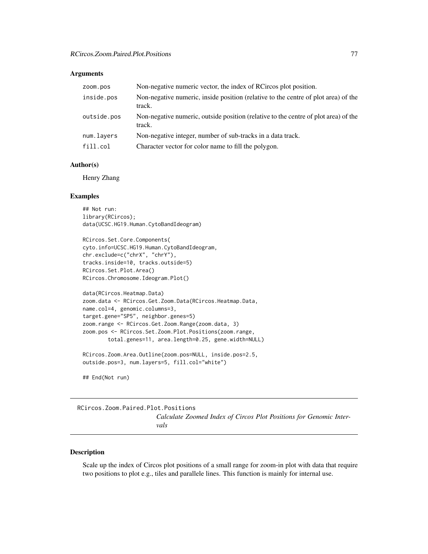<span id="page-76-0"></span>

| ZOOM. DOS   | Non-negative numeric vector, the index of RCircos plot position.                              |
|-------------|-----------------------------------------------------------------------------------------------|
| inside.pos  | Non-negative numeric, inside position (relative to the centre of plot area) of the<br>track.  |
| outside.pos | Non-negative numeric, outside position (relative to the centre of plot area) of the<br>track. |
| num.layers  | Non-negative integer, number of sub-tracks in a data track.                                   |
| fill.col    | Character vector for color name to fill the polygon.                                          |

# Author(s)

Henry Zhang

## Examples

```
## Not run:
library(RCircos);
data(UCSC.HG19.Human.CytoBandIdeogram)
```

```
RCircos.Set.Core.Components(
cyto.info=UCSC.HG19.Human.CytoBandIdeogram,
chr.exclude=c("chrX", "chrY"),
tracks.inside=10, tracks.outside=5)
RCircos.Set.Plot.Area()
RCircos.Chromosome.Ideogram.Plot()
```

```
data(RCircos.Heatmap.Data)
zoom.data <- RCircos.Get.Zoom.Data(RCircos.Heatmap.Data,
name.col=4, genomic.columns=3,
target.gene="SP5", neighbor.genes=5)
zoom.range <- RCircos.Get.Zoom.Range(zoom.data, 3)
zoom.pos <- RCircos.Set.Zoom.Plot.Positions(zoom.range,
        total.genes=11, area.length=0.25, gene.width=NULL)
```

```
RCircos.Zoom.Area.Outline(zoom.pos=NULL, inside.pos=2.5,
outside.pos=3, num.layers=5, fill.col="white")
```
## End(Not run)

#### RCircos.Zoom.Paired.Plot.Positions

*Calculate Zoomed Index of Circos Plot Positions for Genomic Intervals*

#### Description

Scale up the index of Circos plot positions of a small range for zoom-in plot with data that require two positions to plot e.g., tiles and parallele lines. This function is mainly for internal use.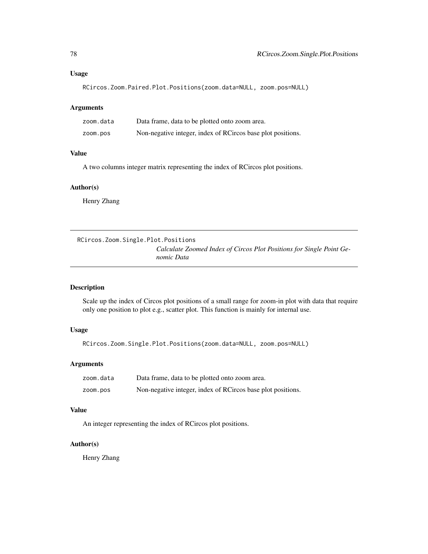```
RCircos.Zoom.Paired.Plot.Positions(zoom.data=NULL, zoom.pos=NULL)
```

| zoom.data | Data frame, data to be plotted onto zoom area.              |
|-----------|-------------------------------------------------------------|
| zoom.pos  | Non-negative integer, index of RCircos base plot positions. |

## Value

A two columns integer matrix representing the index of RCircos plot positions.

#### Author(s)

Henry Zhang

RCircos.Zoom.Single.Plot.Positions

*Calculate Zoomed Index of Circos Plot Positions for Single Point Genomic Data*

## Description

Scale up the index of Circos plot positions of a small range for zoom-in plot with data that require only one position to plot e.g., scatter plot. This function is mainly for internal use.

#### Usage

RCircos.Zoom.Single.Plot.Positions(zoom.data=NULL, zoom.pos=NULL)

## Arguments

| zoom.data | Data frame, data to be plotted onto zoom area.              |
|-----------|-------------------------------------------------------------|
| zoom.pos  | Non-negative integer, index of RCircos base plot positions. |

#### Value

An integer representing the index of RCircos plot positions.

# Author(s)

Henry Zhang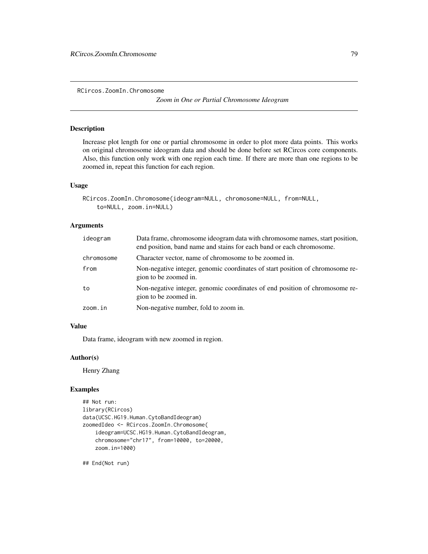<span id="page-78-0"></span>RCircos.ZoomIn.Chromosome

*Zoom in One or Partial Chromosome Ideogram*

#### Description

Increase plot length for one or partial chromosome in order to plot more data points. This works on original chromosome ideogram data and should be done before set RCircos core components. Also, this function only work with one region each time. If there are more than one regions to be zoomed in, repeat this function for each region.

## Usage

```
RCircos.ZoomIn.Chromosome(ideogram=NULL, chromosome=NULL, from=NULL,
    to=NULL, zoom.in=NULL)
```
## Arguments

| ideogram   | Data frame, chromosome ideogram data with chromosome names, start position,<br>end position, band name and stains for each band or each chromosome. |
|------------|-----------------------------------------------------------------------------------------------------------------------------------------------------|
| chromosome | Character vector, name of chromosome to be zoomed in.                                                                                               |
| from       | Non-negative integer, genomic coordinates of start position of chromosome re-<br>gion to be zoomed in.                                              |
| to         | Non-negative integer, genomic coordinates of end position of chromosome re-<br>gion to be zoomed in.                                                |
| zoom.in    | Non-negative number, fold to zoom in.                                                                                                               |

## Value

Data frame, ideogram with new zoomed in region.

### Author(s)

Henry Zhang

## Examples

```
## Not run:
library(RCircos)
data(UCSC.HG19.Human.CytoBandIdeogram)
zoomedIdeo <- RCircos.ZoomIn.Chromosome(
    ideogram=UCSC.HG19.Human.CytoBandIdeogram,
    chromosome="chr17", from=10000, to=20000,
    zoom.in=1000)
```
## End(Not run)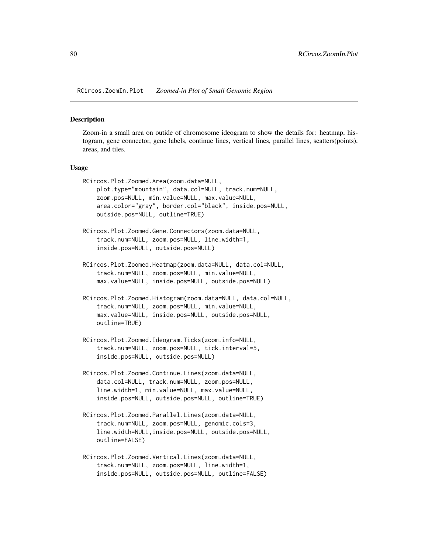<span id="page-79-0"></span>RCircos.ZoomIn.Plot *Zoomed-in Plot of Small Genomic Region*

#### **Description**

Zoom-in a small area on outide of chromosome ideogram to show the details for: heatmap, histogram, gene connector, gene labels, continue lines, vertical lines, parallel lines, scatters(points), areas, and tiles.

#### Usage

```
RCircos.Plot.Zoomed.Area(zoom.data=NULL,
   plot.type="mountain", data.col=NULL, track.num=NULL,
   zoom.pos=NULL, min.value=NULL, max.value=NULL,
   area.color="gray", border.col="black", inside.pos=NULL,
   outside.pos=NULL, outline=TRUE)
RCircos.Plot.Zoomed.Gene.Connectors(zoom.data=NULL,
    track.num=NULL, zoom.pos=NULL, line.width=1,
   inside.pos=NULL, outside.pos=NULL)
RCircos.Plot.Zoomed.Heatmap(zoom.data=NULL, data.col=NULL,
    track.num=NULL, zoom.pos=NULL, min.value=NULL,
   max.value=NULL, inside.pos=NULL, outside.pos=NULL)
RCircos.Plot.Zoomed.Histogram(zoom.data=NULL, data.col=NULL,
    track.num=NULL, zoom.pos=NULL, min.value=NULL,
   max.value=NULL, inside.pos=NULL, outside.pos=NULL,
   outline=TRUE)
RCircos.Plot.Zoomed.Ideogram.Ticks(zoom.info=NULL,
    track.num=NULL, zoom.pos=NULL, tick.interval=5,
    inside.pos=NULL, outside.pos=NULL)
RCircos.Plot.Zoomed.Continue.Lines(zoom.data=NULL,
   data.col=NULL, track.num=NULL, zoom.pos=NULL,
   line.width=1, min.value=NULL, max.value=NULL,
    inside.pos=NULL, outside.pos=NULL, outline=TRUE)
RCircos.Plot.Zoomed.Parallel.Lines(zoom.data=NULL,
```
- track.num=NULL, zoom.pos=NULL, genomic.cols=3, line.width=NULL,inside.pos=NULL, outside.pos=NULL, outline=FALSE)
- RCircos.Plot.Zoomed.Vertical.Lines(zoom.data=NULL, track.num=NULL, zoom.pos=NULL, line.width=1, inside.pos=NULL, outside.pos=NULL, outline=FALSE)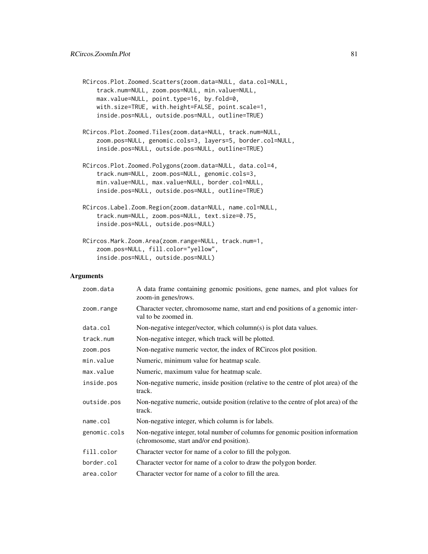```
RCircos.Plot.Zoomed.Scatters(zoom.data=NULL, data.col=NULL,
    track.num=NULL, zoom.pos=NULL, min.value=NULL,
   max.value=NULL, point.type=16, by.fold=0,
   with.size=TRUE, with.height=FALSE, point.scale=1,
    inside.pos=NULL, outside.pos=NULL, outline=TRUE)
```
- RCircos.Plot.Zoomed.Tiles(zoom.data=NULL, track.num=NULL, zoom.pos=NULL, genomic.cols=3, layers=5, border.col=NULL, inside.pos=NULL, outside.pos=NULL, outline=TRUE)
- RCircos.Plot.Zoomed.Polygons(zoom.data=NULL, data.col=4, track.num=NULL, zoom.pos=NULL, genomic.cols=3, min.value=NULL, max.value=NULL, border.col=NULL, inside.pos=NULL, outside.pos=NULL, outline=TRUE)
- RCircos.Label.Zoom.Region(zoom.data=NULL, name.col=NULL, track.num=NULL, zoom.pos=NULL, text.size=0.75, inside.pos=NULL, outside.pos=NULL)

```
RCircos.Mark.Zoom.Area(zoom.range=NULL, track.num=1,
   zoom.pos=NULL, fill.color="yellow",
    inside.pos=NULL, outside.pos=NULL)
```

| zoom.data    | A data frame containing genomic positions, gene names, and plot values for<br>zoom-in genes/rows.                          |
|--------------|----------------------------------------------------------------------------------------------------------------------------|
| zoom.range   | Character vecter, chromosome name, start and end positions of a genomic inter-<br>val to be zoomed in.                     |
| data.col     | Non-negative integer/vector, which column(s) is plot data values.                                                          |
| track.num    | Non-negative integer, which track will be plotted.                                                                         |
| zoom.pos     | Non-negative numeric vector, the index of RCircos plot position.                                                           |
| min.value    | Numeric, minimum value for heatmap scale.                                                                                  |
| max.value    | Numeric, maximum value for heatmap scale.                                                                                  |
| inside.pos   | Non-negative numeric, inside position (relative to the centre of plot area) of the<br>track.                               |
| outside.pos  | Non-negative numeric, outside position (relative to the centre of plot area) of the<br>track.                              |
| name.col     | Non-negative integer, which column is for labels.                                                                          |
| genomic.cols | Non-negative integer, total number of columns for genomic position information<br>(chromosome, start and/or end position). |
| fill.color   | Character vector for name of a color to fill the polygon.                                                                  |
| border.col   | Character vector for name of a color to draw the polygon border.                                                           |
| area.color   | Character vector for name of a color to fill the area.                                                                     |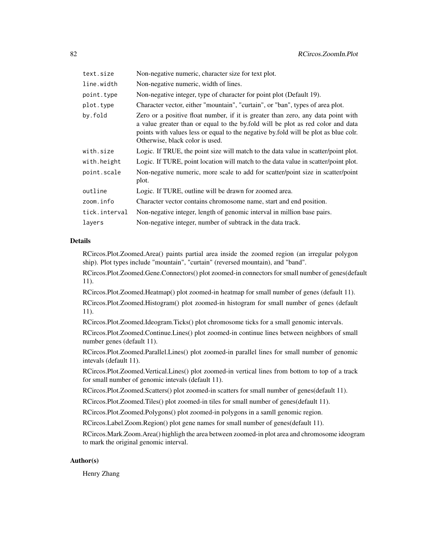| text.size     | Non-negative numeric, character size for text plot.                                                                                                                                                                                                                                           |
|---------------|-----------------------------------------------------------------------------------------------------------------------------------------------------------------------------------------------------------------------------------------------------------------------------------------------|
| line.width    | Non-negative numeric, width of lines.                                                                                                                                                                                                                                                         |
| point.type    | Non-negative integer, type of character for point plot (Default 19).                                                                                                                                                                                                                          |
| plot.type     | Character vector, either "mountain", "curtain", or "ban", types of area plot.                                                                                                                                                                                                                 |
| by.fold       | Zero or a positive float number, if it is greater than zero, any data point with<br>a value greater than or equal to the by fold will be plot as red color and data<br>points with values less or equal to the negative by fold will be plot as blue colr.<br>Otherwise, black color is used. |
| with.size     | Logic. If TRUE, the point size will match to the data value in scatter/point plot.                                                                                                                                                                                                            |
| with.height   | Logic. If TURE, point location will match to the data value in scatter/point plot.                                                                                                                                                                                                            |
| point.scale   | Non-negative numeric, more scale to add for scatter/point size in scatter/point<br>plot.                                                                                                                                                                                                      |
| outline       | Logic. If TURE, outline will be drawn for zoomed area.                                                                                                                                                                                                                                        |
| zoom.info     | Character vector contains chromosome name, start and end position.                                                                                                                                                                                                                            |
| tick.interval | Non-negative integer, length of genomic interval in million base pairs.                                                                                                                                                                                                                       |
| layers        | Non-negative integer, number of subtrack in the data track.                                                                                                                                                                                                                                   |

## **Details**

RCircos.Plot.Zoomed.Area() paints partial area inside the zoomed region (an irregular polygon ship). Plot types include "mountain", "curtain" (reversed mountain), and "band".

RCircos.Plot.Zoomed.Gene.Connectors() plot zoomed-in connectors for small number of genes(default 11).

RCircos.Plot.Zoomed.Heatmap() plot zoomed-in heatmap for small number of genes (default 11).

RCircos.Plot.Zoomed.Histogram() plot zoomed-in histogram for small number of genes (default 11).

RCircos.Plot.Zoomed.Ideogram.Ticks() plot chromosome ticks for a small genomic intervals.

RCircos.Plot.Zoomed.Continue.Lines() plot zoomed-in continue lines between neighbors of small number genes (default 11).

RCircos.Plot.Zoomed.Parallel.Lines() plot zoomed-in parallel lines for small number of genomic intevals (default 11).

RCircos.Plot.Zoomed.Vertical.Lines() plot zoomed-in vertical lines from bottom to top of a track for small number of genomic intevals (default 11).

RCircos.Plot.Zoomed.Scatters() plot zoomed-in scatters for small number of genes(default 11).

RCircos.Plot.Zoomed.Tiles() plot zoomed-in tiles for small number of genes(default 11).

RCircos.Plot.Zoomed.Polygons() plot zoomed-in polygons in a samll genomic region.

RCircos.Label.Zoom.Region() plot gene names for small number of genes(default 11).

RCircos.Mark.Zoom.Area() highligh the area between zoomed-in plot area and chromosome ideogram to mark the original genomic interval.

## Author(s)

Henry Zhang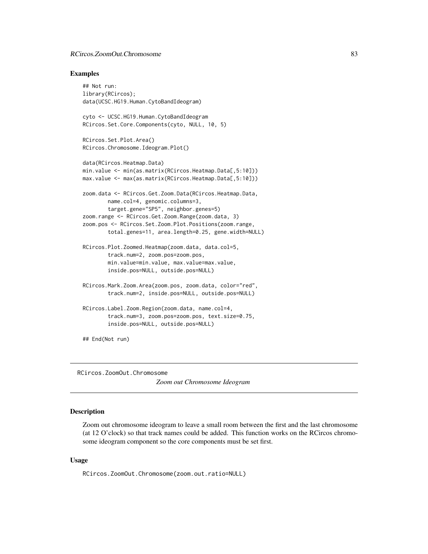## <span id="page-82-0"></span>RCircos.ZoomOut.Chromosome 83

#### Examples

```
## Not run:
library(RCircos);
data(UCSC.HG19.Human.CytoBandIdeogram)
cyto <- UCSC.HG19.Human.CytoBandIdeogram
RCircos.Set.Core.Components(cyto, NULL, 10, 5)
RCircos.Set.Plot.Area()
RCircos.Chromosome.Ideogram.Plot()
data(RCircos.Heatmap.Data)
min.value <- min(as.matrix(RCircos.Heatmap.Data[,5:10]))
max.value <- max(as.matrix(RCircos.Heatmap.Data[,5:10]))
zoom.data <- RCircos.Get.Zoom.Data(RCircos.Heatmap.Data,
        name.col=4, genomic.columns=3,
        target.gene="SP5", neighbor.genes=5)
zoom.range <- RCircos.Get.Zoom.Range(zoom.data, 3)
zoom.pos <- RCircos.Set.Zoom.Plot.Positions(zoom.range,
        total.genes=11, area.length=0.25, gene.width=NULL)
RCircos.Plot.Zoomed.Heatmap(zoom.data, data.col=5,
        track.num=2, zoom.pos=zoom.pos,
        min.value=min.value, max.value=max.value,
        inside.pos=NULL, outside.pos=NULL)
RCircos.Mark.Zoom.Area(zoom.pos, zoom.data, color="red",
        track.num=2, inside.pos=NULL, outside.pos=NULL)
RCircos.Label.Zoom.Region(zoom.data, name.col=4,
        track.num=3, zoom.pos=zoom.pos, text.size=0.75,
        inside.pos=NULL, outside.pos=NULL)
## End(Not run)
```
RCircos.ZoomOut.Chromosome

*Zoom out Chromosome Ideogram*

## Description

Zoom out chromosome ideogram to leave a small room between the first and the last chromosome (at 12 O'clock) so that track names could be added. This function works on the RCircos chromosome ideogram component so the core components must be set first.

#### Usage

RCircos.ZoomOut.Chromosome(zoom.out.ratio=NULL)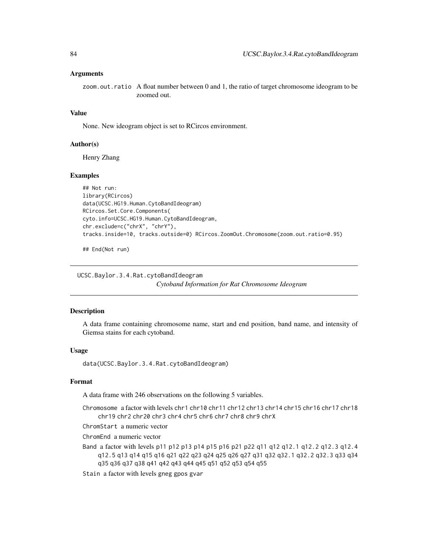<span id="page-83-0"></span>zoom.out.ratio A float number between 0 and 1, the ratio of target chromosome ideogram to be zoomed out.

## Value

None. New ideogram object is set to RCircos environment.

#### Author(s)

Henry Zhang

#### Examples

```
## Not run:
library(RCircos)
data(UCSC.HG19.Human.CytoBandIdeogram)
RCircos.Set.Core.Components(
cyto.info=UCSC.HG19.Human.CytoBandIdeogram,
chr.exclude=c("chrX", "chrY"),
tracks.inside=10, tracks.outside=0) RCircos.ZoomOut.Chromosome(zoom.out.ratio=0.95)
```
## End(Not run)

UCSC.Baylor.3.4.Rat.cytoBandIdeogram *Cytoband Information for Rat Chromosome Ideogram*

## Description

A data frame containing chromosome name, start and end position, band name, and intensity of Giemsa stains for each cytoband.

#### Usage

data(UCSC.Baylor.3.4.Rat.cytoBandIdeogram)

#### Format

A data frame with 246 observations on the following 5 variables.

Chromosome a factor with levels chr1 chr10 chr11 chr12 chr13 chr14 chr15 chr16 chr17 chr18 chr19 chr2 chr20 chr3 chr4 chr5 chr6 chr7 chr8 chr9 chrX

ChromStart a numeric vector

ChromEnd a numeric vector

Band a factor with levels p11 p12 p13 p14 p15 p16 p21 p22 q11 q12 q12.1 q12.2 q12.3 q12.4 q12.5 q13 q14 q15 q16 q21 q22 q23 q24 q25 q26 q27 q31 q32 q32.1 q32.2 q32.3 q33 q34 q35 q36 q37 q38 q41 q42 q43 q44 q45 q51 q52 q53 q54 q55

Stain a factor with levels gneg gpos gvar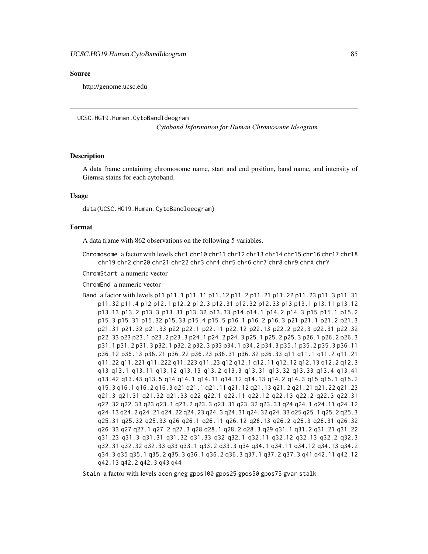#### <span id="page-84-0"></span>Source

http://genome.ucsc.edu

UCSC.HG19.Human.CytoBandIdeogram

*Cytoband Information for Human Chromosome Ideogram*

## **Description**

A data frame containing chromosome name, start and end position, band name, and intensity of Giemsa stains for each cytoband.

## Usage

data(UCSC.HG19.Human.CytoBandIdeogram)

# Format

A data frame with 862 observations on the following 5 variables.

Chromosome a factor with levels chr1 chr10 chr11 chr12 chr13 chr14 chr15 chr16 chr17 chr18 chr19 chr2 chr20 chr21 chr22 chr3 chr4 chr5 chr6 chr7 chr8 chr9 chrX chrY

ChromStart a numeric vector

ChromEnd a numeric vector

Band a factor with levels p11 p11.1 p11.11 p11.12 p11.2 p11.21 p11.22 p11.23 p11.3 p11.31 p11.32 p11.4 p12 p12.1 p12.2 p12.3 p12.31 p12.32 p12.33 p13 p13.1 p13.11 p13.12 p13.13 p13.2 p13.3 p13.31 p13.32 p13.33 p14 p14.1 p14.2 p14.3 p15 p15.1 p15.2 p15.3 p15.31 p15.32 p15.33 p15.4 p15.5 p16.1 p16.2 p16.3 p21 p21.1 p21.2 p21.3 p21.31 p21.32 p21.33 p22 p22.1 p22.11 p22.12 p22.13 p22.2 p22.3 p22.31 p22.32 p22.33 p23 p23.1 p23.2 p23.3 p24.1 p24.2 p24.3 p25.1 p25.2 p25.3 p26.1 p26.2 p26.3 p31.1 p31.2 p31.3 p32.1 p32.2 p32.3 p33 p34.1 p34.2 p34.3 p35.1 p35.2 p35.3 p36.11 p36.12 p36.13 p36.21 p36.22 p36.23 p36.31 p36.32 p36.33 q11 q11.1 q11.2 q11.21 q11.22 q11.221 q11.222 q11.223 q11.23 q12 q12.1 q12.11 q12.12 q12.13 q12.2 q12.3 q13 q13.1 q13.11 q13.12 q13.13 q13.2 q13.3 q13.31 q13.32 q13.33 q13.4 q13.41 q13.42 q13.43 q13.5 q14 q14.1 q14.11 q14.12 q14.13 q14.2 q14.3 q15 q15.1 q15.2 q15.3 q16.1 q16.2 q16.3 q21 q21.1 q21.11 q21.12 q21.13 q21.2 q21.21 q21.22 q21.23 q21.3 q21.31 q21.32 q21.33 q22 q22.1 q22.11 q22.12 q22.13 q22.2 q22.3 q22.31 q22.32 q22.33 q23 q23.1 q23.2 q23.3 q23.31 q23.32 q23.33 q24 q24.1 q24.11 q24.12 q24.13 q24.2 q24.21 q24.22 q24.23 q24.3 q24.31 q24.32 q24.33 q25 q25.1 q25.2 q25.3 q25.31 q25.32 q25.33 q26 q26.1 q26.11 q26.12 q26.13 q26.2 q26.3 q26.31 q26.32 q26.33 q27 q27.1 q27.2 q27.3 q28 q28.1 q28.2 q28.3 q29 q31.1 q31.2 q31.21 q31.22 q31.23 q31.3 q31.31 q31.32 q31.33 q32 q32.1 q32.11 q32.12 q32.13 q32.2 q32.3 q32.31 q32.32 q32.33 q33 q33.1 q33.2 q33.3 q34 q34.1 q34.11 q34.12 q34.13 q34.2 q34.3 q35 q35.1 q35.2 q35.3 q36.1 q36.2 q36.3 q37.1 q37.2 q37.3 q41 q42.11 q42.12 q42.13 q42.2 q42.3 q43 q44

Stain a factor with levels acen gneg gpos100 gpos25 gpos50 gpos75 gvar stalk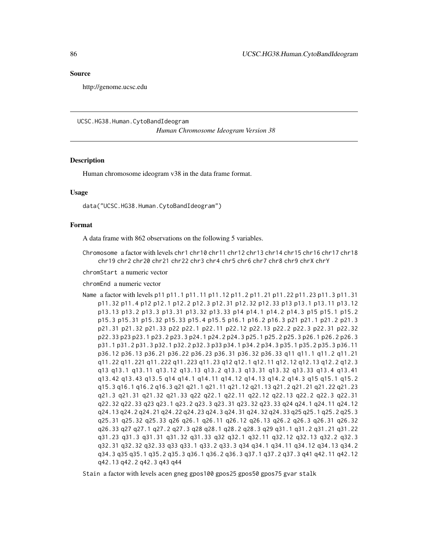#### <span id="page-85-0"></span>Source

http://genome.ucsc.edu

UCSC.HG38.Human.CytoBandIdeogram

*Human Chromosome Ideogram Version 38*

#### **Description**

Human chromosome ideogram v38 in the data frame format.

## Usage

data("UCSC.HG38.Human.CytoBandIdeogram")

#### Format

A data frame with 862 observations on the following 5 variables.

Chromosome a factor with levels chr1 chr10 chr11 chr12 chr13 chr14 chr15 chr16 chr17 chr18 chr19 chr2 chr20 chr21 chr22 chr3 chr4 chr5 chr6 chr7 chr8 chr9 chrX chrY

chromStart a numeric vector

chromEnd a numeric vector

Name a factor with levels p11 p11.1 p11.11 p11.12 p11.2 p11.21 p11.22 p11.23 p11.3 p11.31 p11.32 p11.4 p12 p12.1 p12.2 p12.3 p12.31 p12.32 p12.33 p13 p13.1 p13.11 p13.12 p13.13 p13.2 p13.3 p13.31 p13.32 p13.33 p14 p14.1 p14.2 p14.3 p15 p15.1 p15.2 p15.3 p15.31 p15.32 p15.33 p15.4 p15.5 p16.1 p16.2 p16.3 p21 p21.1 p21.2 p21.3 p21.31 p21.32 p21.33 p22 p22.1 p22.11 p22.12 p22.13 p22.2 p22.3 p22.31 p22.32 p22.33 p23 p23.1 p23.2 p23.3 p24.1 p24.2 p24.3 p25.1 p25.2 p25.3 p26.1 p26.2 p26.3 p31.1 p31.2 p31.3 p32.1 p32.2 p32.3 p33 p34.1 p34.2 p34.3 p35.1 p35.2 p35.3 p36.11 p36.12 p36.13 p36.21 p36.22 p36.23 p36.31 p36.32 p36.33 q11 q11.1 q11.2 q11.21 q11.22 q11.221 q11.222 q11.223 q11.23 q12 q12.1 q12.11 q12.12 q12.13 q12.2 q12.3 q13 q13.1 q13.11 q13.12 q13.13 q13.2 q13.3 q13.31 q13.32 q13.33 q13.4 q13.41 q13.42 q13.43 q13.5 q14 q14.1 q14.11 q14.12 q14.13 q14.2 q14.3 q15 q15.1 q15.2 q15.3 q16.1 q16.2 q16.3 q21 q21.1 q21.11 q21.12 q21.13 q21.2 q21.21 q21.22 q21.23 q21.3 q21.31 q21.32 q21.33 q22 q22.1 q22.11 q22.12 q22.13 q22.2 q22.3 q22.31 q22.32 q22.33 q23 q23.1 q23.2 q23.3 q23.31 q23.32 q23.33 q24 q24.1 q24.11 q24.12 q24.13 q24.2 q24.21 q24.22 q24.23 q24.3 q24.31 q24.32 q24.33 q25 q25.1 q25.2 q25.3 q25.31 q25.32 q25.33 q26 q26.1 q26.11 q26.12 q26.13 q26.2 q26.3 q26.31 q26.32 q26.33 q27 q27.1 q27.2 q27.3 q28 q28.1 q28.2 q28.3 q29 q31.1 q31.2 q31.21 q31.22 q31.23 q31.3 q31.31 q31.32 q31.33 q32 q32.1 q32.11 q32.12 q32.13 q32.2 q32.3 q32.31 q32.32 q32.33 q33 q33.1 q33.2 q33.3 q34 q34.1 q34.11 q34.12 q34.13 q34.2 q34.3 q35 q35.1 q35.2 q35.3 q36.1 q36.2 q36.3 q37.1 q37.2 q37.3 q41 q42.11 q42.12 q42.13 q42.2 q42.3 q43 q44

Stain a factor with levels acen gneg gpos100 gpos25 gpos50 gpos75 gvar stalk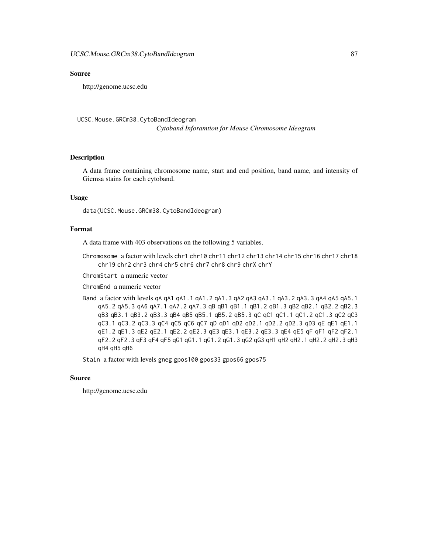## <span id="page-86-0"></span>Source

http://genome.ucsc.edu

UCSC.Mouse.GRCm38.CytoBandIdeogram

*Cytoband Inforamtion for Mouse Chromosome Ideogram*

## Description

A data frame containing chromosome name, start and end position, band name, and intensity of Giemsa stains for each cytoband.

### Usage

data(UCSC.Mouse.GRCm38.CytoBandIdeogram)

#### Format

A data frame with 403 observations on the following 5 variables.

Chromosome a factor with levels chr1 chr10 chr11 chr12 chr13 chr14 chr15 chr16 chr17 chr18 chr19 chr2 chr3 chr4 chr5 chr6 chr7 chr8 chr9 chrX chrY

ChromStart a numeric vector

ChromEnd a numeric vector

Band a factor with levels qA qA1 qA1.1 qA1.2 qA1.3 qA2 qA3 qA3.1 qA3.2 qA3.3 qA4 qA5 qA5.1 qA5.2 qA5.3 qA6 qA7.1 qA7.2 qA7.3 qB qB1 qB1.1 qB1.2 qB1.3 qB2 qB2.1 qB2.2 qB2.3 qB3 qB3.1 qB3.2 qB3.3 qB4 qB5 qB5.1 qB5.2 qB5.3 qC qC1 qC1.1 qC1.2 qC1.3 qC2 qC3 qC3.1 qC3.2 qC3.3 qC4 qC5 qC6 qC7 qD qD1 qD2 qD2.1 qD2.2 qD2.3 qD3 qE qE1 qE1.1 qE1.2 qE1.3 qE2 qE2.1 qE2.2 qE2.3 qE3 qE3.1 qE3.2 qE3.3 qE4 qE5 qF qF1 qF2 qF2.1 qF2.2 qF2.3 qF3 qF4 qF5 qG1 qG1.1 qG1.2 qG1.3 qG2 qG3 qH1 qH2 qH2.1 qH2.2 qH2.3 qH3 qH4 qH5 qH6

Stain a factor with levels gneg gpos100 gpos33 gpos66 gpos75

#### Source

http://genome.ucsc.edu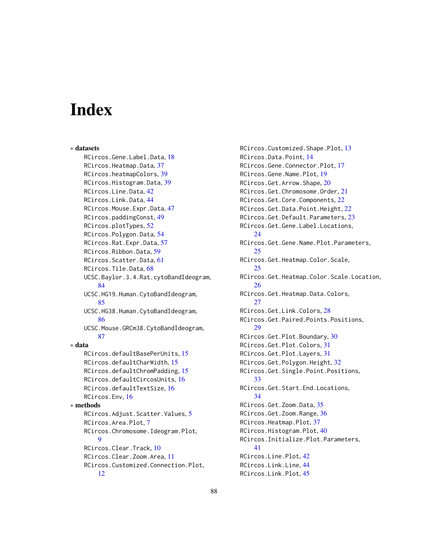# **Index**

∗ datasets RCircos.Gene.Label.Data, [18](#page-17-0) RCircos.Heatmap.Data, [37](#page-36-0) RCircos.heatmapColors, [39](#page-38-0) RCircos.Histogram.Data, [39](#page-38-0) RCircos.Line.Data, [42](#page-41-0) RCircos.Link.Data, [44](#page-43-0) RCircos.Mouse.Expr.Data, [47](#page-46-0) RCircos.paddingConst, [49](#page-48-0) RCircos.plotTypes, [52](#page-51-0) RCircos.Polygon.Data, [54](#page-53-0) RCircos.Rat.Expr.Data, [57](#page-56-0) RCircos.Ribbon.Data, [59](#page-58-0) RCircos.Scatter.Data, [61](#page-60-0) RCircos.Tile.Data, [68](#page-67-0) UCSC.Baylor.3.4.Rat.cytoBandIdeogram, [84](#page-83-0) UCSC.HG19.Human.CytoBandIdeogram, [85](#page-84-0) UCSC.HG38.Human.CytoBandIdeogram, [86](#page-85-0) UCSC.Mouse.GRCm38.CytoBandIdeogram, [87](#page-86-0) ∗ data RCircos.defaultBasePerUnits, [15](#page-14-0) RCircos.defaultCharWidth, [15](#page-14-0) RCircos.defaultChromPadding, [15](#page-14-0) RCircos.defaultCircosUnits, [16](#page-15-0) RCircos.defaultTextSize, [16](#page-15-0) RCircos.Env, [16](#page-15-0) ∗ methods RCircos.Adjust.Scatter.Values, [5](#page-4-0) RCircos.Area.Plot, [7](#page-6-0) RCircos.Chromosome.Ideogram.Plot, [9](#page-8-0) RCircos.Clear.Track, [10](#page-9-0) RCircos.Clear.Zoom.Area, [11](#page-10-0) RCircos.Customized.Connection.Plot, [12](#page-11-0)

RCircos.Customized.Shape.Plot, [13](#page-12-0) RCircos.Data.Point, [14](#page-13-0) RCircos.Gene.Connector.Plot, [17](#page-16-0) RCircos.Gene.Name.Plot, [19](#page-18-0) RCircos.Get.Arrow.Shape, [20](#page-19-0) RCircos.Get.Chromosome.Order, [21](#page-20-0) RCircos.Get.Core.Components, [22](#page-21-0) RCircos.Get.Data.Point.Height, [22](#page-21-0) RCircos.Get.Default.Parameters, [23](#page-22-0) RCircos.Get.Gene.Label.Locations, [24](#page-23-0) RCircos.Get.Gene.Name.Plot.Parameters, [25](#page-24-0) RCircos.Get.Heatmap.Color.Scale, [25](#page-24-0) RCircos.Get.Heatmap.Color.Scale.Location, [26](#page-25-0) RCircos.Get.Heatmap.Data.Colors,  $27$ RCircos.Get.Link.Colors, [28](#page-27-0) RCircos.Get.Paired.Points.Positions, [29](#page-28-0) RCircos.Get.Plot.Boundary, [30](#page-29-0) RCircos.Get.Plot.Colors, [31](#page-30-0) RCircos.Get.Plot.Layers, [31](#page-30-0) RCircos.Get.Polygon.Height, [32](#page-31-0) RCircos.Get.Single.Point.Positions, [33](#page-32-0) RCircos.Get.Start.End.Locations, [34](#page-33-0) RCircos.Get.Zoom.Data, [35](#page-34-0) RCircos.Get.Zoom.Range, [36](#page-35-0) RCircos.Heatmap.Plot, [37](#page-36-0) RCircos.Histogram.Plot, [40](#page-39-0) RCircos.Initialize.Plot.Parameters, [41](#page-40-0) RCircos.Line.Plot, [42](#page-41-0) RCircos.Link.Line, [44](#page-43-0) RCircos.Link.Plot, [45](#page-44-0)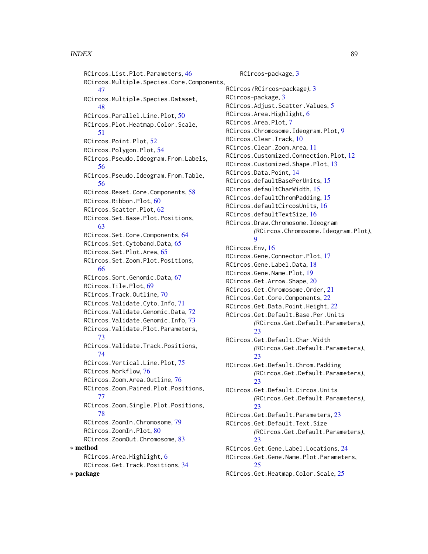## INDEX  $89$

RCircos.List.Plot.Parameters, [46](#page-45-0) RCircos.Multiple.Species.Core.Components, [47](#page-46-0) RCircos.Multiple.Species.Dataset, [48](#page-47-0) RCircos.Parallel.Line.Plot, [50](#page-49-0) RCircos.Plot.Heatmap.Color.Scale, [51](#page-50-0) RCircos.Point.Plot, [52](#page-51-0) RCircos.Polygon.Plot, [54](#page-53-0) RCircos.Pseudo.Ideogram.From.Labels, [56](#page-55-0) RCircos.Pseudo.Ideogram.From.Table, [56](#page-55-0) RCircos.Reset.Core.Components, [58](#page-57-0) RCircos.Ribbon.Plot, [60](#page-59-0) RCircos.Scatter.Plot, [62](#page-61-0) RCircos.Set.Base.Plot.Positions, [63](#page-62-0) RCircos.Set.Core.Components, [64](#page-63-0) RCircos.Set.Cytoband.Data, [65](#page-64-0) RCircos.Set.Plot.Area, [65](#page-64-0) RCircos.Set.Zoom.Plot.Positions, [66](#page-65-0) RCircos.Sort.Genomic.Data, [67](#page-66-0) RCircos.Tile.Plot, [69](#page-68-0) RCircos.Track.Outline, [70](#page-69-0) RCircos.Validate.Cyto.Info, [71](#page-70-0) RCircos.Validate.Genomic.Data, [72](#page-71-0) RCircos.Validate.Genomic.Info, [73](#page-72-0) RCircos.Validate.Plot.Parameters, [73](#page-72-0) RCircos.Validate.Track.Positions, [74](#page-73-0) RCircos.Vertical.Line.Plot, [75](#page-74-0) RCircos.Workflow, [76](#page-75-0) RCircos.Zoom.Area.Outline, [76](#page-75-0) RCircos.Zoom.Paired.Plot.Positions, [77](#page-76-0) RCircos.Zoom.Single.Plot.Positions, [78](#page-77-0) RCircos.ZoomIn.Chromosome, [79](#page-78-0) RCircos.ZoomIn.Plot, [80](#page-79-0) RCircos.ZoomOut.Chromosome, [83](#page-82-0) ∗ method RCircos.Area.Highlight, [6](#page-5-0) RCircos.Get.Track.Positions, [34](#page-33-0) ∗ package

RCircos-package, [3](#page-2-0) RCircos *(*RCircos-package*)*, [3](#page-2-0) RCircos-package, [3](#page-2-0) RCircos.Adjust.Scatter.Values, [5](#page-4-0) RCircos.Area.Highlight, [6](#page-5-0) RCircos.Area.Plot, [7](#page-6-0) RCircos.Chromosome.Ideogram.Plot, [9](#page-8-0) RCircos.Clear.Track, [10](#page-9-0) RCircos.Clear.Zoom.Area, [11](#page-10-0) RCircos.Customized.Connection.Plot, [12](#page-11-0) RCircos.Customized.Shape.Plot, [13](#page-12-0) RCircos.Data.Point, [14](#page-13-0) RCircos.defaultBasePerUnits, [15](#page-14-0) RCircos.defaultCharWidth, [15](#page-14-0) RCircos.defaultChromPadding, [15](#page-14-0) RCircos.defaultCircosUnits, [16](#page-15-0) RCircos.defaultTextSize, [16](#page-15-0) RCircos.Draw.Chromosome.Ideogram *(*RCircos.Chromosome.Ideogram.Plot*)*, [9](#page-8-0) RCircos.Env, [16](#page-15-0) RCircos.Gene.Connector.Plot, [17](#page-16-0) RCircos.Gene.Label.Data, [18](#page-17-0) RCircos.Gene.Name.Plot, [19](#page-18-0) RCircos.Get.Arrow.Shape, [20](#page-19-0) RCircos.Get.Chromosome.Order, [21](#page-20-0) RCircos.Get.Core.Components, [22](#page-21-0) RCircos.Get.Data.Point.Height, [22](#page-21-0) RCircos.Get.Default.Base.Per.Units *(*RCircos.Get.Default.Parameters*)*,  $23$ RCircos.Get.Default.Char.Width *(*RCircos.Get.Default.Parameters*)*,  $23$ RCircos.Get.Default.Chrom.Padding *(*RCircos.Get.Default.Parameters*)*,  $23$ RCircos.Get.Default.Circos.Units *(*RCircos.Get.Default.Parameters*)*,  $23$ RCircos.Get.Default.Parameters, [23](#page-22-0) RCircos.Get.Default.Text.Size *(*RCircos.Get.Default.Parameters*)*,  $23$ RCircos.Get.Gene.Label.Locations, [24](#page-23-0) RCircos.Get.Gene.Name.Plot.Parameters,  $25$ RCircos.Get.Heatmap.Color.Scale, [25](#page-24-0)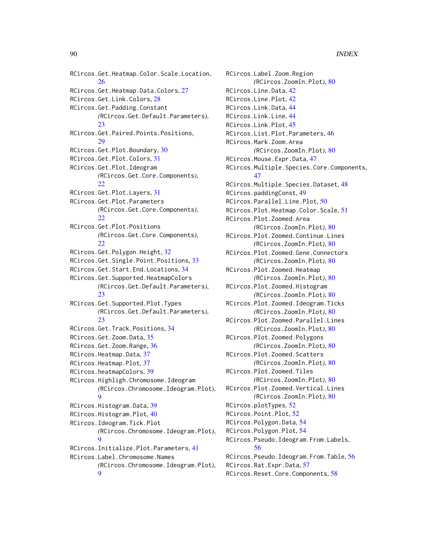RCircos.Get.Heatmap.Color.Scale.Location, [26](#page-25-0) RCircos.Get.Heatmap.Data.Colors, [27](#page-26-0) RCircos.Get.Link.Colors, [28](#page-27-0) RCircos.Get.Padding.Constant *(*RCircos.Get.Default.Parameters*)*, [23](#page-22-0) RCircos.Get.Paired.Points.Positions,  $29$ RCircos.Get.Plot.Boundary, [30](#page-29-0) RCircos.Get.Plot.Colors, [31](#page-30-0) RCircos.Get.Plot.Ideogram *(*RCircos.Get.Core.Components*)*, [22](#page-21-0) RCircos.Get.Plot.Layers, [31](#page-30-0) RCircos.Get.Plot.Parameters *(*RCircos.Get.Core.Components*)*,  $22$ RCircos.Get.Plot.Positions *(*RCircos.Get.Core.Components*)*, [22](#page-21-0) RCircos.Get.Polygon.Height, [32](#page-31-0) RCircos.Get.Single.Point.Positions, [33](#page-32-0) RCircos.Get.Start.End.Locations, [34](#page-33-0) RCircos.Get.Supported.HeatmapColors *(*RCircos.Get.Default.Parameters*)*,  $23$ RCircos.Get.Supported.Plot.Types *(*RCircos.Get.Default.Parameters*)*,  $23$ RCircos.Get.Track.Positions, [34](#page-33-0) RCircos.Get.Zoom.Data, [35](#page-34-0) RCircos.Get.Zoom.Range, [36](#page-35-0) RCircos.Heatmap.Data, [37](#page-36-0) RCircos.Heatmap.Plot, [37](#page-36-0) RCircos.heatmapColors, [39](#page-38-0) RCircos.Highligh.Chromosome.Ideogram *(*RCircos.Chromosome.Ideogram.Plot*)*, [9](#page-8-0) RCircos.Histogram.Data, [39](#page-38-0) RCircos.Histogram.Plot, [40](#page-39-0) RCircos.Ideogram.Tick.Plot *(*RCircos.Chromosome.Ideogram.Plot*)*, [9](#page-8-0) RCircos.Initialize.Plot.Parameters, [41](#page-40-0) RCircos.Label.Chromosome.Names *(*RCircos.Chromosome.Ideogram.Plot*)*, [9](#page-8-0)

RCircos.Label.Zoom.Region *(*RCircos.ZoomIn.Plot*)*, [80](#page-79-0) RCircos.Line.Data, [42](#page-41-0) RCircos.Line.Plot, [42](#page-41-0) RCircos.Link.Data, [44](#page-43-0) RCircos.Link.Line, [44](#page-43-0) RCircos.Link.Plot, [45](#page-44-0) RCircos.List.Plot.Parameters, [46](#page-45-0) RCircos.Mark.Zoom.Area *(*RCircos.ZoomIn.Plot*)*, [80](#page-79-0) RCircos.Mouse.Expr.Data, [47](#page-46-0) RCircos.Multiple.Species.Core.Components, [47](#page-46-0) RCircos.Multiple.Species.Dataset, [48](#page-47-0) RCircos.paddingConst, [49](#page-48-0) RCircos.Parallel.Line.Plot, [50](#page-49-0) RCircos.Plot.Heatmap.Color.Scale, [51](#page-50-0) RCircos.Plot.Zoomed.Area *(*RCircos.ZoomIn.Plot*)*, [80](#page-79-0) RCircos.Plot.Zoomed.Continue.Lines *(*RCircos.ZoomIn.Plot*)*, [80](#page-79-0) RCircos.Plot.Zoomed.Gene.Connectors *(*RCircos.ZoomIn.Plot*)*, [80](#page-79-0) RCircos.Plot.Zoomed.Heatmap *(*RCircos.ZoomIn.Plot*)*, [80](#page-79-0) RCircos.Plot.Zoomed.Histogram *(*RCircos.ZoomIn.Plot*)*, [80](#page-79-0) RCircos.Plot.Zoomed.Ideogram.Ticks *(*RCircos.ZoomIn.Plot*)*, [80](#page-79-0) RCircos.Plot.Zoomed.Parallel.Lines *(*RCircos.ZoomIn.Plot*)*, [80](#page-79-0) RCircos.Plot.Zoomed.Polygons *(*RCircos.ZoomIn.Plot*)*, [80](#page-79-0) RCircos.Plot.Zoomed.Scatters *(*RCircos.ZoomIn.Plot*)*, [80](#page-79-0) RCircos.Plot.Zoomed.Tiles *(*RCircos.ZoomIn.Plot*)*, [80](#page-79-0) RCircos.Plot.Zoomed.Vertical.Lines *(*RCircos.ZoomIn.Plot*)*, [80](#page-79-0) RCircos.plotTypes, [52](#page-51-0) RCircos.Point.Plot, [52](#page-51-0) RCircos.Polygon.Data, [54](#page-53-0) RCircos.Polygon.Plot, [54](#page-53-0) RCircos.Pseudo.Ideogram.From.Labels, [56](#page-55-0) RCircos.Pseudo.Ideogram.From.Table, [56](#page-55-0) RCircos.Rat.Expr.Data, [57](#page-56-0) RCircos.Reset.Core.Components, [58](#page-57-0)